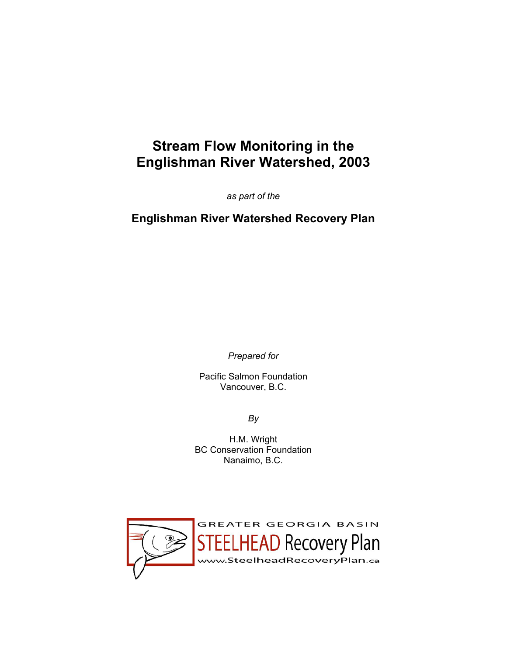# **Stream Flow Monitoring in the Englishman River Watershed, 2003**

*as part of the* 

**Englishman River Watershed Recovery Plan** 

*Prepared for* 

Pacific Salmon Foundation Vancouver, B.C.

*By* 

H.M. Wright BC Conservation Foundation Nanaimo, B.C.

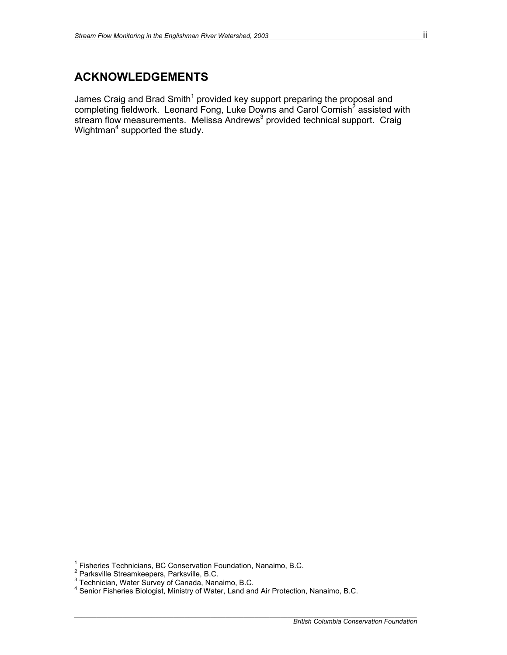### **ACKNOWLEDGEMENTS**

James Craig and Brad Smith<sup>1</sup> provided key support preparing the proposal and completing fieldwork. Leonard Fong, Luke Downs and Carol Cornish<sup>2</sup> assisted with stream flow measurements. Melissa Andrews<sup>3</sup> provided technical support. Craig Wightman<sup>4</sup> supported the study.

<sup>1&</sup>lt;br><sup>1</sup> Fisheries Technicians, BC Conservation Foundation, Nanaimo, B.C.

<sup>&</sup>lt;sup>∠</sup> Parksville Streamkeepers, Parksville, B.C.<br><sup>3</sup> Technician, Water Survey of Canada, Nanaimo, B.C.<br><sup>4</sup> Senior Fisheries Biologist, Ministry of Water, Land and Air Protection, Nanaimo, B.C.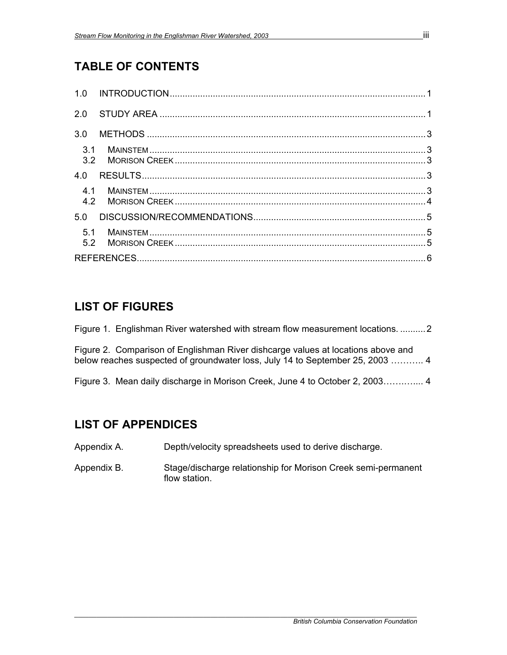## **TABLE OF CONTENTS**

### **LIST OF FIGURES**

Figure 1. Englishman River watershed with stream flow measurement locations. .......... 2

Figure 2. Comparison of Englishman River dishcarge values at locations above and below reaches suspected of groundwater loss, July 14 to September 25, 2003 ……….. 4

Figure 3. Mean daily discharge in Morison Creek, June 4 to October 2, 2003…….….... 4

## **LIST OF APPENDICES**

Appendix A. Depth/velocity spreadsheets used to derive discharge.

Appendix B. Stage/discharge relationship for Morison Creek semi-permanent flow station.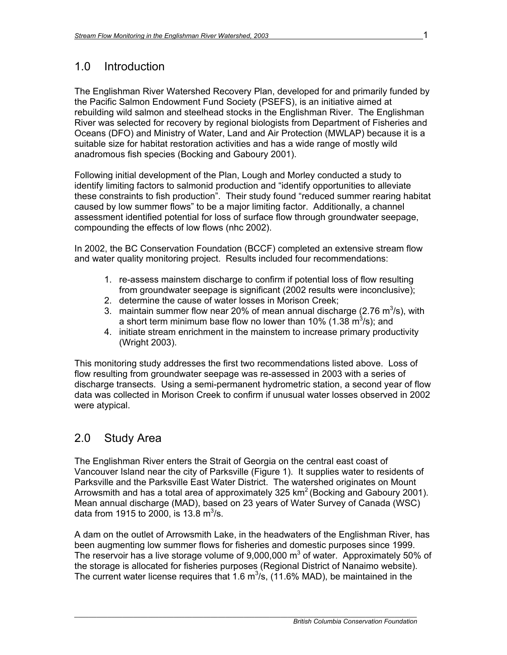### 1.0 Introduction

The Englishman River Watershed Recovery Plan, developed for and primarily funded by the Pacific Salmon Endowment Fund Society (PSEFS), is an initiative aimed at rebuilding wild salmon and steelhead stocks in the Englishman River. The Englishman River was selected for recovery by regional biologists from Department of Fisheries and Oceans (DFO) and Ministry of Water, Land and Air Protection (MWLAP) because it is a suitable size for habitat restoration activities and has a wide range of mostly wild anadromous fish species (Bocking and Gaboury 2001).

Following initial development of the Plan, Lough and Morley conducted a study to identify limiting factors to salmonid production and "identify opportunities to alleviate these constraints to fish production". Their study found "reduced summer rearing habitat caused by low summer flows" to be a major limiting factor. Additionally, a channel assessment identified potential for loss of surface flow through groundwater seepage, compounding the effects of low flows (nhc 2002).

In 2002, the BC Conservation Foundation (BCCF) completed an extensive stream flow and water quality monitoring project. Results included four recommendations:

- 1. re-assess mainstem discharge to confirm if potential loss of flow resulting from groundwater seepage is significant (2002 results were inconclusive);
- 2. determine the cause of water losses in Morison Creek;
- 3. maintain summer flow near 20% of mean annual discharge (2.76 m<sup>3</sup>/s), with a short term minimum base flow no lower than 10% (1.38  $\text{m}^3$ /s); and
- 4. initiate stream enrichment in the mainstem to increase primary productivity (Wright 2003).

This monitoring study addresses the first two recommendations listed above. Loss of flow resulting from groundwater seepage was re-assessed in 2003 with a series of discharge transects.Using a semi-permanent hydrometric station, a second year of flow data was collected in Morison Creek to confirm if unusual water losses observed in 2002 were atypical.

### 2.0 Study Area

The Englishman River enters the Strait of Georgia on the central east coast of Vancouver Island near the city of Parksville (Figure 1). It supplies water to residents of Parksville and the Parksville East Water District. The watershed originates on Mount Arrowsmith and has a total area of approximately 325  $km^2$  (Bocking and Gaboury 2001). Mean annual discharge (MAD), based on 23 years of Water Survey of Canada (WSC) data from 1915 to 2000, is 13.8  $\text{m}^3\text{/s}$ .

A dam on the outlet of Arrowsmith Lake, in the headwaters of the Englishman River, has been augmenting low summer flows for fisheries and domestic purposes since 1999. The reservoir has a live storage volume of 9,000,000  $\text{m}^3$  of water. Approximately 50% of the storage is allocated for fisheries purposes (Regional District of Nanaimo website). The current water license requires that 1.6  $m^3/s$ , (11.6% MAD), be maintained in the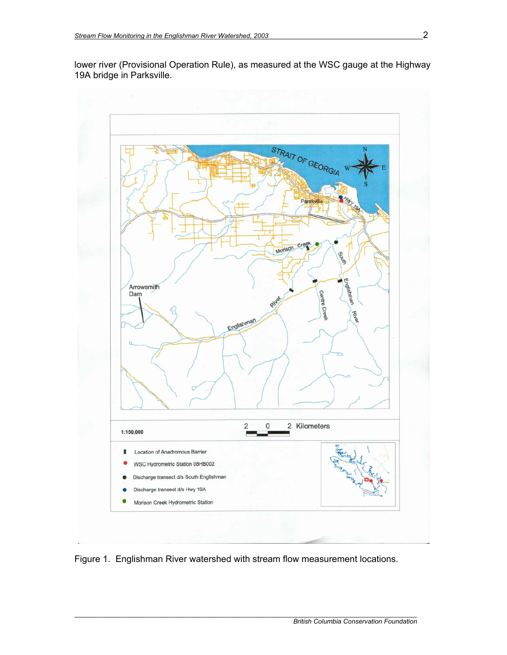lower river (Provisional Operation Rule), as measured at the WSC gauge at the Highway 19A bridge in Parksville.



Figure 1. Englishman River watershed with stream flow measurement locations.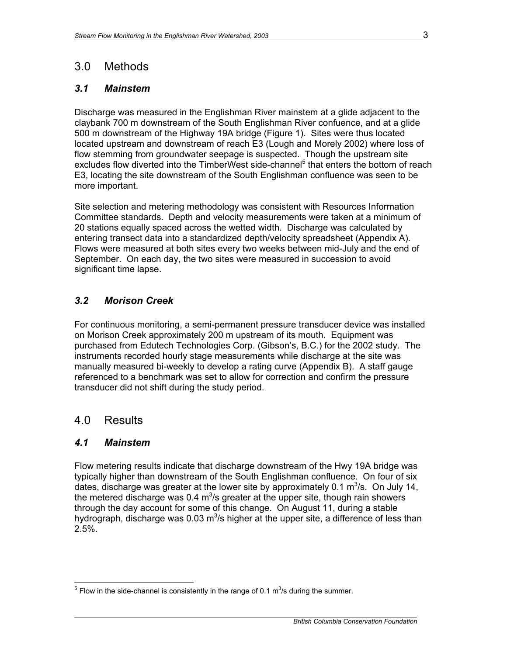### 3.0 Methods

### *3.1 Mainstem*

Discharge was measured in the Englishman River mainstem at a glide adjacent to the claybank 700 m downstream of the South Englishman River confuence, and at a glide 500 m downstream of the Highway 19A bridge (Figure 1). Sites were thus located located upstream and downstream of reach E3 (Lough and Morely 2002) where loss of flow stemming from groundwater seepage is suspected. Though the upstream site excludes flow diverted into the TimberWest side-channel<sup>5</sup> that enters the bottom of reach E3, locating the site downstream of the South Englishman confluence was seen to be more important.

Site selection and metering methodology was consistent with Resources Information Committee standards. Depth and velocity measurements were taken at a minimum of 20 stations equally spaced across the wetted width. Discharge was calculated by entering transect data into a standardized depth/velocity spreadsheet (Appendix A). Flows were measured at both sites every two weeks between mid-July and the end of September. On each day, the two sites were measured in succession to avoid significant time lapse.

### *3.2 Morison Creek*

For continuous monitoring, a semi-permanent pressure transducer device was installed on Morison Creek approximately 200 m upstream of its mouth. Equipment was purchased from Edutech Technologies Corp. (Gibson's, B.C.) for the 2002 study. The instruments recorded hourly stage measurements while discharge at the site was manually measured bi-weekly to develop a rating curve (Appendix B). A staff gauge referenced to a benchmark was set to allow for correction and confirm the pressure transducer did not shift during the study period.

### 4.0 Results

### *4.1 Mainstem*

Flow metering results indicate that discharge downstream of the Hwy 19A bridge was typically higher than downstream of the South Englishman confluence. On four of six dates, discharge was greater at the lower site by approximately 0.1  $\mathrm{m}^3$ /s. On July 14, the metered discharge was 0.4  $m^3$ /s greater at the upper site, though rain showers through the day account for some of this change. On August 11, during a stable hydrograph, discharge was 0.03 m<sup>3</sup>/s higher at the upper site, a difference of less than  $2.5\%$ .

 $\frac{5}{10}$  Flow in the side-channel is consistently in the range of 0.1 m<sup>3</sup>/s during the summer.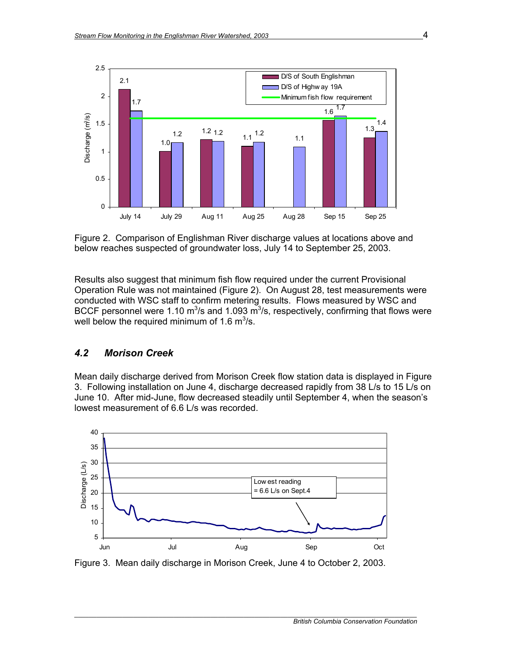

Figure 2. Comparison of Englishman River discharge values at locations above and below reaches suspected of groundwater loss, July 14 to September 25, 2003.

Results also suggest that minimum fish flow required under the current Provisional Operation Rule was not maintained (Figure 2). On August 28, test measurements were conducted with WSC staff to confirm metering results. Flows measured by WSC and BCCF personnel were 1.10 m<sup>3</sup>/s and 1.093 m<sup>3</sup>/s, respectively, confirming that flows were well below the required minimum of 1.6  $\mathrm{m}^3$ /s.

### *4.2 Morison Creek*

Mean daily discharge derived from Morison Creek flow station data is displayed in Figure 3. Following installation on June 4, discharge decreased rapidly from 38 L/s to 15 L/s on June 10. After mid-June, flow decreased steadily until September 4, when the season's lowest measurement of 6.6 L/s was recorded.



Figure 3. Mean daily discharge in Morison Creek, June 4 to October 2, 2003.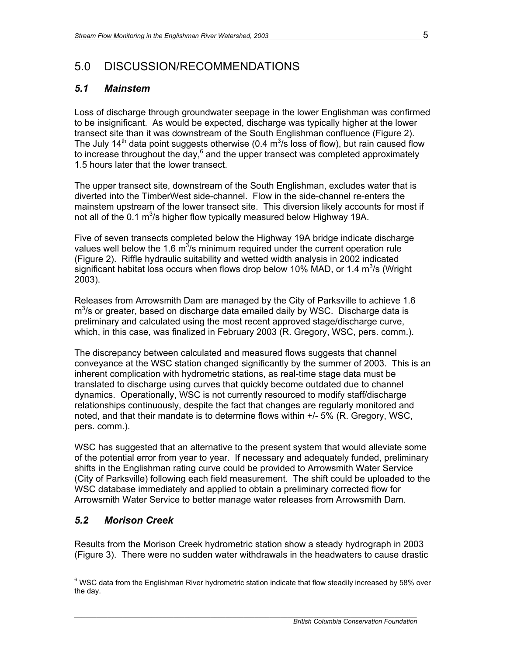### 5.0 DISCUSSION/RECOMMENDATIONS

### *5.1 Mainstem*

Loss of discharge through groundwater seepage in the lower Englishman was confirmed to be insignificant. As would be expected, discharge was typically higher at the lower transect site than it was downstream of the South Englishman confluence (Figure 2). The July 14<sup>th</sup> data point suggests otherwise (0.4  $\text{m}^3$ /s loss of flow), but rain caused flow to increase throughout the day, $^6$  and the upper transect was completed approximately 1.5 hours later that the lower transect.

The upper transect site, downstream of the South Englishman, excludes water that is diverted into the TimberWest side-channel. Flow in the side-channel re-enters the mainstem upstream of the lower transect site. This diversion likely accounts for most if not all of the 0.1  $m^3$ /s higher flow typically measured below Highway 19A.

Five of seven transects completed below the Highway 19A bridge indicate discharge values well below the 1.6  $m^3/s$  minimum required under the current operation rule (Figure 2). Riffle hydraulic suitability and wetted width analysis in 2002 indicated significant habitat loss occurs when flows drop below 10% MAD, or 1.4  $m^3$ /s (Wright 2003).

Releases from Arrowsmith Dam are managed by the City of Parksville to achieve 1.6  $m<sup>3</sup>/s$  or greater, based on discharge data emailed daily by WSC. Discharge data is preliminary and calculated using the most recent approved stage/discharge curve, which, in this case, was finalized in February 2003 (R. Gregory, WSC, pers. comm.).

The discrepancy between calculated and measured flows suggests that channel conveyance at the WSC station changed significantly by the summer of 2003. This is an inherent complication with hydrometric stations, as real-time stage data must be translated to discharge using curves that quickly become outdated due to channel dynamics. Operationally, WSC is not currently resourced to modify staff/discharge relationships continuously, despite the fact that changes are regularly monitored and noted, and that their mandate is to determine flows within +/- 5% (R. Gregory, WSC, pers. comm.).

WSC has suggested that an alternative to the present system that would alleviate some of the potential error from year to year. If necessary and adequately funded, preliminary shifts in the Englishman rating curve could be provided to Arrowsmith Water Service (City of Parksville) following each field measurement. The shift could be uploaded to the WSC database immediately and applied to obtain a preliminary corrected flow for Arrowsmith Water Service to better manage water releases from Arrowsmith Dam.

### *5.2 Morison Creek*

Results from the Morison Creek hydrometric station show a steady hydrograph in 2003 (Figure 3). There were no sudden water withdrawals in the headwaters to cause drastic

 6 WSC data from the Englishman River hydrometric station indicate that flow steadily increased by 58% over the day.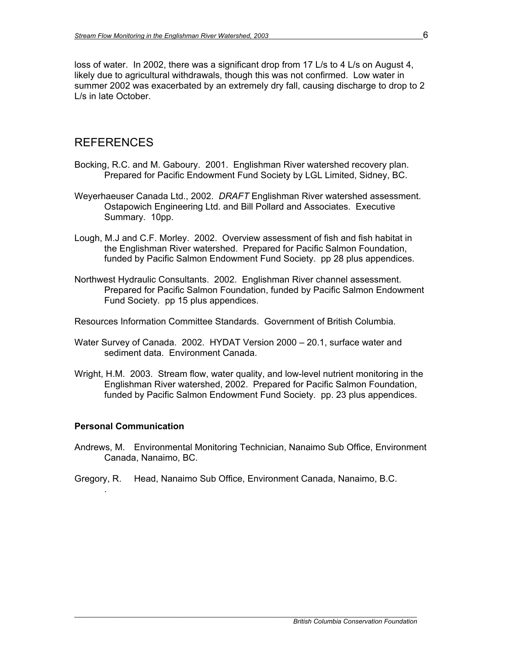loss of water. In 2002, there was a significant drop from 17 L/s to 4 L/s on August 4, likely due to agricultural withdrawals, though this was not confirmed. Low water in summer 2002 was exacerbated by an extremely dry fall, causing discharge to drop to 2 L/s in late October.

### REFERENCES

- Bocking, R.C. and M. Gaboury. 2001. Englishman River watershed recovery plan. Prepared for Pacific Endowment Fund Society by LGL Limited, Sidney, BC.
- Weyerhaeuser Canada Ltd., 2002. *DRAFT* Englishman River watershed assessment. Ostapowich Engineering Ltd. and Bill Pollard and Associates. Executive Summary. 10pp.
- Lough, M.J and C.F. Morley. 2002. Overview assessment of fish and fish habitat in the Englishman River watershed. Prepared for Pacific Salmon Foundation, funded by Pacific Salmon Endowment Fund Society. pp 28 plus appendices.
- Northwest Hydraulic Consultants. 2002. Englishman River channel assessment. Prepared for Pacific Salmon Foundation, funded by Pacific Salmon Endowment Fund Society. pp 15 plus appendices.
- Resources Information Committee Standards. Government of British Columbia.
- Water Survey of Canada. 2002. HYDAT Version 2000 20.1, surface water and sediment data. Environment Canada.
- Wright, H.M. 2003. Stream flow, water quality, and low-level nutrient monitoring in the Englishman River watershed, 2002. Prepared for Pacific Salmon Foundation, funded by Pacific Salmon Endowment Fund Society. pp. 23 plus appendices.

#### **Personal Communication**

.

Andrews, M. Environmental Monitoring Technician, Nanaimo Sub Office, Environment Canada, Nanaimo, BC.

*\_\_\_\_\_\_\_\_\_\_\_\_\_\_\_\_\_\_\_\_\_\_\_\_\_\_\_\_\_\_\_\_\_\_\_\_\_\_\_\_\_\_\_\_\_\_\_\_\_\_\_\_\_\_\_\_\_\_\_\_\_\_\_\_\_\_\_\_\_\_\_\_\_\_\_\_\_\_\_\_\_\_\_\_\_\_\_\_\_\_\_\_\_* 

Gregory, R. Head, Nanaimo Sub Office, Environment Canada, Nanaimo, B.C.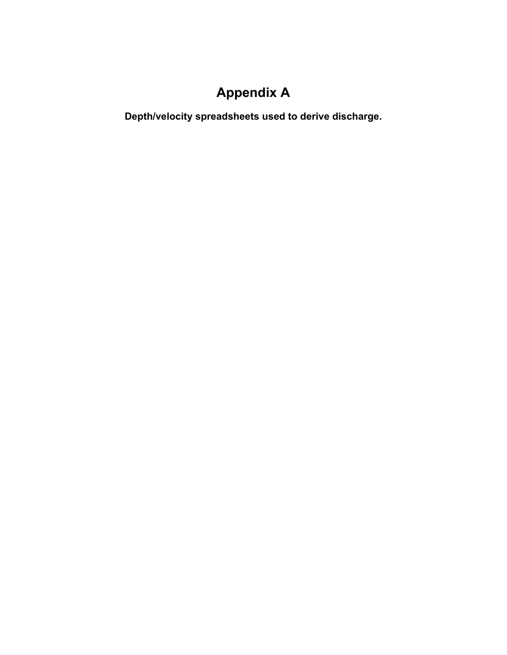# **Appendix A**

**Depth/velocity spreadsheets used to derive discharge.**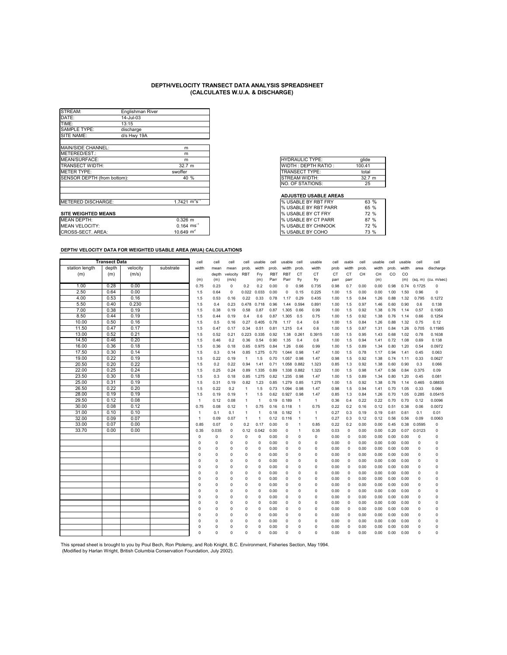| STREAM:                     | Englishman River |                                    |                              |
|-----------------------------|------------------|------------------------------------|------------------------------|
| DATE:                       | 14-Jul-03        |                                    |                              |
| TIME:                       | 13:15            |                                    |                              |
| <b>SAMPLE TYPE:</b>         | discharge        |                                    |                              |
| SITE NAME:                  | d/s Hwy 19A      |                                    |                              |
| MAIN/SIDE CHANNEL:          |                  | m                                  |                              |
| METERED/EST.:               |                  | m                                  |                              |
| MEAN/SURFACE:               |                  | m                                  | <b>HYDRAULIC TYPE:</b>       |
| <b>TRANSECT WIDTH:</b>      |                  | 32.7 <sub>m</sub>                  | WIDTH: DEPTH RATIO:          |
| <b>METER TYPE:</b>          |                  | swoffer                            | <b>TRANSECT TYPE:</b>        |
| SENSOR DEPTH (from bottom): |                  | 40 %                               | <b>STREAM WIDTH:</b>         |
|                             |                  |                                    | <b>NO. OF STATIONS:</b>      |
|                             |                  |                                    | <b>ADJUSTED USABLE AREAS</b> |
| <b>METERED DISCHARGE:</b>   |                  | $1.7421 \text{ m}^3 \text{s}^{-1}$ | % USABLE BY RBT FRY          |
|                             |                  |                                    | % USABLE BY RBT PARR         |
| <b>SITE WEIGHTED MEANS</b>  |                  |                                    | % USABLE BY CT FRY           |
| <b>MEAN DEPTH:</b>          |                  | $0.326$ m                          | % USABLE BY CT PARR          |
| <b>MEAN VELOCITY:</b>       |                  | $0.164 \text{ ms}^{-1}$            | % USABLE BY CHINOOK          |
| CROSS-SECT. AREA:           |                  | 10.649 $m2$                        | % USABLE BY COHO             |

| <b>HYDRAULIC TYPE:</b> | glide  |
|------------------------|--------|
| WIDTH: DEPTH RATIO:    | 100.41 |
| <b>TRANSECT TYPE:</b>  | total  |
| STREAM WIDTH:          | 32.7 m |
| NO. OF STATIONS:       | 25     |

#### **ADJUSTED USABLE AREAS**

| METERED DISCHARGE:    | $1.7421~{\rm m}^3{\rm s}^{-1}$ | <b>I</b> % USABLE BY RBT FRY | 63 % |
|-----------------------|--------------------------------|------------------------------|------|
|                       |                                | <b>1% USABLE BY RBT PARR</b> | 65 % |
| SITE WEIGHTED MEANS   |                                | <b>I</b> % USABLE BY CT FRY  | 72 % |
| MEAN DEPTH:           | $0.326$ m                      | <b>I</b> % USABLE BY CT PARR | 87 % |
| <b>MEAN VELOCITY:</b> | $0.164$ ms                     | <b>I</b> % USABLE BY CHINOOK | 72 % |
| CROSS-SECT. AREA:     | 10.649 $m2$                    | I% USABLE BY COHO            | 73 % |

#### **DEPTH/ VELOCITY DATA FOR WEIGHTED USABLE AREA (WUA) CALCULATIONS**

|                | <b>Transect Data</b> |          |           | cell         | cell     | cell        | cell         | usable      | cell            | usable      | cell           | usable         | cell      | <b>isable</b> | cell  | usable | cell  | usable | cell     | cell                  |
|----------------|----------------------|----------|-----------|--------------|----------|-------------|--------------|-------------|-----------------|-------------|----------------|----------------|-----------|---------------|-------|--------|-------|--------|----------|-----------------------|
| station length | depth                | velocity | substrate | width        | mean     | mean        | prob.        | width       | prob            | width       | prob.          | width          | prob      | width         | prob. | width  | prob. | width  | area     | discharge             |
| (m)            | (m)                  | (m/s)    |           |              | depth    | velocity    | <b>RBT</b>   | Fry         | RB <sub>1</sub> | <b>RBT</b>  | CT             | <b>CT</b>      | <b>CT</b> | CT            | CH    | CH     | CO    | CO     |          |                       |
|                |                      |          |           | (m)          | (m)      | (m/s)       |              | (m)         | Parr            | Parr        | fry            | fry            | parr      | parr          |       | (m)    |       | (m)    |          | $(sq. m)$ (cu. m/sec) |
| 1.00           | 0.28                 | 0.00     |           | 0.75         | 0.23     | $\Omega$    | 0.2          | 0.2         | 0.00            | 0           | 0.98           | 0.735          | 0.98      | 0.7           | 0.00  | 0.00   | 0.98  | 0.74   | 0.1725   | $\Omega$              |
| 2.50           | 0.64                 | 0.00     |           | 1.5          | 0.64     | $\mathbf 0$ | 0.022        | 0.033       | 0.00            | 0           | 0.15           | 0.225          | 1.00      | 1.5           | 0.00  | 0.00   | 1.00  | 1.50   | 0.96     | $\mathbf 0$           |
| 4.00           | 0.53                 | 0.16     |           | 1.5          | 0.53     | 0.16        | 0.22         | 0.33        | 0.78            | 1.17        | 0.29           | 0.435          | 1.00      | 1.5           | 0.84  | 1.26   | 0.88  | 1.32   | 0.795    | 0.1272                |
| 5.50           | 0.40                 | 0.230    |           | 1.5          | 0.4      | 0.23        | 0.478        | 0.718       | 0.96            | 1.44        | 0.594          | 0.891          | 1.00      | 1.5           | 0.97  | 1.46   | 0.60  | 0.90   | 0.6      | 0.138                 |
| 7.00           | 0.38                 | 0.19     |           | 1.5          | 0.38     | 0.19        | 0.58         | 0.87        | 0.87            | 1.305       | 0.66           | 0.99           | 1.00      | 1.5           | 0.92  | 1.38   | 0.76  | 1.14   | 0.57     | 0.1083                |
| 8.50           | 0.44                 | 0.19     |           | 1.5          | 0.44     | 0.19        | 0.4          | 0.6         | 0.87            | 1.305       | 0.5            | 0.75           | 1.00      | 1.5           | 0.92  | 1.38   | 0.76  | 1.14   | 0.66     | 0.1254                |
| 10.00          | 0.50                 | 0.16     |           | 1.5          | 0.5      | 0.16        | 0.27         | 0.405       | 0.78            | 1.17        | 0.4            | 0.6            | 1.00      | 1.5           | 0.84  | 1.26   | 0.88  | 1.32   | 0.75     | 0.12                  |
| 11.50          | 0.47                 | 0.17     |           | 1.5          | 0.47     | 0.17        | 0.34         | 0.51        | 0.81            | 1.215       | 0.4            | 0.6            | 1.00      | 1.5           | 0.87  | 1.31   | 0.84  | 1.26   | 0.705    | 0.11985               |
| 13.00          | 0.52                 | 0.21     |           | 1.5          | 0.52     | 0.21        | 0.223        | 0.335       | 0.92            | 1.38        | 0.261          | 0.3915         | 1.00      | 1.5           | 0.95  | 1.43   | 0.68  | 1.02   | 0.78     | 0.1638                |
| 14.50          | 0.46                 | 0.20     |           | 1.5          | 0.46     | 0.2         | 0.36         | 0.54        | 0.90            | 1.35        | 0.4            | 0.6            | 1.00      | 1.5           | 0.94  | 1.41   | 0.72  | 1.08   | 0.69     | 0.138                 |
| 16.00          | 0.36                 | 0.18     |           | 1.5          | 0.36     | 0.18        | 0.65         | 0.975       | 0.84            | 1.26        | 0.66           | 0.99           | 1.00      | 1.5           | 0.89  | 1.34   | 0.80  | 1.20   | 0.54     | 0.0972                |
| 17.50          | 0.30                 | 0.14     |           | 1.5          | 0.3      | 0.14        | 0.85         | 1.275       | 0.70            | 1.044       | 0.98           | 1.47           | 1.00      | 1.5           | 0.78  | 1.17   | 0.94  | 1.41   | 0.45     | 0.063                 |
| 19.00          | 0.22                 | 0.19     |           | 1.5          | 0.22     | 0.19        | $\mathbf{1}$ | 1.5         | 0.70            | 1.057 0.98  |                | 1.47           | 0.98      | 1.5           | 0.92  | 1.38   | 0.74  | 1.11   | 0.33     | 0.0627                |
| 20.50          | 0.20                 | 0.22     |           | 1.5          | 0.2      | 0.22        | 0.94         | 1.41        | 0.71            | 1.058 0.882 |                | 1.323          | 0.85      | 1.3           | 0.92  | 1.38   | 0.60  | 0.90   | 0.3      | 0.066                 |
| 22.00          | 0.25                 | 0.24     |           | 1.5          | 0.25     | 0.24        | 0.89         | 1.335       | 0.89            | 1.338 0.882 |                | 1.323          | 1.00      | 1.5           | 0.98  | 1.47   | 0.56  | 0.84   | 0.375    | 0.09                  |
| 23.50          | 0.30                 | 0.18     |           | 1.5          | 0.3      | 0.18        | 0.85         | 1.275       | 0.82            | 1.235       | 0.98           | 1.47           | 1.00      | 1.5           | 0.89  | 1.34   | 0.80  | 1.20   | 0.45     | 0.081                 |
| 25.00          | 0.31                 | 0.19     |           | 1.5          | 0.31     | 0.19        | 0.82         | 1.23        | 0.85            | 1.279 0.85  |                | 1.275          | 1.00      | 1.5           | 0.92  | 1.38   | 0.76  | 1.14   | 0.465    | 0.08835               |
| 26.50          | 0.22                 | 0.20     |           | 1.5          | 0.22     | 0.2         | $\mathbf{1}$ | 1.5         | 0.73            | 1.094 0.98  |                | 1.47           | 0.98      | 1.5           | 0.94  | 1.41   | 0.70  | 1.05   | 0.33     | 0.066                 |
| 28.00          | 0.19                 | 0.19     |           | 1.5          | 0.19     | 0.19        | $\mathbf{1}$ | 1.5         | 0.62            | 0.927       | 0.98           | 1.47           | 0.85      | 1.3           | 0.84  | 1.26   | 0.70  | 1.05   | 0.285    | 0.05415               |
| 29.50          | 0.12                 | 0.08     |           | $\mathbf{1}$ | 0.12     | 0.08        | 1            | 1           | 0.19            | 0.189       | $\overline{1}$ | $\mathbf{1}$   | 0.36      | 0.4           | 0.22  | 0.22   | 0.70  | 0.70   | 0.12     | 0.0096                |
| 30.00          | 0.08                 | 0.12     |           | 0.75         | 0.08     | 0.12        | $\mathbf{1}$ | 0.75        | 0.16            | 0.118       | $\overline{1}$ | 0.75           | 0.22      | 0.2           | 0.16  | 0.12   | 0.51  | 0.38   | 0.06     | 0.0072                |
| 31.00          | 0.10                 | 0.10     |           | $\mathbf{1}$ | 0.1      | 0.1         | $\mathbf{1}$ | 1           | 0.18            | 0.182       | $\overline{1}$ | $\overline{1}$ | 0.27      | 0.3           | 0.19  | 0.19   | 0.61  | 0.61   | 0.1      | 0.01                  |
| 32.00          | 0.09                 | 0.07     |           | $\mathbf{1}$ | 0.09     | 0.07        | $\mathbf{1}$ | 1           | 0.12            | 0.116       | $\overline{1}$ | $\mathbf{1}$   | 0.27      | 0.3           | 0.12  | 0.12   | 0.56  | 0.56   | 0.09     | 0.0063                |
| 33.00          | 0.07                 | 0.00     |           | 0.85         | 0.07     | 0           | 0.2          | 0.17        | 0.00            | 0           | $\overline{1}$ | 0.85           | 0.22      | 0.2           | 0.00  | 0.00   | 0.45  | 0.38   | 0.0595   | $\mathbf 0$           |
| 33.70          | 0.00                 | 0.00     |           | 0.35         | 0.035    | $\Omega$    | 0.12         | 0.042       | 0.00            | 0           | $\overline{1}$ | 0.35           | 0.03      | 0             | 0.00  | 0.00   | 0.20  | 0.07   | 0.0123   | $\Omega$              |
|                |                      |          |           | $\Omega$     | $\Omega$ | $\Omega$    | $\Omega$     | 0           | 0.00            | $\Omega$    | $\Omega$       | 0              | 0.00      | 0             | 0.00  | 0.00   | 0.00  | 0.00   | $\Omega$ | $\mathbf 0$           |
|                |                      |          |           | 0            | 0        | $\Omega$    | 0            | 0           | 0.00            | 0           | $\mathbf 0$    | $\Omega$       | 0.00      | $\mathbf 0$   | 0.00  | 0.00   | 0.00  | 0.00   | $\Omega$ | $\circ$               |
|                |                      |          |           | 0            | O        | $\Omega$    | 0            | 0           | 0.00            | $\Omega$    | $\Omega$       | $\Omega$       | 0.00      | $\mathbf 0$   | 0.00  | 0.00   | 0.00  | 0.00   | $\Omega$ | $\Omega$              |
|                |                      |          |           | 0            | O        | $\Omega$    | $\Omega$     | 0           | 0.00            | $\Omega$    | $\Omega$       | $\Omega$       | 0.00      | $^{\circ}$    | 0.00  | 0.00   | 0.00  | 0.00   | $\Omega$ | $\Omega$              |
|                |                      |          |           | O            | O        | $\Omega$    | 0            | 0           | 0.00            | $\Omega$    | $\Omega$       | $\Omega$       | 0.00      | 0             | 0.00  | 0.00   | 0.00  | 0.00   | $\Omega$ | $\circ$               |
|                |                      |          |           | n            | O        | $\Omega$    | 0            | 0           | 0.00            | $\Omega$    | $\Omega$       | $\Omega$       | 0.00      | 0             | 0.00  | 0.00   | 0.00  | 0.00   | $\Omega$ | $\mathbf 0$           |
|                |                      |          |           | 0            | 0        | $\Omega$    | 0            | 0           | 0.00            | $\Omega$    | 0              | $\Omega$       | 0.00      | 0             | 0.00  | 0.00   | 0.00  | 0.00   | $\Omega$ | $\mathbf 0$           |
|                |                      |          |           | O            | O        | $\Omega$    | 0            | 0           | 0.00            | $\Omega$    | $\Omega$       | $\Omega$       | 0.00      | $\mathbf 0$   | 0.00  | 0.00   | 0.00  | 0.00   | $\Omega$ | $\Omega$              |
|                |                      |          |           | $\Omega$     | $\Omega$ | $\Omega$    | $\Omega$     | 0           | 0.00            | $\Omega$    | $\Omega$       | $\Omega$       | 0.00      | 0             | 0.00  | 0.00   | 0.00  | 0.00   | $\Omega$ | $\mathbf 0$           |
|                |                      |          |           | $\Omega$     | 0        | $\Omega$    | 0            | 0           | 0.00            | 0           | O              | $\Omega$       | 0.00      | $\mathbf 0$   | 0.00  | 0.00   | 0.00  | 0.00   | $\Omega$ | O                     |
|                |                      |          |           | n            | O        | $\Omega$    | $\Omega$     | $\mathbf 0$ | 0.00            | $\Omega$    | $\Omega$       | $\Omega$       | 0.00      | $\Omega$      | 0.00  | 0.00   | 0.00  | 0.00   | $\Omega$ | $\Omega$              |
|                |                      |          |           | $\Omega$     | O        | $\Omega$    | $\Omega$     | 0           | 0.00            | $\Omega$    | $\Omega$       | $\Omega$       | 0.00      | $\mathbf 0$   | 0.00  | 0.00   | 0.00  | 0.00   | $\Omega$ | $\Omega$              |
|                |                      |          |           | O            | $\Omega$ | $\Omega$    | 0            | 0           | 0.00            | $\Omega$    | 0              | $\Omega$       | 0.00      | 0             | 0.00  | 0.00   | 0.00  | 0.00   | $\Omega$ | $\mathbf 0$           |
|                |                      |          |           | n            | 0        | $\Omega$    | 0            | 0           | 0.00            | $\Omega$    | $\Omega$       | $\Omega$       | 0.00      | 0             | 0.00  | 0.00   | 0.00  | 0.00   | $\Omega$ | $\circ$               |
|                |                      |          |           | $\Omega$     | 0        | $\Omega$    | 0            | 0           | 0.00            | 0           | 0              | $\Omega$       | 0.00      | 0             | 0.00  | 0.00   | 0.00  | 0.00   | $\Omega$ | 0                     |
|                |                      |          |           | O            | $\Omega$ | $\Omega$    | $\Omega$     | $\Omega$    | 0.00            | 0           | $\mathfrak{g}$ | $\Omega$       | 0.00      | 0             | 0.00  | 0.00   | 0.00  | 0.00   | $\Omega$ | $\Omega$              |
|                |                      |          |           | $\Omega$     | $\Omega$ | $\Omega$    | $\Omega$     | $\Omega$    | 0.00            | $\Omega$    | O              | $\Omega$       | 0.00      | $\Omega$      | 0.00  | 0.00   | 0.00  | 0.00   | $\Omega$ | $\Omega$              |
|                |                      |          |           |              |          |             |              |             |                 |             |                |                |           |               |       |        |       |        |          |                       |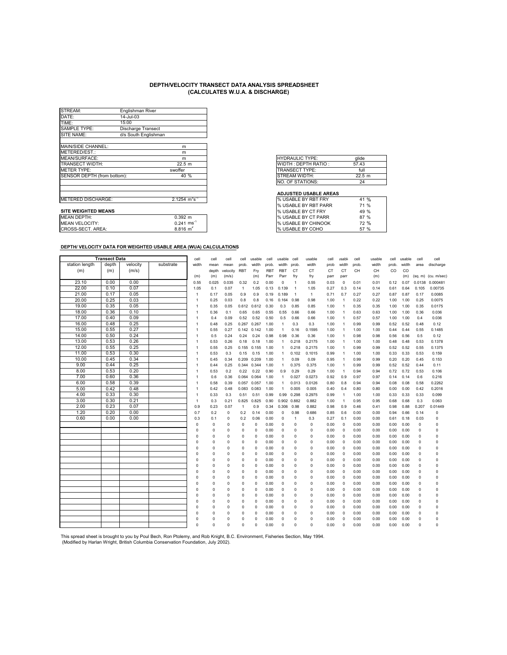| STREAM:                     | Englishman River          |                          |
|-----------------------------|---------------------------|--------------------------|
| DATE:                       | 14-Jul-03                 |                          |
| TIME:                       | 15:00                     |                          |
| <b>SAMPLE TYPE:</b>         | <b>Discharge Transect</b> |                          |
| SITE NAME:                  | d/s South Englishman      |                          |
|                             |                           |                          |
| MAIN/SIDE CHANNEL:          |                           | m                        |
| METERED/EST.:               |                           | m                        |
| MEAN/SURFACE:               |                           | m                        |
| TRANSECT WIDTH:             |                           | 22.5 m                   |
| <b>METER TYPE:</b>          |                           | swoffer                  |
| SENSOR DEPTH (from bottom): |                           | 40 %                     |
|                             |                           |                          |
|                             |                           |                          |
|                             |                           |                          |
| METERED DISCHARGE:          |                           | 2.1254 $m^3s^{-1}$       |
|                             |                           |                          |
| <b>SITE WEIGHTED MEANS</b>  |                           |                          |
| <b>MEAN DEPTH:</b>          |                           | $0.392$ m                |
| <b>MEAN VELOCITY:</b>       |                           | $0.241$ ms <sup>-1</sup> |
| CROSS-SECT. AREA:           |                           | $8.816 \text{ m}^2$      |

| glide  |
|--------|
| 57.43  |
| full   |
| 22.5 m |
| 24     |
|        |

#### **ADJUSTED USABLE AREAS**

| I% USABLE BY RBT FRY       | $\%$<br>41          |
|----------------------------|---------------------|
| I% USABLE BY RBT PARR      | 71 %                |
| <b>% USABLE BY CT FRY</b>  | 49 %                |
| % USABLE BY CT PARR        | 87%                 |
| <b>% USABLE BY CHINOOK</b> | 72 %                |
| % USABLE BY COHO           | $\frac{0}{0}$<br>57 |

#### **DEPTH/ VELOCITY DATA FOR WEIGHTED USABLE AREA (WUA) CALCULATIONS**

|                | <b>Transect Data</b> |          |           | cell           | cell        | cell        | cell         | usable   | cell       | usable         | cell           | usable       | cell | <b>isable</b>  | cell  | usable | cell  | usable | cell        | cell                |
|----------------|----------------------|----------|-----------|----------------|-------------|-------------|--------------|----------|------------|----------------|----------------|--------------|------|----------------|-------|--------|-------|--------|-------------|---------------------|
| station length | depth                | velocity | substrate | width          | mean        | mean        | prob.        | width    | prob.      | width          | prob           | width        | prob | width          | prob. | width  | prob. | width  | area        | discharge           |
| (m)            | (m)                  | (m/s)    |           |                | depth       | velocity    | <b>RBT</b>   | Fry      | <b>RBT</b> | <b>RBT</b>     | <b>CT</b>      | CT           | CT   | CT             | CH    | CH     | CO    | CO     |             |                     |
|                |                      |          |           | (m)            | (m)         | (m/s)       |              | (m)      | Parr       | Parr           | fry            | fry          | parr | parr           |       | (m)    |       | (m)    |             | (sq. m) (cu. m/sec) |
| 23.10          | 0.00                 | 0.00     |           | 0.55           | 0.025       | 0.035       | 0.32         | 0.2      | 0.00       | 0              | $\mathbf{1}$   | 0.55         | 0.03 | $\mathbf 0$    | 0.01  | 0.01   | 0.12  | 0.07   | 0.0138      | 0.000481            |
| 22.00          | 0.10                 | 0.07     |           | 1.05           | 0.1         | 0.07        | $\mathbf{1}$ | 1.05     | 0.13       | 0.139          | $\overline{1}$ | 1.05         | 0.27 | 0.3            | 0.14  | 0.14   | 0.61  | 0.64   | 0.105       | 0.00735             |
| 21.00          | 0.17                 | 0.05     |           | $\overline{1}$ | 0.17        | 0.05        | 0.9          | 0.9      | 0.19       | 0.189          | $\mathbf{1}$   | $\mathbf{1}$ | 0.71 | 0.7            | 0.27  | 0.27   | 0.87  | 0.87   | 0.17        | 0.0085              |
| 20.00          | 0.25                 | 0.03     |           | $\overline{1}$ | 0.25        | 0.03        | 0.8          | 0.8      | 0.16       | 0.164          | 0.98           | 0.98         | 1.00 | $\overline{1}$ | 0.22  | 0.22   | 1.00  | 1.00   | 0.25        | 0.0075              |
| 19.00          | 0.35                 | 0.05     |           | $\mathbf{1}$   | 0.35        | 0.05        | 0.612        | 0.612    | 0.30       | 0.3            | 0.85           | 0.85         | 1.00 | $\overline{1}$ | 0.35  | 0.35   | 1.00  | 1.00   | 0.35        | 0.0175              |
| 18.00          | 0.36                 | 0.10     |           | 1              | 0.36        | 0.1         | 0.65         | 0.65     | 0.55       | 0.55           | 0.66           | 0.66         | 1.00 | $\overline{1}$ | 0.63  | 0.63   | 1.00  | 1.00   | 0.36        | 0.036               |
| 17.00          | 0.40                 | 0.09     |           | 1              | 0.4         | 0.09        | 0.52         | 0.52     | 0.50       | 0.5            | 0.66           | 0.66         | 1.00 | $\overline{1}$ | 0.57  | 0.57   | 1.00  | 1.00   | 0.4         | 0.036               |
| 16.00          | 0.48                 | 0.25     |           | 1              | 0.48        | 0.25        | 0.267        | 0.267    | 1.00       | $\overline{1}$ | 0.3            | 0.3          | 1.00 | $\overline{1}$ | 0.99  | 0.99   | 0.52  | 0.52   | 0.48        | 0.12                |
| 15.00          | 0.55                 | 0.27     |           | $\mathbf{1}$   | 0.55        | 0.27        | 0.142        | 0.142    | 1.00       | $\overline{1}$ | 0.16           | 0.1595       | 1.00 | $\overline{1}$ | 1.00  | 1.00   | 0.44  | 0.44   | 0.55        | 0.1485              |
| 14.00          | 0.50                 | 0.24     |           | 1              | 0.5         | 0.24        | 0.24         | 0.24     | 0.98       | 0.98           | 0.36           | 0.36         | 1.00 | $\overline{1}$ | 0.98  | 0.98   | 0.56  | 0.56   | 0.5         | 0.12                |
| 13.00          | 0.53                 | 0.26     |           | 1              | 0.53        | 0.26        | 0.18         | 0.18     | 1.00       | $\overline{1}$ | 0.218          | 0.2175       | 1.00 | $\overline{1}$ | 1.00  | 1.00   | 0.48  | 0.48   | 0.53        | 0.1378              |
| 12.00          | 0.55                 | 0.25     |           | $\overline{1}$ | 0.55        | 0.25        | 0.155        | 0.155    | 1.00       | $\mathbf{1}$   | 0.218          | 0.2175       | 1.00 | $\overline{1}$ | 0.99  | 0.99   | 0.52  | 0.52   | 0.55        | 0.1375              |
| 11.00          | 0.53                 | 0.30     |           | $\mathbf{1}$   | 0.53        | 0.3         | 0.15         | 0.15     | 1.00       | $\mathbf{1}$   | 0.102          | 0.1015       | 0.99 | $\overline{1}$ | 1.00  | 1.00   | 0.33  | 0.33   | 0.53        | 0.159               |
| 10.00          | 0.45                 | 0.34     |           | 1              | 0.45        | 0.34        | 0.209        | 0.209    | 1.00       | $\overline{1}$ | 0.09           | 0.09         | 0.95 | -1             | 0.99  | 0.99   | 0.20  | 0.20   | 0.45        | 0.153               |
| 9.00           | 0.44                 | 0.25     |           | 1              | 0.44        | 0.25        | 0.344        | 0.344    | 1.00       | $\overline{1}$ | 0.375          | 0.375        | 1.00 | $\overline{1}$ | 0.99  | 0.99   | 0.52  | 0.52   | 0.44        | 0.11                |
| 8.00           | 0.53                 | 0.20     |           | $\mathbf{1}$   | 0.53        | 0.2         | 0.22         | 0.22     | 0.90       | 0.9            | 0.29           | 0.29         | 1.00 | $\overline{1}$ | 0.94  | 0.94   | 0.72  | 0.72   | 0.53        | 0.106               |
| 7.00           | 0.60                 | 0.36     |           | 1              | 0.6         | 0.36        | 0.064        | 0.064    | 1.00       | $\mathbf{1}$   | 0.027          | 0.0273       | 0.92 | 0.9            | 0.97  | 0.97   | 0.14  | 0.14   | 0.6         | 0.216               |
| 6.00           | 0.58                 | 0.39     |           | 1              | 0.58        | 0.39        | 0.057        | 0.057    | 1.00       | $\mathbf{1}$   | 0.013          | 0.0126       | 0.80 | 0.8            | 0.94  | 0.94   | 0.08  | 0.08   | 0.58        | 0.2262              |
| 5.00           | 0.42                 | 0.48     |           | $\mathbf{1}$   | 0.42        | 0.48        | 0.083        | 0.083    | 1.00       | $\mathbf{1}$   | 0.005          | 0.005        | 0.40 | 0.4            | 0.80  | 0.80   | 0.00  | 0.00   | 0.42        | 0.2016              |
| 4.00           | 0.33                 | 0.30     |           | $\mathbf{1}$   | 0.33        | 0.3         | 0.51         | 0.51     | 0.99       | 0.99           | 0.298          | 0.2975       | 0.99 | $\overline{1}$ | 1.00  | 1.00   | 0.33  | 0.33   | 0.33        | 0.099               |
| 3.00           | 0.30                 | 0.21     |           | $\overline{1}$ | 0.3         | 0.21        | 0.825        | 0.825    | 0.90       | 0.902          | 0.882          | 0.882        | 1.00 | $\overline{1}$ | 0.95  | 0.95   | 0.68  | 0.68   | 0.3         | 0.063               |
| 2.00           | 0.23                 | 0.07     |           | 0.9            | 0.23        | 0.07        | $\mathbf{1}$ | 0.9      | 0.34       | 0.306          | 0.98           | 0.882        | 0.98 | 0.9            | 0.46  | 0.41   | 0.98  | 0.88   | 0.207       | 0.01449             |
| 1.20           | 0.20                 | 0.00     |           | 0.7            | 0.2         | $\mathbf 0$ | 0.2          | 0.14     | 0.00       | 0              | 0.98           | 0.686        | 0.85 | 0.6            | 0.00  | 0.00   | 0.94  | 0.66   | 0.14        | 0                   |
| 0.60           | 0.00                 | 0.00     |           | 0.3            | 0.1         | 0           | 0.2          | 0.06     | 0.00       | 0              | $\mathbf{1}$   | 0.3          | 0.27 | 0.1            | 0.00  | 0.00   | 0.61  | 0.18   | 0.03        | 0                   |
|                |                      |          |           | $\mathbf 0$    | $\Omega$    | 0           | 0            | 0        | 0.00       | 0              | $\mathbf 0$    | $\mathbf 0$  | 0.00 | $\mathbf 0$    | 0.00  | 0.00   | 0.00  | 0.00   | 0           | $\Omega$            |
|                |                      |          |           | $\Omega$       | $\Omega$    | $\Omega$    | 0            | $\Omega$ | 0.00       | $\Omega$       | $\mathbf 0$    | $\Omega$     | 0.00 | $\mathbf 0$    | 0.00  | 0.00   | 0.00  | 0.00   | 0           | 0                   |
|                |                      |          |           | O              | $\Omega$    | 0           | 0            | 0        | 0.00       | 0              | $\Omega$       | $\Omega$     | 0.00 | 0              | 0.00  | 0.00   | 0.00  | 0.00   | 0           | $\Omega$            |
|                |                      |          |           | $\Omega$       | $\Omega$    | $\Omega$    | 0            | $\Omega$ | 0.00       | $\Omega$       | $\Omega$       | 0            | 0.00 | $\Omega$       | 0.00  | 0.00   | 0.00  | 0.00   | 0           | $\Omega$            |
|                |                      |          |           | $\Omega$       | 0           | $\Omega$    | 0            | $\Omega$ | 0.00       | $\Omega$       | $\Omega$       | $\Omega$     | 0.00 | $\Omega$       | 0.00  | 0.00   | 0.00  | 0.00   | $\mathsf 0$ | $\Omega$            |
|                |                      |          |           | $\Omega$       | 0           | 0           | 0            | $\Omega$ | 0.00       | 0              | 0              | 0            | 0.00 | 0              | 0.00  | 0.00   | 0.00  | 0.00   | 0           | 0                   |
|                |                      |          |           | C              | $\mathbf 0$ | 0           | 0            | $\Omega$ | 0.00       | 0              | 0              | 0            | 0.00 | 0              | 0.00  | 0.00   | 0.00  | 0.00   | 0           | 0                   |
|                |                      |          |           | $\Omega$       | $\Omega$    | $\Omega$    | 0            | $\Omega$ | 0.00       | $\Omega$       | $\Omega$       | $\Omega$     | 0.00 | $\Omega$       | 0.00  | 0.00   | 0.00  | 0.00   | $\Omega$    | $\Omega$            |
|                |                      |          |           | $\Omega$       | $\Omega$    | $\Omega$    | 0            | $\Omega$ | 0.00       | $\Omega$       | $\Omega$       | $\Omega$     | 0.00 | $\Omega$       | 0.00  | 0.00   | 0.00  | 0.00   | $\Omega$    | $\Omega$            |
|                |                      |          |           | C              | $\Omega$    | $\Omega$    | 0            | 0        | 0.00       | $\Omega$       | $\Omega$       | $\Omega$     | 0.00 | $\Omega$       | 0.00  | 0.00   | 0.00  | 0.00   | 0           | $\Omega$            |
|                |                      |          |           | $\Omega$       | 0           | 0           | 0            | $\Omega$ | 0.00       | 0              | 0              | $\mathbf 0$  | 0.00 | 0              | 0.00  | 0.00   | 0.00  | 0.00   | O           | 0                   |
|                |                      |          |           | $\Omega$       | $\Omega$    | 0           | 0            | $\Omega$ | 0.00       | 0              | 0              | $\Omega$     | 0.00 | 0              | 0.00  | 0.00   | 0.00  | 0.00   | 0           | $\Omega$            |
|                |                      |          |           | $\Omega$       | $\Omega$    | $\Omega$    | 0            | $\Omega$ | 0.00       | $\Omega$       | $\Omega$       | $\Omega$     | 0.00 | $\Omega$       | 0.00  | 0.00   | 0.00  | 0.00   | 0           | $\Omega$            |
|                |                      |          |           | C              | $\Omega$    | $\Omega$    | 0            | 0        | 0.00       | $\Omega$       | $\Omega$       | $\Omega$     | 0.00 | 0              | 0.00  | 0.00   | 0.00  | 0.00   | 0           | $\Omega$            |
|                |                      |          |           | $\Omega$       | $\Omega$    | $\Omega$    | 0            | $\Omega$ | 0.00       | $\Omega$       | $\Omega$       | $\Omega$     | 0.00 | $\Omega$       | 0.00  | 0.00   | 0.00  | 0.00   | 0           | $\Omega$            |
|                |                      |          |           | $\Omega$       | 0           | 0           | 0            | $\Omega$ | 0.00       | $\Omega$       | 0              | $\Omega$     | 0.00 | $\Omega$       | 0.00  | 0.00   | 0.00  | 0.00   | 0           | $\Omega$            |
|                |                      |          |           | $\Omega$       | $\Omega$    | $\Omega$    | 0            | $\Omega$ | 0.00       | 0              | $\Omega$       | $\Omega$     | 0.00 | $\Omega$       | 0.00  | 0.00   | 0.00  | 0.00   | O           | $\Omega$            |
|                |                      |          |           | $\Omega$       | $\Omega$    | $\Omega$    | $\Omega$     | $\Omega$ | 0.00       | $\Omega$       | O              | $\Omega$     | 0.00 | $\Omega$       | 0.00  | 0.00   | 0.00  | 0.00   | Ò           | $\overline{0}$      |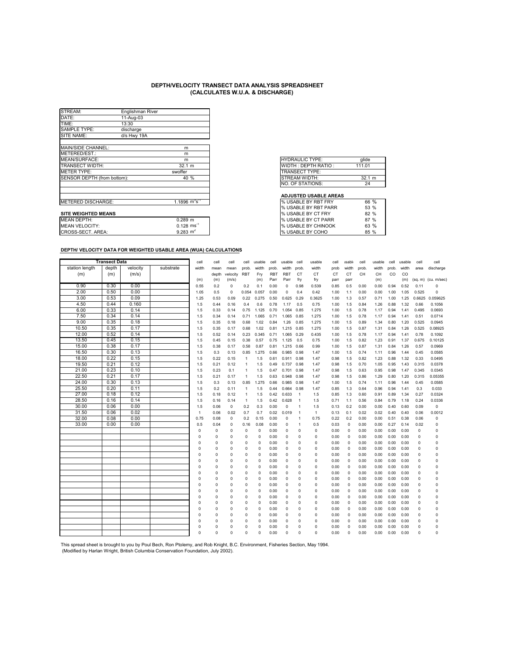| STREAM:                     | Englishman River |                      |                              |         |
|-----------------------------|------------------|----------------------|------------------------------|---------|
| DATE:                       | 11-Aug-03        |                      |                              |         |
| TIME:                       | 13:30            |                      |                              |         |
| <b>SAMPLE TYPE:</b>         | discharge        |                      |                              |         |
| SITE NAME:                  | d/s Hwy 19A      |                      |                              |         |
| MAIN/SIDE CHANNEL:          |                  | m                    |                              |         |
| METERED/EST.:               |                  | m                    |                              |         |
| MEAN/SURFACE:               |                  | m                    | <b>HYDRAULIC TYPE:</b>       | glide   |
| <b>TRANSECT WIDTH:</b>      |                  | 32.1 m               | WIDTH: DEPTH RATIO:          | 111.01  |
| <b>METER TYPE:</b>          |                  | swoffer              | TRANSECT TYPE:               |         |
| SENSOR DEPTH (from bottom): |                  | 40 %                 | <b>STREAM WIDTH:</b>         | 32.1 m  |
|                             |                  |                      | <b>NO. OF STATIONS:</b>      | 24      |
|                             |                  |                      | <b>ADJUSTED USABLE AREAS</b> |         |
| METERED DISCHARGE:          |                  | 1.1896 $m^3s^{-1}$   | % USABLE BY RBT FRY          | 66 %    |
|                             |                  |                      | % USABLE BY RBT PARR         | 53 %    |
| <b>SITE WEIGHTED MEANS</b>  |                  |                      | % USABLE BY CT FRY           | 82 %    |
|                             |                  | $\sim$ $\sim$ $\sim$ | $21.1217 + 21.527$           | $- - -$ |

| <b>HYDRAULIC TYPE:</b>     | glide  |
|----------------------------|--------|
| <b>WIDTH: DEPTH RATIO:</b> | 111.01 |
| <b>TRANSECT TYPE:</b>      |        |
| STREAM WIDTH:              | 32.1 m |
| NO. OF STATIONS:           | 24     |

#### **ADJUSTED USABLE AREAS**

| METERED DISCHARGE:         | $.1896 \text{ m}^3\text{s}$ | I% USABLE BY RBT FRY         | 66 % |
|----------------------------|-----------------------------|------------------------------|------|
|                            |                             | <b>1% USABLE BY RBT PARR</b> | 53 % |
| <b>SITE WEIGHTED MEANS</b> |                             | <b>I</b> % USABLE BY CT FRY  | 82 % |
| MEAN DEPTH:                | 0.289 m                     | <b>I</b> % USABLE BY CT PARR | 87 % |
| <b>MEAN VELOCITY:</b>      | $0.128$ ms <sup>-2</sup>    | <b>I</b> % USABLE BY CHINOOK | 63 % |
| CROSS-SECT. AREA:          | 9.283 $m2$                  | I% USABLE BY COHO            | 85 % |

#### **DEPTH/ VELOCITY DATA FOR WEIGHTED USABLE AREA (WUA) CALCULATIONS**

|                | <b>Transect Data</b> |          |           | cell           | cell     | cell        | cell         | usable      | cell  | usable      | cell           | usable       | cell | <b>isable</b> | cell  | usable | cell  | usable | cell        | cell                |
|----------------|----------------------|----------|-----------|----------------|----------|-------------|--------------|-------------|-------|-------------|----------------|--------------|------|---------------|-------|--------|-------|--------|-------------|---------------------|
| station length | depth                | velocity | substrate | width          | mean     | mean        | prob.        | width       | prob. | width       | prob           | width        | prob | width         | prob. | width  | prob. | width  | area        | discharge           |
| (m)            | (m)                  | (m/s)    |           |                | depth    | velocity    | <b>RBT</b>   | Fry         | RBT   | RBT         | CT             | CT           | CT   | СT            | CH    | CН     | CO    | CO     |             |                     |
|                |                      |          |           | (m)            | (m)      | (m/s)       |              | (m)         | Parr  | Parr        | fry            | fry          | parr | parr          |       | (m)    |       | (m)    |             | (sq. m) (cu. m/sec) |
| 0.90           | 0.30                 | 0.00     |           | 0.55           | 0.2      | $\mathbf 0$ | 0.2          | 0.1         | 0.00  | $\mathbf 0$ | 0.98           | 0.539        | 0.85 | 0.5           | 0.00  | 0.00   | 0.94  | 0.52   | 0.11        | $\Omega$            |
| 2.00           | 0.50                 | 0.00     |           | 1.05           | 0.5      | $\mathbf 0$ | 0.054        | 0.057       | 0.00  | $\mathbf 0$ | 0.4            | 0.42         | 1.00 | 1.1           | 0.00  | 0.00   | 1.00  | 1.05   | 0.525       | $\Omega$            |
| 3.00           | 0.53                 | 0.09     |           | 1.25           | 0.53     | 0.09        | 0.22         | 0.275       | 0.50  | 0.625       | 0.29           | 0.3625       | 1.00 | 1.3           | 0.57  | 0.71   | 1.00  | 1.25   | 0.6625      | 0.059625            |
| 4.50           | 0.44                 | 0.160    |           | 1.5            | 0.44     | 0.16        | 0.4          | 0.6         | 0.78  | 1.17        | 0.5            | 0.75         | 1.00 | 1.5           | 0.84  | 1.26   | 0.88  | 1.32   | 0.66        | 0.1056              |
| 6.00           | 0.33                 | 0.14     |           | 1.5            | 0.33     | 0.14        | 0.75         | 1.125       | 0.70  | 1.054       | 0.85           | 1.275        | 1.00 | 1.5           | 0.78  | 1.17   | 0.94  | 1.41   | 0.495       | 0.0693              |
| 7.50           | 0.34                 | 0.14     |           | 1.5            | 0.34     | 0.14        | 0.71         | 1.065       | 0.71  | 1.065       | 0.85           | 1.275        | 1.00 | 1.5           | 0.78  | 1.17   | 0.94  | 1.41   | 0.51        | 0.0714              |
| 9.00           | 0.35                 | 0.18     |           | 1.5            | 0.35     | 0.18        | 0.68         | 1.02        | 0.84  | 1.26        | 0.85           | 1.275        | 1.00 | 1.5           | 0.89  | 1.34   | 0.80  | 1.20   | 0.525       | 0.0945              |
| 10.50          | 0.35                 | 0.17     |           | 1.5            | 0.35     | 0.17        | 0.68         | 1.02        | 0.81  | 1.215       | 0.85           | 1.275        | 1.00 | 1.5           | 0.87  | 1.31   | 0.84  | 1.26   | 0.525       | 0.08925             |
| 12.00          | 0.52                 | 0.14     |           | 1.5            | 0.52     | 0.14        | 0.23         | 0.345       | 0.71  | 1.065       | 0.29           | 0.435        | 1.00 | 1.5           | 0.78  | 1.17   | 0.94  | 1.41   | 0.78        | 0.1092              |
| 13.50          | 0.45                 | 0.15     |           | 1.5            | 0.45     | 0.15        | 0.38         | 0.57        | 0.75  | 1.125       | 0.5            | 0.75         | 1.00 | 1.5           | 0.82  | 1.23   | 0.91  | 1.37   | 0.675       | 0.10125             |
| 15.00          | 0.38                 | 0.17     |           | 1.5            | 0.38     | 0.17        | 0.58         | 0.87        | 0.81  | 1.215       | 0.66           | 0.99         | 1.00 | 1.5           | 0.87  | 1.31   | 0.84  | 1.26   | 0.57        | 0.0969              |
| 16.50          | 0.30                 | 0.13     |           | 1.5            | 0.3      | 0.13        | 0.85         | 1.275       | 0.66  | 0.985       | 0.98           | 1.47         | 1.00 | 1.5           | 0.74  | 1.11   | 0.96  | 1.44   | 0.45        | 0.0585              |
| 18.00          | 0.22                 | 0.15     |           | 1.5            | 0.22     | 0.15        | $\mathbf{1}$ | 1.5         | 0.61  | 0.911       | 0.98           | 1.47         | 0.98 | 1.5           | 0.82  | 1.23   | 0.88  | 1.32   | 0.33        | 0.0495              |
| 19.50          | 0.21                 | 0.12     |           | 1.5            | 0.21     | 0.12        | $\mathbf{1}$ | 1.5         | 0.49  | 0.737       | 0.98           | 1.47         | 0.98 | 1.5           | 0.70  | 1.05   | 0.95  | 1.43   | 0.315       | 0.0378              |
| 21.00          | 0.23                 | 0.10     |           | 1.5            | 0.23     | 0.1         | $\mathbf{1}$ | 1.5         | 0.47  | 0.701       | 0.98           | 1.47         | 0.98 | 1.5           | 0.63  | 0.95   | 0.98  | 1.47   | 0.345       | 0.0345              |
| 22.50          | 0.21                 | 0.17     |           | 1.5            | 0.21     | 0.17        | $\mathbf{1}$ | 1.5         | 0.63  | 0.948       | 0.98           | 1.47         | 0.98 | 1.5           | 0.86  | 1.29   | 0.80  | 1.20   | 0.315       | 0.05355             |
| 24.00          | 0.30                 | 0.13     |           | 1.5            | 0.3      | 0.13        | 0.85         | 1.275       | 0.66  | 0.985       | 0.98           | 1.47         | 1.00 | 1.5           | 0.74  | 1.11   | 0.96  | 1.44   | 0.45        | 0.0585              |
| 25.50          | 0.20                 | 0.11     |           | 1.5            | 0.2      | 0.11        | $\mathbf{1}$ | 1.5         | 0.44  | 0.664       | 0.98           | 1.47         | 0.85 | 1.3           | 0.64  | 0.96   | 0.94  | 1.41   | 0.3         | 0.033               |
| 27.00          | 0.18                 | 0.12     |           | 1.5            | 0.18     | 0.12        | $\mathbf{1}$ | 1.5         | 0.42  | 0.633       | $\overline{1}$ | 1.5          | 0.85 | 1.3           | 0.60  | 0.91   | 0.89  | 1.34   | 0.27        | 0.0324              |
| 28.50          | 0.16                 | 0.14     |           | 1.5            | 0.16     | 0.14        | $\mathbf{1}$ | 1.5         | 0.42  | 0.628       | $\overline{1}$ | 1.5          | 0.71 | 1.1           | 0.56  | 0.84   | 0.79  | 1.18   | 0.24        | 0.0336              |
| 30.00          | 0.06                 | 0.00     |           | 1.5            | 0.06     | $\mathbf 0$ | 0.2          | 0.3         | 0.00  | $\mathbf 0$ | $\overline{1}$ | 1.5          | 0.13 | 0.2           | 0.00  | 0.00   | 0.40  | 0.60   | 0.09        | $\mathbf 0$         |
| 31.50          | 0.06                 | 0.02     |           | $\mathbf{1}$   | 0.06     | 0.02        | 0.7          | 0.7         | 0.02  | 0.019       | $\overline{1}$ | $\mathbf{1}$ | 0.13 | 0.1           | 0.02  | 0.02   | 0.40  | 0.40   | 0.06        | 0.0012              |
| 32.00          | 0.08                 | 0.00     |           | 0.75           | 0.08     | 0           | 0.2          | 0.15        | 0.00  | $\Omega$    | $\mathbf{1}$   | 0.75         | 0.22 | 0.2           | 0.00  | 0.00   | 0.51  | 0.38   | 0.06        | 0                   |
| 33.00          | 0.00                 | 0.00     |           | 0.5            | 0.04     | $\Omega$    | 0.16         | 0.08        | 0.00  | $\Omega$    | $\mathbf{1}$   | 0.5          | 0.03 | 0             | 0.00  | 0.00   | 0.27  | 0.14   | 0.02        | $\Omega$            |
|                |                      |          |           | 0              | 0        | $\Omega$    | 0            | 0           | 0.00  | 0           | 0              | 0            | 0.00 | 0             | 0.00  | 0.00   | 0.00  | 0.00   | $\mathbf 0$ | 0                   |
|                |                      |          |           | C              | $\Omega$ | $\Omega$    | $\Omega$     | 0           | 0.00  | $\Omega$    | $\Omega$       | $\Omega$     | 0.00 | $\Omega$      | 0.00  | 0.00   | 0.00  | 0.00   | $\mathbf 0$ | $\Omega$            |
|                |                      |          |           | $\mathfrak{g}$ | $\Omega$ | $\Omega$    | 0            | 0           | 0.00  | $\Omega$    | 0              | $\Omega$     | 0.00 | 0             | 0.00  | 0.00   | 0.00  | 0.00   | $\Omega$    | $\Omega$            |
|                |                      |          |           | C              | 0        | $\Omega$    | 0            | 0           | 0.00  | $\Omega$    | 0              | 0            | 0.00 | 0             | 0.00  | 0.00   | 0.00  | 0.00   | 0           | C                   |
|                |                      |          |           | C              | $\Omega$ | $\Omega$    | 0            | $\pmb{0}$   | 0.00  | $\Omega$    | 0              | O            | 0.00 | 0             | 0.00  | 0.00   | 0.00  | 0.00   | $\mathbf 0$ | $\Omega$            |
|                |                      |          |           | C              | 0        | $\Omega$    | 0            | $\mathbf 0$ | 0.00  | 0           | 0              | $\Omega$     | 0.00 | 0             | 0.00  | 0.00   | 0.00  | 0.00   | $\mathbf 0$ | $\Omega$            |
|                |                      |          |           | C              | $\Omega$ | $\Omega$    | 0            | $\mathbf 0$ | 0.00  | $\Omega$    | 0              | $\Omega$     | 0.00 | $\Omega$      | 0.00  | 0.00   | 0.00  | 0.00   | $\mathbf 0$ | $\Omega$            |
|                |                      |          |           | $\mathfrak{g}$ | 0        | $\Omega$    | $\Omega$     | $\mathbf 0$ | 0.00  | $\Omega$    | Ō              | $\Omega$     | 0.00 | 0             | 0.00  | 0.00   | 0.00  | 0.00   | $\Omega$    | $\Omega$            |
|                |                      |          |           | C              | $\Omega$ | $\Omega$    | 0            | $\pmb{0}$   | 0.00  | $\Omega$    | 0              | O            | 0.00 | $\Omega$      | 0.00  | 0.00   | 0.00  | 0.00   | $\mathbf 0$ | $\Omega$            |
|                |                      |          |           | C              | 0        | $\Omega$    | $\Omega$     | $\pmb{0}$   | 0.00  | $\Omega$    | $\Omega$       | $\Omega$     | 0.00 | $\Omega$      | 0.00  | 0.00   | 0.00  | 0.00   | $\mathbf 0$ | $\Omega$            |
|                |                      |          |           | C              | $\Omega$ | $\Omega$    | 0            | 0           | 0.00  | 0           | $\Omega$       | 0            | 0.00 | 0             | 0.00  | 0.00   | 0.00  | 0.00   | $\mathbf 0$ | 0                   |
|                |                      |          |           | C              | $\Omega$ | $\Omega$    | 0            | $\mathbf 0$ | 0.00  | $\Omega$    | $\Omega$       | $\Omega$     | 0.00 | $\Omega$      | 0.00  | 0.00   | 0.00  | 0.00   | $\mathbf 0$ | $\mathfrak{g}$      |
|                |                      |          |           | C              | 0        | $\Omega$    | 0            | 0           | 0.00  | $\Omega$    | $\Omega$       | O            | 0.00 | 0             | 0.00  | 0.00   | 0.00  | 0.00   | $\Omega$    | $\Omega$            |
|                |                      |          |           | C              | 0        | $\Omega$    | 0            | $\mathbf 0$ | 0.00  | $\Omega$    | 0              | $\Omega$     | 0.00 | 0             | 0.00  | 0.00   | 0.00  | 0.00   | $\mathbf 0$ | $\Omega$            |
|                |                      |          |           | C              | 0        | $\Omega$    | 0            | 0           | 0.00  | 0           | 0              | 0            | 0.00 | $\Omega$      | 0.00  | 0.00   | 0.00  | 0.00   | $\mathbf 0$ | $\Omega$            |
|                |                      |          |           | C              | 0        | $\Omega$    | $\Omega$     | $\Omega$    | 0.00  | $\Omega$    | 0              | $\Omega$     | 0.00 | $\Omega$      | 0.00  | 0.00   | 0.00  | 0.00   | $\Omega$    | $\Omega$            |
|                |                      |          |           | C              | $\Omega$ | $\Omega$    | 0            | $\Omega$    | 0.00  | $\Omega$    | $\Omega$       | O            | 0.00 | $\Omega$      | 0.00  | 0.00   | 0.00  | 0.00   | $\mathbf 0$ | $\Omega$            |
|                |                      |          |           | $\Omega$       | $\Omega$ | $\Omega$    | 0            | $\Omega$    | 0.00  | $\Omega$    | $\Omega$       | $\Omega$     | 0.00 | $\Omega$      | 0.00  | 0.00   | 0.00  | 0.00   | O           | $\Omega$            |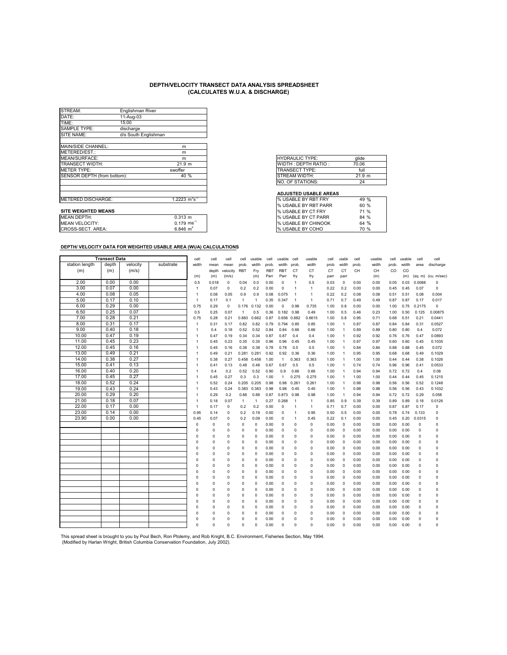| STREAM:                     | Englishman River     |                          |
|-----------------------------|----------------------|--------------------------|
| DATE:                       | 11-Aug-03            |                          |
| TIME:                       | 15:00                |                          |
| <b>SAMPLE TYPE:</b>         | discharge            |                          |
| SITE NAME:                  | d/s South Englishman |                          |
|                             |                      |                          |
| MAIN/SIDE CHANNEL:          |                      | m                        |
| METERED/EST.:               |                      | m                        |
| MEAN/SURFACE:               |                      | m                        |
| TRANSECT WIDTH:             |                      | 21.9 m                   |
| <b>METER TYPE:</b>          |                      | swoffer                  |
| SENSOR DEPTH (from bottom): |                      | 40 %                     |
|                             |                      |                          |
|                             |                      |                          |
|                             |                      |                          |
| METERED DISCHARGE:          |                      | 1.2223 $m^3 s^{-1}$      |
|                             |                      |                          |
| <b>SITE WEIGHTED MEANS</b>  |                      |                          |
| <b>MEAN DEPTH:</b>          |                      | $0.313$ m                |
| <b>MEAN VELOCITY:</b>       |                      | $0.179$ ms <sup>-1</sup> |
| CROSS-SECT. AREA:           |                      | $6.846 \; \text{m}^2$    |

| glide  |  |
|--------|--|
| 70.06  |  |
| full   |  |
| 21.9 m |  |
| 24     |  |
|        |  |

#### **ADJUSTED USABLE AREAS**

| <b>I</b> % USABLE BY RBT FRY | 49 $\%$ |
|------------------------------|---------|
| <b>I% USABLE BY RBT PARR</b> | 60%     |
| <b>% USABLE BY CT FRY</b>    | 71 %    |
| <b>% USABLE BY CT PARR</b>   | 84 %    |
| <b>% USABLE BY CHINOOK</b>   | 64%     |
| % USABLE BY COHO             | 70 %    |

#### **DEPTH/ VELOCITY DATA FOR WEIGHTED USABLE AREA (WUA) CALCULATIONS**

|                | <b>Transect Data</b> |          |           | cell           | cell     | cell        | cell           | usable         | cell       | usable         | cell           | usable       | cell      | <b>Isable</b>  | cell  | usable | cell  | usable | cell        | cell                |
|----------------|----------------------|----------|-----------|----------------|----------|-------------|----------------|----------------|------------|----------------|----------------|--------------|-----------|----------------|-------|--------|-------|--------|-------------|---------------------|
| station length | depth                | velocity | substrate | width          | mean     | mean        | prob.          | width          | prob.      | width          | prob.          | width        | prob      | width          | prob. | width  | prob. | width  | area        | discharge           |
| (m)            | (m)                  | (m/s)    |           |                | depth    | velocity    | <b>RBT</b>     | Fry            | <b>RBT</b> | <b>RBT</b>     | CT             | <b>CT</b>    | <b>CT</b> | <b>CT</b>      | CH    | CH     | CO    | CO     |             |                     |
|                |                      |          |           | (m)            | (m)      | (m/s)       |                | (m)            | Parr       | Parr           | fry            | fry          | parr      | parr           |       | (m)    |       | (m)    |             | (sq. m) (cu. m/sec) |
| 2.00           | 0.00                 | 0.00     |           | 0.5            | 0.018    | 0           | 0.04           | 0.0            | 0.00       | $\Omega$       | 1              | 0.5          | 0.03      | $\mathbf 0$    | 0.00  | 0.00   | 0.05  | 0.03   | 0.0088      | 0                   |
| 3.00           | 0.07                 | 0.00     |           | $\mathbf{1}$   | 0.07     | 0           | 0.2            | 0.2            | 0.00       | $\Omega$       | 1              | $\mathbf{1}$ | 0.22      | 0.2            | 0.00  | 0.00   | 0.45  | 0.45   | 0.07        | $\mathbf 0$         |
| 4.00           | 0.08                 | 0.05     |           | 1              | 0.08     | 0.05        | 0.9            | 0.9            | 0.08       | 0.075          | 1              | $\mathbf{1}$ | 0.22      | 0.2            | 0.08  | 0.08   | 0.51  | 0.51   | 0.08        | 0.004               |
| 5.00           | 0.17                 | 0.10     |           | $\mathbf{1}$   | 0.17     | 0.1         | $\mathbf{1}$   | $\overline{1}$ | 0.35       | 0.347          | $\overline{1}$ | $\mathbf{1}$ | 0.71      | 0.7            | 0.49  | 0.49   | 0.87  | 0.87   | 0.17        | 0.017               |
| 6.00           | 0.29                 | 0.00     |           | 0.75           | 0.29     | $\pmb{0}$   | 0.176          | 0.132          | 0.00       | 0              | 0.98           | 0.735        | 1.00      | 0.8            | 0.00  | 0.00   | 1.00  | 0.75   | 0.2175      | $\mathbf 0$         |
| 6.50           | 0.25                 | 0.07     |           | 0.5            | 0.25     | 0.07        | $\overline{1}$ | 0.5            | 0.36       | 0.182          | 0.98           | 0.49         | 1.00      | 0.5            | 0.46  | 0.23   | 1.00  | 0.50   | 0.125       | 0.00875             |
| 7.00           | 0.28                 | 0.21     |           | 0.75           | 0.28     | 0.21        | 0.883          | 0.662          | 0.87       | 0.656          | 0.882          | 0.6615       | 1.00      | 0.8            | 0.95  | 0.71   | 0.68  | 0.51   | 0.21        | 0.0441              |
| 8.00           | 0.31                 | 0.17     |           | $\mathbf{1}$   | 0.31     | 0.17        | 0.82           | 0.82           | 0.79       | 0.794          | 0.85           | 0.85         | 1.00      | $\mathbf{1}$   | 0.87  | 0.87   | 0.84  | 0.84   | 0.31        | 0.0527              |
| 9.00           | 0.40                 | 0.18     |           | $\overline{1}$ | 0.4      | 0.18        | 0.52           | 0.52           | 0.84       | 0.84           | 0.66           | 0.66         | 1.00      | $\overline{1}$ | 0.89  | 0.89   | 0.80  | 0.80   | 0.4         | 0.072               |
| 10.00          | 0.47                 | 0.19     |           | 1              | 0.47     | 0.19        | 0.34           | 0.34           | 0.87       | 0.87           | 0.4            | 0.4          | 1.00      | $\overline{1}$ | 0.92  | 0.92   | 0.76  | 0.76   | 0.47        | 0.0893              |
| 11.00          | 0.45                 | 0.23     |           | $\mathbf{1}$   | 0.45     | 0.23        | 0.35           | 0.35           | 0.96       | 0.96           | 0.45           | 0.45         | 1.00      | $\overline{1}$ | 0.97  | 0.97   | 0.60  | 0.60   | 0.45        | 0.1035              |
| 12.00          | 0.45                 | 0.16     |           | 1              | 0.45     | 0.16        | 0.38           | 0.38           | 0.78       | 0.78           | 0.5            | 0.5          | 1.00      | $\overline{1}$ | 0.84  | 0.84   | 0.88  | 0.88   | 0.45        | 0.072               |
| 13.00          | 0.49                 | 0.21     |           | $\mathbf{1}$   | 0.49     | 0.21        | 0.281          | 0.281          | 0.92       | 0.92           | 0.36           | 0.36         | 1.00      | $\overline{1}$ | 0.95  | 0.95   | 0.68  | 0.68   | 0.49        | 0.1029              |
| 14.00          | 0.38                 | 0.27     |           | 1              | 0.38     | 0.27        | 0.458          | 0.458          | 1.00       | $\overline{1}$ | 0.363          | 0.363        | 1.00      | $\overline{1}$ | 1.00  | 1.00   | 0.44  | 0.44   | 0.38        | 0.1026              |
| 15.00          | 0.41                 | 0.13     |           | $\overline{1}$ | 0.41     | 0.13        | 0.48           | 0.48           | 0.67       | 0.67           | 0.5            | 0.5          | 1.00      | $\overline{1}$ | 0.74  | 0.74   | 0.96  | 0.96   | 0.41        | 0.0533              |
| 16.00          | 0.40                 | 0.20     |           | $\mathbf{1}$   | 0.4      | 0.2         | 0.52           | 0.52           | 0.90       | 0.9            | 0.66           | 0.66         | 1.00      | $\overline{1}$ | 0.94  | 0.94   | 0.72  | 0.72   | 0.4         | 0.08                |
| 17.00          | 0.45                 | 0.27     |           | 1              | 0.45     | 0.27        | 0.3            | 0.3            | 1.00       | $\overline{1}$ | 0.275          | 0.275        | 1.00      | $\overline{1}$ | 1.00  | 1.00   | 0.44  | 0.44   | 0.45        | 0.1215              |
| 18.00          | 0.52                 | 0.24     |           | 1              | 0.52     | 0.24        | 0.205          | 0.205          | 0.98       | 0.98           | 0.261          | 0.261        | 1.00      | $\overline{1}$ | 0.98  | 0.98   | 0.56  | 0.56   | 0.52        | 0.1248              |
| 19.00          | 0.43                 | 0.24     |           | 1              | 0.43     | 0.24        | 0.383          | 0.383          | 0.98       | 0.98           | 0.45           | 0.45         | 1.00      | $\overline{1}$ | 0.98  | 0.98   | 0.56  | 0.56   | 0.43        | 0.1032              |
| 20.00          | 0.29                 | 0.20     |           | 1              | 0.29     | 0.2         | 0.88           | 0.88           | 0.87       | 0.873          | 0.98           | 0.98         | 1.00      | $\overline{1}$ | 0.94  | 0.94   | 0.72  | 0.72   | 0.29        | 0.058               |
| 21.00          | 0.18                 | 0.07     |           | $\mathbf{1}$   | 0.18     | 0.07        | $\overline{1}$ | $\overline{1}$ | 0.27       | 0.268          | $\mathbf{1}$   | $\mathbf{1}$ | 0.85      | 0.9            | 0.39  | 0.39   | 0.89  | 0.89   | 0.18        | 0.0126              |
| 22.00          | 0.17                 | 0.00     |           | $\overline{1}$ | 0.17     | $\mathbf 0$ | 0.2            | 0.2            | 0.00       | $\Omega$       | 1              | $\mathbf{1}$ | 0.71      | 0.7            | 0.00  | 0.00   | 0.87  | 0.87   | 0.17        | $\mathbf 0$         |
| 23.00          | 0.14                 | 0.00     |           | 0.95           | 0.14     | 0           | 0.2            | 0.19           | 0.00       | $\Omega$       | $\overline{1}$ | 0.95         | 0.50      | 0.5            | 0.00  | 0.00   | 0.78  | 0.74   | 0.133       | 0                   |
| 23.90          | 0.00                 | 0.00     |           | 0.45           | 0.07     | 0           | 0.2            | 0.09           | 0.00       | $\mathbf 0$    | 1              | 0.45         | 0.22      | 0.1            | 0.00  | 0.00   | 0.45  | 0.20   | 0.0315      | 0                   |
|                |                      |          |           | $\mathbf 0$    | 0        | $\mathbf 0$ | 0              | 0              | 0.00       | $\Omega$       | $\Omega$       | 0            | 0.00      | $\circ$        | 0.00  | 0.00   | 0.00  | 0.00   | $\mathbf 0$ | $\mathbf 0$         |
|                |                      |          |           | $\Omega$       | $\Omega$ | $\Omega$    | $\Omega$       | $\Omega$       | 0.00       | $\Omega$       | $\Omega$       | $\Omega$     | 0.00      | $\mathbf 0$    | 0.00  | 0.00   | 0.00  | 0.00   | 0           | $\mathbf 0$         |
|                |                      |          |           | $\Omega$       | $\Omega$ | $\Omega$    | $\Omega$       | 0              | 0.00       | $\Omega$       | $\Omega$       | $\Omega$     | 0.00      | $\mathbf 0$    | 0.00  | 0.00   | 0.00  | 0.00   | 0           | $\Omega$            |
|                |                      |          |           | n              | $\Omega$ | $\Omega$    | $\Omega$       | $\Omega$       | 0.00       | $\Omega$       | $\Omega$       | $\Omega$     | 0.00      | $\circ$        | 0.00  | 0.00   | 0.00  | 0.00   | $\Omega$    | $\Omega$            |
|                |                      |          |           | $\Omega$       | $\Omega$ | $\mathbf 0$ | $\Omega$       | $\Omega$       | 0.00       | $\Omega$       | $\Omega$       | 0            | 0.00      | $\mathbf 0$    | 0.00  | 0.00   | 0.00  | 0.00   | 0           | 0                   |
|                |                      |          |           | $\Omega$       | 0        | 0           | 0              | $\Omega$       | 0.00       | 0              | $\Omega$       | $\Omega$     | 0.00      | $\mathbf 0$    | 0.00  | 0.00   | 0.00  | 0.00   | 0           | 0                   |
|                |                      |          |           | $\Omega$       | 0        | $\mathbf 0$ | 0              | $\Omega$       | 0.00       | 0              | $\Omega$       | 0            | 0.00      | $\circ$        | 0.00  | 0.00   | 0.00  | 0.00   | $\mathbf 0$ | $\mathbf 0$         |
|                |                      |          |           | $\Omega$       | $\Omega$ | $\Omega$    | $\Omega$       | $\Omega$       | 0.00       | $\Omega$       | $\Omega$       | $\Omega$     | 0.00      | $\mathbf 0$    | 0.00  | 0.00   | 0.00  | 0.00   | $\Omega$    | $\Omega$            |
|                |                      |          |           | $\Omega$       | $\Omega$ | $\Omega$    | $\Omega$       | $\Omega$       | 0.00       | $\Omega$       | $\Omega$       | $\Omega$     | 0.00      | $^{\circ}$     | 0.00  | 0.00   | 0.00  | 0.00   | 0           | $\Omega$            |
|                |                      |          |           | $\Omega$       | $\Omega$ | 0           | 0              | $\Omega$       | 0.00       | $\Omega$       | $\Omega$       | 0            | 0.00      | $\mathbf 0$    | 0.00  | 0.00   | 0.00  | 0.00   | $\mathbf 0$ | 0                   |
|                |                      |          |           | $\Omega$       | $\Omega$ | $\Omega$    | $\Omega$       | $\Omega$       | 0.00       | $\Omega$       | $\Omega$       | $\Omega$     | 0.00      | $^{\circ}$     | 0.00  | 0.00   | 0.00  | 0.00   | $\Omega$    | $\mathbf 0$         |
|                |                      |          |           | $\Omega$       | $\Omega$ | $\Omega$    | $\Omega$       | $\Omega$       | 0.00       | $\Omega$       | $\Omega$       | $\Omega$     | 0.00      | $^{\circ}$     | 0.00  | 0.00   | 0.00  | 0.00   | 0           | $\Omega$            |
|                |                      |          |           | $\Omega$       | $\Omega$ | 0           | $\Omega$       | $\Omega$       | 0.00       | $\Omega$       | $\Omega$       | $\Omega$     | 0.00      | $\mathbf 0$    | 0.00  | 0.00   | 0.00  | 0.00   | $\Omega$    | $\mathbf 0$         |
|                |                      |          |           | $\Omega$       | $\Omega$ | 0           | $\Omega$       | $\Omega$       | 0.00       | $\Omega$       | $\Omega$       | $\Omega$     | 0.00      | $\mathbf 0$    | 0.00  | 0.00   | 0.00  | 0.00   | 0           | 0                   |
|                |                      |          |           | $\Omega$       | $\Omega$ | 0           | 0              | 0              | 0.00       | $\Omega$       | $\Omega$       | 0            | 0.00      | $^{\circ}$     | 0.00  | 0.00   | 0.00  | 0.00   | $\mathbf 0$ | $\Omega$            |
|                |                      |          |           | $\Omega$       | 0        | 0           | 0              | $\Omega$       | 0.00       | $\Omega$       | $\Omega$       | 0            | 0.00      | $^{\circ}$     | 0.00  | 0.00   | 0.00  | 0.00   | $\mathbf 0$ | $\mathbf 0$         |
|                |                      |          |           | $\Omega$       | $\Omega$ | $\Omega$    | $\Omega$       | 0              | 0.00       | $\Omega$       | $\Omega$       | $\Omega$     | 0.00      | $\Omega$       | 0.00  | 0.00   | 0.00  | 0.00   | $\Omega$    | $\Omega$            |
|                |                      |          |           | $\Omega$       | $\Omega$ | $\Omega$    | $\Omega$       | Ō              | 0.00       | $\Omega$       | $\Omega$       | $\Omega$     | 0.00      | $\Omega$       | 0.00  | 0.00   | 0.00  | 0.00   | $\Omega$    | $\Omega$            |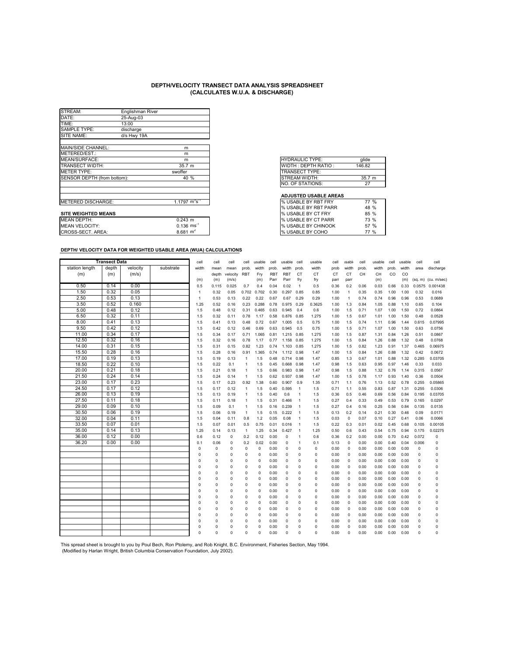| STREAM:                     | Englishman River |                    |                              |        |
|-----------------------------|------------------|--------------------|------------------------------|--------|
| DATE:                       | 25-Aug-03        |                    |                              |        |
| TIME:                       | 13:00            |                    |                              |        |
| <b>SAMPLE TYPE:</b>         | discharge        |                    |                              |        |
| SITE NAME:                  | d/s Hwy 19A      |                    |                              |        |
| MAIN/SIDE CHANNEL:          |                  | m                  |                              |        |
| METERED/EST.:               |                  | m                  |                              |        |
| MEAN/SURFACE:               |                  | m                  | <b>HYDRAULIC TYPE:</b>       | glide  |
| <b>TRANSECT WIDTH:</b>      |                  | 35.7 <sub>m</sub>  | WIDTH: DEPTH RATIO:          | 146.82 |
| <b>METER TYPE:</b>          |                  | swoffer            | TRANSECT TYPE:               |        |
| SENSOR DEPTH (from bottom): |                  | 40 %               | <b>STREAM WIDTH:</b>         | 35.7 m |
|                             |                  |                    | <b>NO. OF STATIONS:</b>      | 27     |
|                             |                  |                    | <b>ADJUSTED USABLE AREAS</b> |        |
| METERED DISCHARGE:          |                  | 1.1797 $m^3s^{-1}$ | % USABLE BY RBT FRY          | 77%    |
|                             |                  |                    | % USABLE BY RBT PARR         | 48 %   |
| <b>SITE WEIGHTED MEANS</b>  |                  |                    | % USABLE BY CT FRY           | 85 %   |
|                             |                  |                    |                              |        |

| <b>HYDRAULIC TYPE:</b>     | glide  |
|----------------------------|--------|
| <b>WIDTH: DEPTH RATIO:</b> | 146.82 |
| TRANSECT TYPE:             |        |
| <b>STREAM WIDTH:</b>       | 35.7 m |
| NO. OF STATIONS:           | 27     |
|                            |        |

#### **ADJUSTED USABLE AREAS**

| IMEAN DEPTH:      | 0.243 m                 | USABLE BY CT PARR<br>$\frac{10}{6}$        | 73 % |
|-------------------|-------------------------|--------------------------------------------|------|
| MEAN VELOCITY:    | $0.136$ ms <sup>-</sup> | <b>USABLE BY CHINOOK</b><br>$\frac{10}{6}$ | 57 % |
| CROSS-SECT, AREA: | 8.681 $m2$              | <b>USABLE BY COHO</b><br>$\frac{10}{6}$    | 77 % |

|                       | 89999169 998966 811689        |      |
|-----------------------|-------------------------------|------|
| $\mathsf{s}^\text{-}$ | % USABLE BY RBT FRY           | %    |
|                       | <b>I</b> % USABLE BY RBT PARR | 48 % |
|                       | <b>% USABLE BY CT FRY</b>     | 85%  |
|                       | <b>% USABLE BY CT PARR</b>    | 73 % |
| $-1$                  | <b>I</b> % USABLE BY CHINOOK  | 57%  |
|                       | % USABLE BY COHO              | 77 % |
|                       |                               |      |

#### **DEPTH/ VELOCITY DATA FOR WEIGHTED USABLE AREA (WUA) CALCULATIONS**

|                | <b>Transect Data</b> |          |           | cell           | cell        | cell        | cell         | usable      | cell       | usable     | cell           | usable   | cell | <b>isable</b>  | cell  | usable | cell  | usable | cell        | cell                |
|----------------|----------------------|----------|-----------|----------------|-------------|-------------|--------------|-------------|------------|------------|----------------|----------|------|----------------|-------|--------|-------|--------|-------------|---------------------|
| station length | depth                | velocity | substrate | width          | mean        | mean        | prob.        | width       | prob.      | width      | prob           | width    | prob | width          | prob. | width  | prob. | width  | area        | discharge           |
| (m)            | (m)                  | (m/s)    |           |                | depth       | velocity    | <b>RBT</b>   | Fry         | <b>RBT</b> | RBT        | CT             | CT       | CT   | СT             | CH    | CН     | CO    | CO     |             |                     |
|                |                      |          |           | (m)            | (m)         | (m/s)       |              | (m)         | Parr       | Parr       | fry            | fry      | parr | parr           |       | (m)    |       | (m)    |             | (sq. m) (cu. m/sec) |
| 0.50           | 0.14                 | 0.00     |           | 0.5            | 0.115       | 0.025       | 0.7          | 0.4         | 0.04       | 0.02       | $\overline{1}$ | 0.5      | 0.36 | 0.2            | 0.06  | 0.03   | 0.66  | 0.33   | 0.0575      | 0.001438            |
| 1.50           | 0.32                 | 0.05     |           | 1              | 0.32        | 0.05        | 0.702        | 0.702       | 0.30       | 0.297      | 0.85           | 0.85     | 1.00 | $\overline{1}$ | 0.35  | 0.35   | 1.00  | 1.00   | 0.32        | 0.016               |
| 2.50           | 0.53                 | 0.13     |           | 1              | 0.53        | 0.13        | 0.22         | 0.22        | 0.67       | 0.67       | 0.29           | 0.29     | 1.00 | $\mathbf{1}$   | 0.74  | 0.74   | 0.96  | 0.96   | 0.53        | 0.0689              |
| 3.50           | 0.52                 | 0.160    |           | 1.25           | 0.52        | 0.16        | 0.23         | 0.288       | 0.78       | 0.975      | 0.29           | 0.3625   | 1.00 | 1.3            | 0.84  | 1.05   | 0.88  | 1.10   | 0.65        | 0.104               |
| 5.00           | 0.48                 | 0.12     |           | 1.5            | 0.48        | 0.12        | 0.31         | 0.465       | 0.63       | 0.945      | 0.4            | 0.6      | 1.00 | 1.5            | 0.71  | 1.07   | 1.00  | 1.50   | 0.72        | 0.0864              |
| 6.50           | 0.32                 | 0.11     |           | 1.5            | 0.32        | 0.11        | 0.78         | 1.17        | 0.58       | 0.876      | 0.85           | 1.275    | 1.00 | 1.5            | 0.67  | 1.01   | 1.00  | 1.50   | 0.48        | 0.0528              |
| 8.00           | 0.41                 | 0.13     |           | 1.5            | 0.41        | 0.13        | 0.48         | 0.72        | 0.67       | 1.005      | 0.5            | 0.75     | 1.00 | 1.5            | 0.74  | 1.11   | 0.96  | 1.44   | 0.615       | 0.07995             |
| 9.50           | 0.42                 | 0.12     |           | 1.5            | 0.42        | 0.12        | 0.46         | 0.69        | 0.63       | 0.945      | 0.5            | 0.75     | 1.00 | 1.5            | 0.71  | 1.07   | 1.00  | 1.50   | 0.63        | 0.0756              |
| 11.00          | 0.34                 | 0.17     |           | 1.5            | 0.34        | 0.17        | 0.71         | 1.065       | 0.81       | 1.215 0.85 |                | 1.275    | 1.00 | 1.5            | 0.87  | 1.31   | 0.84  | 1.26   | 0.51        | 0.0867              |
| 12.50          | 0.32                 | 0.16     |           | 1.5            | 0.32        | 0.16        | 0.78         | 1.17        | 0.77       | 1.158 0.85 |                | 1.275    | 1.00 | 1.5            | 0.84  | 1.26   | 0.88  | 1.32   | 0.48        | 0.0768              |
| 14.00          | 0.31                 | 0.15     |           | 1.5            | 0.31        | 0.15        | 0.82         | 1.23        | 0.74       | 1.103      | 0.85           | 1.275    | 1.00 | 1.5            | 0.82  | 1.23   | 0.91  | 1.37   | 0.465       | 0.06975             |
| 15.50          | 0.28                 | 0.16     |           | 1.5            | 0.28        | 0.16        | 0.91         | 1.365       | 0.74       | 1.112 0.98 |                | 1.47     | 1.00 | 1.5            | 0.84  | 1.26   | 0.88  | 1.32   | 0.42        | 0.0672              |
| 17.00          | 0.19                 | 0.13     |           | 1.5            | 0.19        | 0.13        | $\mathbf{1}$ | 1.5         | 0.48       | 0.714 0.98 |                | 1.47     | 0.85 | 1.3            | 0.67  | 1.01   | 0.88  | 1.32   | 0.285       | 0.03705             |
| 18.50          | 0.22                 | 0.10     |           | 1.5            | 0.22        | 0.1         | $\mathbf{1}$ | 1.5         | 0.45       | 0.668      | 0.98           | 1.47     | 0.98 | 1.5            | 0.63  | 0.95   | 0.97  | 1.46   | 0.33        | 0.033               |
| 20.00          | 0.21                 | 0.18     |           | 1.5            | 0.21        | 0.18        | $\mathbf{1}$ | 1.5         | 0.66       | 0.983      | 0.98           | 1.47     | 0.98 | 1.5            | 0.88  | 1.32   | 0.76  | 1.14   | 0.315       | 0.0567              |
| 21.50          | 0.24                 | 0.14     |           | 1.5            | 0.24        | 0.14        | $\mathbf{1}$ | 1.5         | 0.62       | 0.937      | 0.98           | 1.47     | 1.00 | 1.5            | 0.78  | 1.17   | 0.93  | 1.40   | 0.36        | 0.0504              |
| 23.00          | 0.17                 | 0.23     |           | 1.5            | 0.17        | 0.23        | 0.92         | 1.38        | 0.60       | 0.907      | 0.9            | 1.35     | 0.71 | 1.1            | 0.76  | 1.13   | 0.52  | 0.78   | 0.255       | 0.05865             |
| 24.50          | 0.17                 | 0.12     |           | 1.5            | 0.17        | 0.12        | $\mathbf{1}$ | 1.5         | 0.40       | 0.595      | $\overline{1}$ | 1.5      | 0.71 | 1.1            | 0.55  | 0.83   | 0.87  | 1.31   | 0.255       | 0.0306              |
| 26.00          | 0.13                 | 0.19     |           | 1.5            | 0.13        | 0.19        | $\mathbf{1}$ | 1.5         | 0.40       | 0.6        | $\mathbf{1}$   | 1.5      | 0.36 | 0.5            | 0.46  | 0.69   | 0.56  | 0.84   | 0.195       | 0.03705             |
| 27.50          | 0.11                 | 0.18     |           | 1.5            | 0.11        | 0.18        | $\mathbf{1}$ | 1.5         | 0.31       | 0.466      | $\overline{1}$ | 1.5      | 0.27 | 0.4            | 0.33  | 0.49   | 0.53  | 0.79   | 0.165       | 0.0297              |
| 29.00          | 0.09                 | 0.10     |           | 1.5            | 0.09        | 0.1         | $\mathbf{1}$ | 1.5         | 0.16       | 0.239      | $\overline{1}$ | 1.5      | 0.27 | 0.4            | 0.16  | 0.25   | 0.56  | 0.84   | 0.135       | 0.0135              |
| 30.50          | 0.06                 | 0.19     |           | 1.5            | 0.06        | 0.19        | $\mathbf{1}$ | 1.5         | 0.15       | 0.222      | $\overline{1}$ | 1.5      | 0.13 | 0.2            | 0.14  | 0.21   | 0.30  | 0.46   | 0.09        | 0.0171              |
| 32.00          | 0.04                 | 0.11     |           | 1.5            | 0.04        | 0.11        | 0.8          | 1.2         | 0.05       | 0.08       | $\overline{1}$ | 1.5      | 0.03 | $\mathbf 0$    | 0.07  | 0.10   | 0.27  | 0.41   | 0.06        | 0.0066              |
| 33.50          | 0.07                 | 0.01     |           | 1.5            | 0.07        | 0.01        | 0.5          | 0.75        | 0.01       | 0.016      | $\overline{1}$ | 1.5      | 0.22 | 0.3            | 0.01  | 0.02   | 0.45  | 0.68   | 0.105       | 0.00105             |
| 35.00          | 0.14                 | 0.13     |           | 1.25           | 0.14        | 0.13        | $\mathbf{1}$ | 1.25        | 0.34       | 0.427      | $\overline{1}$ | 1.25     | 0.50 | 0.6            | 0.43  | 0.54   | 0.75  | 0.94   | 0.175       | 0.02275             |
| 36.00          | 0.12                 | 0.00     |           | 0.6            | 0.12        | $\mathbf 0$ | 0.2          | 0.12        | 0.00       | $\Omega$   | $\overline{1}$ | 0.6      | 0.36 | 0.2            | 0.00  | 0.00   | 0.70  | 0.42   | 0.072       | $\Omega$            |
| 36.20          | 0.00                 | 0.00     |           | 0.1            | 0.06        | $\Omega$    | 0.2          | 0.02        | 0.00       | $\Omega$   | $\mathbf{1}$   | 0.1      | 0.13 | $\mathbf 0$    | 0.00  | 0.00   | 0.40  | 0.04   | 0.006       | $\mathbf 0$         |
|                |                      |          |           | $\Omega$       | $\Omega$    | $\Omega$    | 0            | 0           | 0.00       | $\Omega$   | 0              | 0        | 0.00 | 0              | 0.00  | 0.00   | 0.00  | 0.00   | $\mathbf 0$ | $\Omega$            |
|                |                      |          |           | $\mathfrak{g}$ | $\Omega$    | $\Omega$    | $\mathbf 0$  | 0           | 0.00       | $\Omega$   | 0              | 0        | 0.00 | $\Omega$       | 0.00  | 0.00   | 0.00  | 0.00   | $\mathbf 0$ | $\Omega$            |
|                |                      |          |           | $\mathfrak{g}$ | 0           | $\Omega$    | 0            | $\mathbf 0$ | 0.00       | 0          | 0              | 0        | 0.00 | 0              | 0.00  | 0.00   | 0.00  | 0.00   | $\mathbf 0$ | 0                   |
|                |                      |          |           | $\mathfrak{g}$ | $\Omega$    | $\Omega$    | 0            | $\mathbf 0$ | 0.00       | $\Omega$   | 0              | $\Omega$ | 0.00 | $\Omega$       | 0.00  | 0.00   | 0.00  | 0.00   | $\mathbf 0$ | $\Omega$            |
|                |                      |          |           | $\mathfrak{g}$ | $\Omega$    | $\Omega$    | 0            | 0           | 0.00       | $\Omega$   | 0              | $\Omega$ | 0.00 | 0              | 0.00  | 0.00   | 0.00  | 0.00   | $\mathbf 0$ | $\Omega$            |
|                |                      |          |           | C              | O           | $\Omega$    | $\mathbf 0$  | $\mathbf 0$ | 0.00       | $\Omega$   | 0              | $\Omega$ | 0.00 | $\mathbf 0$    | 0.00  | 0.00   | 0.00  | 0.00   | $\mathbf 0$ | 0                   |
|                |                      |          |           | C              | 0           | $\Omega$    | 0            | $\mathbf 0$ | 0.00       | $\Omega$   | 0              | 0        | 0.00 | $\Omega$       | 0.00  | 0.00   | 0.00  | 0.00   | $\mathbf 0$ | $\Omega$            |
|                |                      |          |           | C              | $\Omega$    | $\Omega$    | 0            | 0           | 0.00       | $\Omega$   | $\Omega$       | O        | 0.00 | 0              | 0.00  | 0.00   | 0.00  | 0.00   | $\mathbf 0$ | $\Omega$            |
|                |                      |          |           | $\Omega$       | $\Omega$    | $\Omega$    | 0            | 0           | 0.00       | $\Omega$   | $\Omega$       | $\Omega$ | 0.00 | $\Omega$       | 0.00  | 0.00   | 0.00  | 0.00   | $\mathbf 0$ | $\Omega$            |
|                |                      |          |           | C              | $\Omega$    | $\Omega$    | 0            | 0           | 0.00       | $\Omega$   | 0              | 0        | 0.00 | $\Omega$       | 0.00  | 0.00   | 0.00  | 0.00   | $\mathbf 0$ | $\Omega$            |
|                |                      |          |           | C              | 0           | $\Omega$    | 0            | 0           | 0.00       | $\Omega$   | $\Omega$       | $\Omega$ | 0.00 | 0              | 0.00  | 0.00   | 0.00  | 0.00   | $\mathbf 0$ | $\Omega$            |
|                |                      |          |           | $\mathfrak{g}$ | $\Omega$    | $\Omega$    | 0            | 0           | 0.00       | $\Omega$   | 0              | $\Omega$ | 0.00 | $\Omega$       | 0.00  | 0.00   | 0.00  | 0.00   | $\mathbf 0$ | $\Omega$            |
|                |                      |          |           | O              | $\mathbf 0$ | $\Omega$    | 0            | 0           | 0.00       | $\Omega$   | 0              | 0        | 0.00 | $\Omega$       | 0.00  | 0.00   | 0.00  | 0.00   | $\mathbf 0$ | 0                   |
|                |                      |          |           | $\Omega$       | $\Omega$    | $\Omega$    | 0            | $\Omega$    | 0.00       | $\Omega$   | $\Omega$       | $\Omega$ | 0.00 | 0              | 0.00  | 0.00   | 0.00  | 0.00   | $\mathbf 0$ | $\Omega$            |
|                |                      |          |           | O              | $\Omega$    | $\Omega$    | 0            | $\Omega$    | 0.00       | $\Omega$   | Ō              | O        | 0.00 | $\Omega$       | 0.00  | 0.00   | 0.00  | 0.00   | O           | $\Omega$            |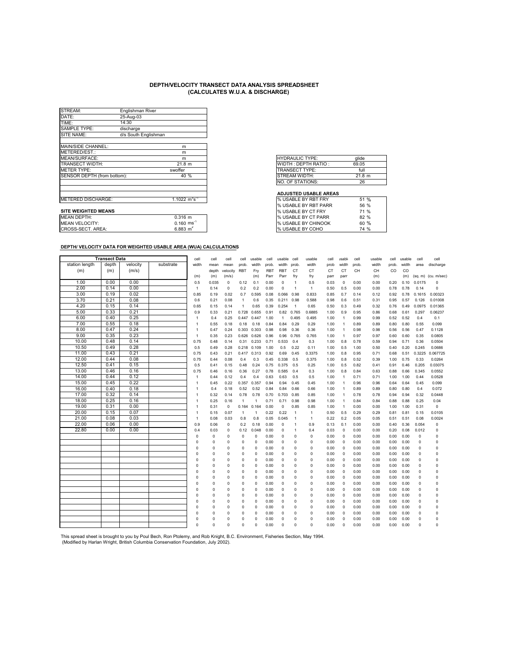| STREAM:                     | Englishman River                        |      |
|-----------------------------|-----------------------------------------|------|
| DATE:                       | 25-Aug-03                               |      |
| TIME:                       | 14:30                                   |      |
| SAMPLE TYPE:                | discharge                               |      |
| SITE NAME:                  | d/s South Englishman                    |      |
| MAIN/SIDE CHANNEL:          | m                                       |      |
| METERED/EST.:               | m                                       |      |
| MEAN/SURFACE:               | m                                       |      |
| TRANSECT WIDTH:             | 21.8 m                                  |      |
| <b>METER TYPE:</b>          | swoffer                                 |      |
| SENSOR DEPTH (from bottom): |                                         | 40 % |
|                             |                                         |      |
|                             |                                         |      |
| <b>METERED DISCHARGE:</b>   | 1.1022 $\mathrm{m}^{3} \mathrm{s}^{-1}$ |      |
|                             |                                         |      |
| <b>SITE WEIGHTED MEANS</b>  |                                         |      |
| <b>MEAN DEPTH:</b>          | $0.316$ m                               |      |
| <b>MEAN VELOCITY:</b>       | $0.160$ ms <sup>-1</sup>                |      |
| CROSS-SECT. AREA:           | 6.883 $m^2$                             |      |

| glide  |
|--------|
| 69.05  |
| full   |
| 21.8 m |
| 26     |
|        |

#### **ADJUSTED USABLE AREAS**

| I% USABLE BY RBT FRY       | $\%$<br>51 |
|----------------------------|------------|
| % USABLE BY RBT PARR       | 56 %       |
| <b>% USABLE BY CT FRY</b>  | 71 %       |
| <b>% USABLE BY CT PARR</b> | 82%        |
| <b>% USABLE BY CHINOOK</b> | 60%        |
| % USABLE BY COHO           | 74 %       |

### **DEPTH/ VELOCITY DATA FOR WEIGHTED USABLE AREA (WUA) CALCULATIONS**

|                | <b>Transect Data</b> |          |           | cell           | cell     | cell        | cell           | usable         | cell       | usable         | cell           | usable       | cell | <b>isable</b>  | cell  | usable | cell  | usable | cell        | cell                  |
|----------------|----------------------|----------|-----------|----------------|----------|-------------|----------------|----------------|------------|----------------|----------------|--------------|------|----------------|-------|--------|-------|--------|-------------|-----------------------|
| station length | depth                | velocity | substrate | width          | mean     | mean        | prob.          | width          | prob.      | width          | prob.          | width        | prob | width          | prob. | width  | prob. | width  | area        | discharge             |
| (m)            | (m)                  | (m/s)    |           |                | depth    | velocity    | <b>RBT</b>     | Fry            | <b>RBT</b> | <b>RBT</b>     | CT             | <b>CT</b>    | CT   | CT             | CH    | CH     | CO    | CO     |             |                       |
|                |                      |          |           | (m)            | (m)      | (m/s)       |                | (m)            | Parr       | Parr           | fry            | fry          | parr | parr           |       | (m)    |       | (m)    |             | $(sq. m)$ (cu. m/sec) |
| 1.00           | 0.00                 | 0.00     |           | 0.5            | 0.035    | 0           | 0.12           | 0.1            | 0.00       | $\mathbf 0$    | 1              | 0.5          | 0.03 | $\mathbf 0$    | 0.00  | 0.00   | 0.20  | 0.10   | 0.0175      | $\Omega$              |
| 2.00           | 0.14                 | 0.00     |           | $\mathbf{1}$   | 0.14     | 0           | 0.2            | 0.2            | 0.00       | $\Omega$       | $\overline{1}$ | $\mathbf{1}$ | 0.50 | 0.5            | 0.00  | 0.00   | 0.78  | 0.78   | 0.14        | 0                     |
| 3.00           | 0.19                 | 0.02     |           | 0.85           | 0.19     | 0.02        | 0.7            | 0.595          | 0.08       | 0.066          | 0.98           | 0.833        | 0.85 | 0.7            | 0.14  | 0.12   | 0.92  | 0.78   | 0.1615      | 0.00323               |
| 3.70           | 0.21                 | 0.08     |           | 0.6            | 0.21     | 0.08        | $\overline{1}$ | 0.6            | 0.35       | 0.211          | 0.98           | 0.588        | 0.98 | 0.6            | 0.51  | 0.31   | 0.95  | 0.57   | 0.126       | 0.01008               |
| 4.20           | 0.15                 | 0.14     |           | 0.65           | 0.15     | 0.14        | $\overline{1}$ | 0.65           | 0.39       | 0.254          | $\overline{1}$ | 0.65         | 0.50 | 0.3            | 0.49  | 0.32   | 0.76  | 0.49   | 0.0975      | 0.01365               |
| 5.00           | 0.33                 | 0.21     |           | 0.9            | 0.33     | 0.21        | 0.728          | 0.655          | 0.91       | 0.82           | 0.765          | 0.6885       | 1.00 | 0.9            | 0.95  | 0.86   | 0.68  | 0.61   | 0.297       | 0.06237               |
| 6.00           | 0.40                 | 0.25     |           | 1              | 0.4      | 0.25        | 0.447          | 0.447          | 1.00       | $\overline{1}$ | 0.495          | 0.495        | 1.00 | $\overline{1}$ | 0.99  | 0.99   | 0.52  | 0.52   | 0.4         | 0.1                   |
| 7.00           | 0.55                 | 0.18     |           | $\mathbf{1}$   | 0.55     | 0.18        | 0.18           | 0.18           | 0.84       | 0.84           | 0.29           | 0.29         | 1.00 | $\mathbf{1}$   | 0.89  | 0.89   | 0.80  | 0.80   | 0.55        | 0.099                 |
| 8.00           | 0.47                 | 0.24     |           | $\overline{1}$ | 0.47     | 0.24        | 0.303          | 0.303          | 0.98       | 0.98           | 0.36           | 0.36         | 1.00 | $\overline{1}$ | 0.98  | 0.98   | 0.56  | 0.56   | 0.47        | 0.1128                |
| 9.00           | 0.35                 | 0.23     |           | $\mathbf{1}$   | 0.35     | 0.23        | 0.626          | 0.626          | 0.96       | 0.96           | 0.765          | 0.765        | 1.00 | $\overline{1}$ | 0.97  | 0.97   | 0.60  | 0.60   | 0.35        | 0.0805                |
| 10.00          | 0.48                 | 0.14     |           | 0.75           | 0.48     | 0.14        | 0.31           | 0.233          | 0.71       | 0.533          | 0.4            | 0.3          | 1.00 | 0.8            | 0.78  | 0.59   | 0.94  | 0.71   | 0.36        | 0.0504                |
| 10.50          | 0.49                 | 0.28     |           | 0.5            | 0.49     | 0.28        | 0.218          | 0.109          | 1.00       | 0.5            | 0.22           | 0.11         | 1.00 | 0.5            | 1.00  | 0.50   | 0.40  | 0.20   | 0.245       | 0.0686                |
| 11.00          | 0.43                 | 0.21     |           | 0.75           | 0.43     | 0.21        | 0.417          | 0.313          | 0.92       | 0.69           | 0.45           | 0.3375       | 1.00 | 0.8            | 0.95  | 0.71   | 0.68  | 0.51   | 0.3225      | 0.067725              |
| 12.00          | 0.44                 | 0.08     |           | 0.75           | 0.44     | 0.08        | 0.4            | 0.3            | 0.45       | 0.338          | 0.5            | 0.375        | 1.00 | 0.8            | 0.52  | 0.39   | 1.00  | 0.75   | 0.33        | 0.0264                |
| 12.50          | 0.41                 | 0.15     |           | 0.5            | 0.41     | 0.15        | 0.48           | 0.24           | 0.75       | 0.375          | 0.5            | 0.25         | 1.00 | 0.5            | 0.82  | 0.41   | 0.91  | 0.46   | 0.205       | 0.03075               |
| 13.00          | 0.46                 | 0.16     |           | 0.75           | 0.46     | 0.16        | 0.36           | 0.27           | 0.78       | 0.585          | 0.4            | 0.3          | 1.00 | 0.8            | 0.84  | 0.63   | 0.88  | 0.66   | 0.345       | 0.0552                |
| 14.00          | 0.44                 | 0.12     |           | $\mathbf{1}$   | 0.44     | 0.12        | 0.4            | 0.4            | 0.63       | 0.63           | 0.5            | 0.5          | 1.00 | $\overline{1}$ | 0.71  | 0.71   | 1.00  | 1.00   | 0.44        | 0.0528                |
| 15.00          | 0.45                 | 0.22     |           | $\mathbf{1}$   | 0.45     | 0.22        | 0.357          | 0.357          | 0.94       | 0.94           | 0.45           | 0.45         | 1.00 | $\overline{1}$ | 0.96  | 0.96   | 0.64  | 0.64   | 0.45        | 0.099                 |
| 16.00          | 0.40                 | 0.18     |           | $\mathbf{1}$   | 0.4      | 0.18        | 0.52           | 0.52           | 0.84       | 0.84           | 0.66           | 0.66         | 1.00 | $\overline{1}$ | 0.89  | 0.89   | 0.80  | 0.80   | 0.4         | 0.072                 |
| 17.00          | 0.32                 | 0.14     |           | 1              | 0.32     | 0.14        | 0.78           | 0.78           | 0.70       | 0.703          | 0.85           | 0.85         | 1.00 | $\overline{1}$ | 0.78  | 0.78   | 0.94  | 0.94   | 0.32        | 0.0448                |
| 18.00          | 0.25                 | 0.16     |           | $\mathbf{1}$   | 0.25     | 0.16        | $\mathbf{1}$   | $\overline{1}$ | 0.71       | 0.71           | 0.98           | 0.98         | 1.00 | $\overline{1}$ | 0.84  | 0.84   | 0.88  | 0.88   | 0.25        | 0.04                  |
| 19.00          | 0.31                 | 0.00     |           | $\mathbf{1}$   | 0.31     | $\mathsf 0$ | 0.164          | 0.164          | 0.00       | $\mathbf 0$    | 0.85           | 0.85         | 1.00 | $\overline{1}$ | 0.00  | 0.00   | 1.00  | 1.00   | 0.31        | $\mathbf 0$           |
| 20.00          | 0.15                 | 0.07     |           | $\mathbf{1}$   | 0.15     | 0.07        | $\mathbf{1}$   | $\overline{1}$ | 0.22       | 0.22           | $\mathbf{1}$   | $\mathbf{1}$ | 0.50 | 0.5            | 0.29  | 0.29   | 0.81  | 0.81   | 0.15        | 0.0105                |
| 21.00          | 0.08                 | 0.03     |           | $\mathbf{1}$   | 0.08     | 0.03        | 0.8            | 0.8            | 0.05       | 0.045          | 1              | $\mathbf{1}$ | 0.22 | 0.2            | 0.05  | 0.05   | 0.51  | 0.51   | 0.08        | 0.0024                |
| 22.00          | 0.06                 | 0.00     |           | 0.9            | 0.06     | 0           | 0.2            | 0.18           | 0.00       | $\Omega$       | 1              | 0.9          | 0.13 | 0.1            | 0.00  | 0.00   | 0.40  | 0.36   | 0.054       | 0                     |
| 22.80          | 0.00                 | 0.00     |           | 0.4            | 0.03     | 0           | 0.12           | 0.048          | 0.00       | $\Omega$       | 1              | 0.4          | 0.03 | $\mathbf 0$    | 0.00  | 0.00   | 0.20  | 0.08   | 0.012       | 0                     |
|                |                      |          |           | 0              | $\Omega$ | $\mathbf 0$ | 0              | $\Omega$       | 0.00       | $\Omega$       | $\Omega$       | 0            | 0.00 | $\circ$        | 0.00  | 0.00   | 0.00  | 0.00   | 0           | 0                     |
|                |                      |          |           | $\Omega$       | $\Omega$ | $\mathbf 0$ | 0              | $\Omega$       | 0.00       | $\Omega$       | $\Omega$       | $\Omega$     | 0.00 | $\mathbf 0$    | 0.00  | 0.00   | 0.00  | 0.00   | $\Omega$    | $\mathbf 0$           |
|                |                      |          |           | $\Omega$       | 0        | 0           | 0              | 0              | 0.00       | $\Omega$       | $\Omega$       | 0            | 0.00 | $\circ$        | 0.00  | 0.00   | 0.00  | 0.00   | 0           | $\mathbf 0$           |
|                |                      |          |           | $\Omega$       | $\Omega$ | $\Omega$    | $\Omega$       | $\Omega$       | 0.00       | $\Omega$       | $\Omega$       | $\Omega$     | 0.00 | $\mathbf 0$    | 0.00  | 0.00   | 0.00  | 0.00   | 0           | $\mathbf 0$           |
|                |                      |          |           | $\Omega$       | $\Omega$ | 0           | 0              | $\Omega$       | 0.00       | $\Omega$       | $\Omega$       | $\Omega$     | 0.00 | $\mathbf 0$    | 0.00  | 0.00   | 0.00  | 0.00   | $\Omega$    | $\Omega$              |
|                |                      |          |           | O              | $\Omega$ | $\Omega$    | $\Omega$       | $\Omega$       | 0.00       | $\Omega$       | $\Omega$       | $\Omega$     | 0.00 | $\Omega$       | 0.00  | 0.00   | 0.00  | 0.00   | $\Omega$    | $\Omega$              |
|                |                      |          |           | $\Omega$       | $\Omega$ | $\Omega$    | $\Omega$       | $\Omega$       | 0.00       | $\Omega$       | $\Omega$       | $\Omega$     | 0.00 | $\mathbf 0$    | 0.00  | 0.00   | 0.00  | 0.00   | 0           | 0                     |
|                |                      |          |           | $\Omega$       | 0        | 0           | 0              | $\Omega$       | 0.00       | $\Omega$       | $\Omega$       | 0            | 0.00 | $\circ$        | 0.00  | 0.00   | 0.00  | 0.00   | $\mathbf 0$ | 0                     |
|                |                      |          |           | $\Omega$       | $\Omega$ | $\Omega$    | $\Omega$       | $\Omega$       | 0.00       | $\Omega$       | $\Omega$       | $\Omega$     | 0.00 | $\circ$        | 0.00  | 0.00   | 0.00  | 0.00   | $\Omega$    | $\Omega$              |
|                |                      |          |           | $\Omega$       | $\Omega$ | $\Omega$    | $\Omega$       | 0              | 0.00       | $\Omega$       | $\Omega$       | $\Omega$     | 0.00 | $\mathbf 0$    | 0.00  | 0.00   | 0.00  | 0.00   | 0           | $\Omega$              |
|                |                      |          |           | $\Omega$       | $\Omega$ | 0           | $\Omega$       | $\Omega$       | 0.00       | $\Omega$       | $\Omega$       | 0            | 0.00 | $\mathbf 0$    | 0.00  | 0.00   | 0.00  | 0.00   | $\Omega$    | 0                     |
|                |                      |          |           | $\Omega$       | $\Omega$ | 0           | $\Omega$       | $\Omega$       | 0.00       | $\mathbf 0$    | $\Omega$       | $\Omega$     | 0.00 | $\circ$        | 0.00  | 0.00   | 0.00  | 0.00   | 0           | 0                     |
|                |                      |          |           | n              | $\Omega$ | 0           | 0              | 0              | 0.00       | $\Omega$       | $\Omega$       | 0            | 0.00 | $\mathbf 0$    | 0.00  | 0.00   | 0.00  | 0.00   | $\mathbf 0$ | $\Omega$              |
|                |                      |          |           | $\Omega$       | 0        | 0           | 0              | $\Omega$       | 0.00       | $\Omega$       | $\Omega$       | 0            | 0.00 | $\mathbf 0$    | 0.00  | 0.00   | 0.00  | 0.00   | $\mathbf 0$ | $\mathbf 0$           |
|                |                      |          |           | $\Omega$       | $\Omega$ | $\Omega$    | $\Omega$       | 0              | 0.00       | $\Omega$       | $\Omega$       | $\Omega$     | 0.00 | $\Omega$       | 0.00  | 0.00   | 0.00  | 0.00   | $\Omega$    | $\Omega$              |
|                |                      |          |           | $\Omega$       | $\Omega$ | $\Omega$    | $\Omega$       | Ō              | 0.00       | $\Omega$       | $\Omega$       | $\Omega$     | 0.00 | $\Omega$       | 0.00  | 0.00   | 0.00  | 0.00   | $\Omega$    | $\Omega$              |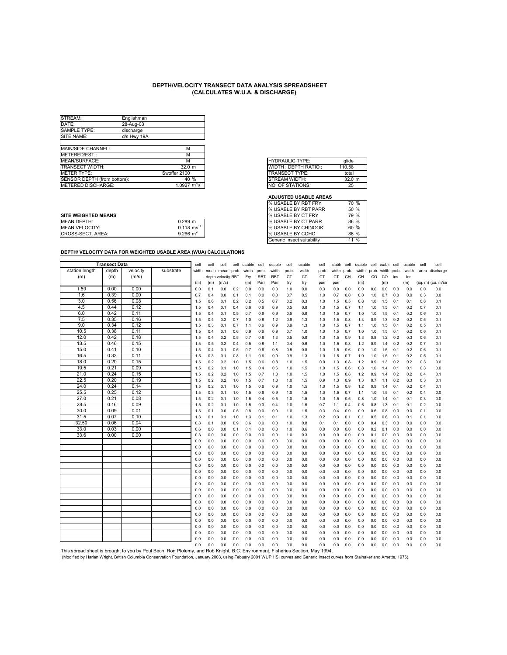| STREAM:                     | Englishman  |                                   |
|-----------------------------|-------------|-----------------------------------|
| DATE:                       | 28-Aug-03   |                                   |
| SAMPLE TYPE:                | discharge   |                                   |
| SITE NAME:                  | d/s Hwy 19A |                                   |
|                             |             |                                   |
| MAIN/SIDE CHANNEL:          |             | М                                 |
| METERED/EST.:               |             | м                                 |
| MEAN/SURFACE:               |             | м                                 |
| <b>TRANSECT WIDTH:</b>      |             | 32.0 m                            |
| METER TYPE:                 |             | Swoffer 2100                      |
| SENSOR DEPTH (from bottom): |             | 40%                               |
| <b>IMETERED DISCHARGE:</b>  |             | $1.0927 \text{ m}^3\text{s}^{-1}$ |

|   | <b>HYDRAULIC TYPE:</b> | alide       |
|---|------------------------|-------------|
|   | WIDTH: DEPTH RATIO:    | 110.58      |
|   | <b>TRANSECT TYPE:</b>  | total       |
|   | STREAM WIDTH:          | $32.0 \; m$ |
| ন | NO. OF STATIONS:       | 25          |

#### **ADJUSTED USABLE AREAS**

|                            |                          | I 70 USADLL DI NDI FANN      | <b>JU 70</b> |
|----------------------------|--------------------------|------------------------------|--------------|
| <b>SITE WEIGHTED MEANS</b> |                          | <b>I</b> % USABLE BY CT FRY  | 79 %         |
| <b>MEAN DEPTH:</b>         | $0.289$ m                | <b>% USABLE BY CT PARR</b>   | 86 %         |
| <b>MEAN VELOCITY:</b>      | $0.118$ ms <sup>-1</sup> | <b>I</b> % USABLE BY CHINOOK | 60 %         |
| CROSS-SECT. AREA:          | $9.266 \; \text{m}^2$    | <b>I</b> % USABLE BY COHO    | 86 %         |
|                            |                          |                              |              |

| % USABLE BY RBT FRY        | 70 %   |
|----------------------------|--------|
| % USABLE BY RBT PARR       | 50%    |
| % USABLE BY CT FRY         | 79 %   |
| % USABLE BY CT PARR        | 86 %   |
| % USABLE BY CHINOOK        | 60%    |
| % USABLE BY COHO           | 86 %   |
| Generic Insect suitability | $11\%$ |
|                            |        |

|                                                                                                                                                                                    | <b>Transect Data</b> |              |           | cell       | cell       | cell               | cell       | usable     | cell       | usable     | cell       | usable     | cell       | <b>Isable</b> | cell       | usable     | cell       | usable cell |            | usable     | cell       | cell              |
|------------------------------------------------------------------------------------------------------------------------------------------------------------------------------------|----------------------|--------------|-----------|------------|------------|--------------------|------------|------------|------------|------------|------------|------------|------------|---------------|------------|------------|------------|-------------|------------|------------|------------|-------------------|
| station length                                                                                                                                                                     | depth                | velocity     | substrate | width      | mean       | mean               | prob.      | width      | prob.      | width      | prob.      | width      | prob       | width         | prob.      | width      | prob.      | width prob. |            | width      |            | area discharge    |
| (m)                                                                                                                                                                                | (m)                  | (m/s)        |           |            |            | depth velocity RBT |            | Fry        | <b>RBT</b> | <b>RBT</b> | <b>CT</b>  | СT         | <b>CT</b>  | CT            | CH         | CH         | CO.        | CO.         | Ins.       | Ins.       |            |                   |
|                                                                                                                                                                                    |                      |              |           | (m)        | (m)        | (m/s)              |            | (m)        | Parr       | Parr       | fry        | fry        | parr       | parr          |            | (m)        |            | (m)         |            | (m)        |            | (sq. m) (cu. m/se |
| 1.59                                                                                                                                                                               | 0.00                 | 0.00         |           | 0.0        | 0.1        | 0.0                | 0.2        | 0.0        | 0.0        | 0.0        | 1.0        | 0.0        | 0.3        | 0.0           | 0.0        | 0.0        | 0.6        | 0.0         | 0.0        | 0.0        | 0.0        | 0.0               |
| 1.6                                                                                                                                                                                | 0.39                 | 0.00         |           | 0.7        | 0.4        | 0.0                | 0.1        | 0.1        | 0.0        | 0.0        | 0.7        | 0.5        | 1.0        | 0.7           | 0.0        | 0.0        | 1.0        | 0.7         | 0.0        | 0.0        | 0.3        | 0.0               |
| 3.0                                                                                                                                                                                | 0.56                 | 0.08         |           | 1.5        | 0.6        | 0.1                | 0.2        | 0.2        | 0.5        | 0.7        | 0.2        | 0.3        | 1.0        | 1.5           | 0.5        | 0.8        | 1.0        | 1.5         | 0.1        | 0.1        | 0.8        | 0.1               |
| 4.5                                                                                                                                                                                | 0.44                 | 0.12         |           | 1.5        | 0.4        | 0.1                | 0.4        | 0.6        | 0.6        | 0.9        | 0.5        | 0.8        | 1.0        | 1.5           | 0.7        | 1.1        | 1.0        | 1.5         | 0.1        | 0.2        | 0.7        | 0.1               |
| 6.0                                                                                                                                                                                | 0.42                 | 0.11         |           | 1.5        | 0.4        | 0.1                | 0.5        | 0.7        | 0.6        | 0.9        | 0.5        | 0.8        | 1.0        | 1.5           | 0.7        | 1.0        | 1.0        | 1.5         | 0.1        | 0.2        | 0.6        | 0.1               |
| 7.5                                                                                                                                                                                | 0.35                 | 0.16         |           | 1.5        | 0.4        | 0.2                | 0.7        | 1.0        | 0.8        | 1.2        | 0.9        | 1.3        | 1.0        | 1.5           | 0.8        | 1.3        | 0.9        | 1.3         | 0.2        | 0.2        | 0.5        | 0.1               |
| 9.0                                                                                                                                                                                | 0.34                 | 0.12         |           | 1.5        | 0.3        | 0.1                | 0.7        | 1.1        | 0.6        | 0.9        | 0.9        | 1.3        | 1.0        | 1.5           | 0.7        | 1.1        | 1.0        | 1.5         | 0.1        | 0.2        | 0.5        | 0.1               |
| 10.5                                                                                                                                                                               | 0.38                 | 0.11         |           | 1.5        | 0.4        | 0.1                | 0.6        | 0.9        | 0.6        | 0.9        | 0.7        | 1.0        | 1.0        | 1.5           | 0.7        | 1.0        | 1.0        | 1.5         | 0.1        | 0.2        | 0.6        | 0.1               |
| 12.0                                                                                                                                                                               | 0.42                 | 0.18         |           | 1.5        | 0.4        | 0.2                | 0.5        | 0.7        | 0.8        | 1.3        | 0.5        | 0.8        | 1.0        | 1.5           | 0.9        | 1.3        | 0.8        | 1.2         | 0.2        | 0.3        | 0.6        | 0.1               |
| 13.5                                                                                                                                                                               | 0.46                 | 0.15         |           | 1.5        | 0.5        | 0.2                | 0.4        | 0.5        | 0.8        | 1.1        | 0.4        | 0.6        | 1.0        | 1.5           | 0.8        | 1.2        | 0.9        | 1.4         | 0.2        | 0.2        | 0.7        | 0.1               |
| 15.0                                                                                                                                                                               | 0.41                 | 0.10         |           | 1.5        | 0.4        | 0.1                | 0.5        | 0.7        | 0.6        | 0.8        | 0.5        | 0.8        | 1.0        | 1.5           | 0.6        | 0.9        | 1.0        | 1.5         | 0.1        | 0.2        | 0.6        | 0.1               |
| 16.5                                                                                                                                                                               | 0.33                 | 0.11         |           | 1.5        | 0.3        | 0.1                | 0.8        | 1.1        | 0.6        | 0.9        | 0.9        | 1.3        | 1.0        | 1.5           | 0.7        | 1.0        | 1.0        | 1.5         | 0.1        | 0.2        | 0.5        | 0.1               |
| 18.0                                                                                                                                                                               | 0.20                 | 0.15         |           | 1.5        | 0.2        | 0.2                | 1.0        | 1.5        | 0.6        | 0.8        | 1.0        | 1.5        | 0.9        | 1.3           | 0.8        | 1.2        | 0.9        | 1.3         | 0.2        | 0.2        | 0.3        | 0.0               |
| 19.5                                                                                                                                                                               | 0.21                 | 0.09         |           | 1.5        | 0.2        | 0.1                | 1.0        | 1.5        | 0.4        | 0.6        | 1.0        | 1.5        | 1.0        | 1.5           | 0.6        | 0.8        | 1.0        | 1.4         | 0.1        | 0.1        | 0.3        | 0.0               |
| 21.0                                                                                                                                                                               | 0.24                 | 0.15         |           | 1.5        | 0.2        | 0.2                | 1.0        | 1.5        | 0.7        | 1.0        | 1.0        | 1.5        | 1.0        | 1.5           | 0.8        | 1.2        | 0.9        | 1.4         | 0.2        | 0.2        | 0.4        | 0.1               |
| 22.5                                                                                                                                                                               | 0.20                 | 0.19         |           | 1.5        | 0.2        | 0.2                | 1.0        | 1.5        | 0.7        | 1.0        | 1.0        | 1.5        | 0.9        | 1.3           | 0.9        | 1.3        | 0.7        | 1.1         | 0.2        | 0.3        | 0.3        | 0.1               |
| 24.0                                                                                                                                                                               | 0.24                 | 0.14         |           | 1.5        | 0.2        | 0.1                | 1.0        | 1.5        | 0.6        | 0.9        | 1.0        | 1.5        | 1.0        | 1.5           | 0.8        | 1.2        | 0.9        | 1.4         | 0.1        | 0.2        | 0.4        | 0.1               |
| 25.5                                                                                                                                                                               | 0.25                 | 0.12         |           | 1.5        | 0.3        | 0.1                | 1.0        | 1.5        | 0.6        | 0.9        | 1.0        | 1.5        | 1.0        | 1.5           | 0.7        | 1.1        | 1.0        | 1.5         | 0.1        | 0.2        | 0.4        | 0.0               |
| 27.0<br>28.5                                                                                                                                                                       | 0.21                 | 0.08<br>0.09 |           | 1.5        | 0.2        | 0.1                | 1.0        | 1.5        | 0.4        | 0.5        | 1.0        | 1.5        | 1.0        | 1.5           | 0.5        | 0.8        | 1.0        | 1.4         | 0.1        | 0.1        | 0.3        | 0.0               |
| 30.0                                                                                                                                                                               | 0.16<br>0.09         | 0.01         |           | 1.5        | 0.2        | 0.1                | 1.0        | 1.5        | 0.3        | 0.4        | 1.0        | 1.5        | 0.7        | 1.1           | 0.4        | 0.6        | 0.8        | 1.3         | 0.1        | 0.1        | 0.2        | 0.0               |
|                                                                                                                                                                                    | 0.07                 |              |           | 1.5        | 0.1        | 0.0                | 0.5        | 0.8        | 0.0        | 0.0        | 1.0        | 1.5        | 0.3        | 0.4           | 0.0        | 0.0        | 0.6        | 0.8         | 0.0        | 0.0        | 0.1        | 0.0               |
| 31.5<br>32.50                                                                                                                                                                      | 0.06                 | 0.10<br>0.04 |           | 1.3        | 0.1        | 0.1                | 1.0        | 1.3        | 0.1        | 0.1        | 1.0        | 1.3        | 0.2        | 0.3           | 0.1        | 0.1        | 0.5        | 0.6         | 0.0        | 0.1        | 0.1        | 0.0               |
| 33.0                                                                                                                                                                               | 0.03                 | 0.00         |           | 0.8        | 0.1        | 0.0                | 0.9        | 0.6        | 0.0        | 0.0<br>0.0 | 1.0        | 0.8        | 0.1<br>0.0 | 0.1<br>0.0    | 0.0<br>0.0 | 0.0        | 0.4        | 0.3         | 0.0        | 0.0<br>0.0 | 0.0<br>0.0 | 0.0               |
| 33.6                                                                                                                                                                               | 0.00                 | 0.00         |           | 0.6<br>0.3 | 0.0<br>0.0 | 0.0<br>0.0         | 0.1<br>0.0 | 0.1<br>0.0 | 0.0<br>0.0 | 0.0        | 1.0<br>1.0 | 0.6<br>0.3 | 0.0        | 0.0           | 0.0        | 0.0<br>0.0 | 0.2<br>0.1 | 0.1<br>0.0  | 0.0<br>0.0 | 0.0        | 0.0        | 0.0<br>0.0        |
|                                                                                                                                                                                    |                      |              |           | 0.0        | 0.0        | 0.0                | 0.0        | 0.0        | 0.0        | 0.0        | 0.0        | 0.0        | 0.0        | 0.0           | 0.0        | 0.0        | 0.0        | 0.0         | 0.0        | 0.0        | 0.0        | 0.0               |
|                                                                                                                                                                                    |                      |              |           | 0.0        | 0.0        | 0.0                | 0.0        | 0.0        | 0.0        | 0.0        | 0.0        | 0.0        | 0.0        | 0.0           | 0.0        | 0.0        | 0.0        | 0.0         | 0.0        | 0.0        | 0.0        | 0.0               |
|                                                                                                                                                                                    |                      |              |           | 0.0        | 0.0        | 0.0                | 0.0        | 0.0        | 0.0        | 0.0        | 0.0        | 0.0        | 0.0        | 0.0           | 0.0        | 0.0        | 0.0        | 0.0         | 0.0        | 0.0        | 0.0        | 0.0               |
|                                                                                                                                                                                    |                      |              |           | 0.0        | 0.0        | 0.0                | 0.0        | 0.0        | 0.0        | 0.0        | 0.0        | 0.0        | 0.0        | 0.0           | 0.0        | 0.0        | 0.0        | 0.0         | 0.0        | 0.0        | 0.0        | 0.0               |
|                                                                                                                                                                                    |                      |              |           | 0.0        | 0.0        | 0.0                | 0.0        | 0.0        | 0.0        | 0.0        | 0.0        | 0.0        | 0.0        | 0.0           | 0.0        | 0.0        | 0.0        | 0.0         | 0.0        | 0.0        | 0.0        | 0.0               |
|                                                                                                                                                                                    |                      |              |           | 0.0        | 0.0        | 0.0                | 0.0        | 0.0        | 0.0        | 0.0        | 0.0        | 0.0        | 0.0        | 0.0           | 0.0        | 0.0        | 0.0        | 0.0         | 0.0        | 0.0        | 0.0        | 0.0               |
|                                                                                                                                                                                    |                      |              |           | 0.0        | 0.0        | 0.0                | 0.0        | 0.0        | 0.0        | 0.0        | 0.0        | 0.0        | 0.0        | 0.0           | 0.0        | 0.0        | 0.0        | 0.0         | 0.0        | 0.0        | 0.0        | 0.0               |
|                                                                                                                                                                                    |                      |              |           | 0.0        | 0.0        | 0.0                | 0.0        | 0.0        | 0.0        | 0.0        | 0.0        | 0.0        | 0.0        | 0.0           | 0.0        | 0.0        | 0.0        | 0.0         | 0.0        | 0.0        | 0.0        | 0.0               |
|                                                                                                                                                                                    |                      |              |           | 0.0        | 0.0        | 0.0                | 0.0        | 0.0        | 0.0        | 0.0        | 0.0        | 0.0        | 0.0        | 0.0           | 0.0        | 0.0        | 0.0        | 0.0         | 0.0        | 0.0        | 0.0        | 0.0               |
|                                                                                                                                                                                    |                      |              |           | 0.0        | 0.0        | 0.0                | 0.0        | 0.0        | 0.0        | 0.0        | 0.0        | 0.0        | 0.0        | 0.0           | 0.0        | 0.0        | 0.0        | 0.0         | 0.0        | 0.0        | 0.0        | 0.0               |
|                                                                                                                                                                                    |                      |              |           | 0.0        | 0.0        | 0.0                | 0.0        | 0.0        | 0.0        | 0.0        | 0.0        | 0.0        | 0.0        | 0.0           | 0.0        | 0.0        | 0.0        | 0.0         | 0.0        | 0.0        | 0.0        | 0.0               |
|                                                                                                                                                                                    |                      |              |           | 0.0        | 0.0        | 0.0                | 0.0        | 0.0        | 0.0        | 0.0        | 0.0        | 0.0        | 0.0        | 0.0           | 0.0        | 0.0        | 0.0        | 0.0         | 0.0        | 0.0        | 0.0        | 0.0               |
|                                                                                                                                                                                    |                      |              |           | 0.0        | 0.0        | 0.0                | 0.0        | 0.0        | 0.0        | 0.0        | 0.0        | 0.0        | 0.0        | 0.0           | 0.0        | 0.0        | 0.0        | 0.0         | 0.0        | 0.0        | 0.0        | 0.0               |
|                                                                                                                                                                                    |                      |              |           | 0.0        | 0.0        | 0.0                | 0.0        | 0.0        | 0.0        | 0.0        | 0.0        | 0.0        | 0.0        | 0.0           | 0.0        | 0.0        | 0.0        | 0.0         | 0.0        | 0.0        | 0.0        | 0.0               |
|                                                                                                                                                                                    |                      |              |           | 0.0        | 0.0        | 0.0                | 0.0        | 0.0        | 0.0        | 0.0        | 0.0        | 0.0        | 0.0        | 0.0           | 0.0        | 0.0        | 0.0        | 0.0         | 0.0        | 0.0        | 0.0        | 0.0               |
|                                                                                                                                                                                    |                      |              |           | 0.0        | 0.0        | 0.0                | 0.0        | 0.0        | 0.0        | 0.0        | 0.0        | 0.0        | 0.0        | 0.0           | 0.0        | 0.0        | 0.0        | 0.0         | 0.0        | 0.0        | 0.0        | 0.0               |
|                                                                                                                                                                                    |                      |              |           | 0.0        | 0.0        | 0.0                | 0.0        | 0.0        | 0.0        | 0.0        | 0.0        | 0.0        | 0.0        | 0.0           | 0.0        | 0.0        | 0.0        | 0.0         | 0.0        | 0.0        | 0.0        | 0.0               |
|                                                                                                                                                                                    |                      |              |           | 0.0        | 0.0        | 0.0                | 0.0        | 0.0        | 0.0        | 0.0        | 0.0        | 0.0        | 0.0        | 0.0           | 0.0        | 0.0        | 0.0        | 0.0         | 0.0        | 0.0        | 0.0        | 0.0               |
| This spread sheet is brought to you by Poul Bech, Ron Ptolemy, and Rob Knight, B.C. Environment, Fisheries Section, May 1994                                                       |                      |              |           |            |            |                    |            |            |            |            |            |            |            |               |            |            |            |             |            |            |            |                   |
| (Modified by Harlan Wright, British Columbia Conservation Foundation, January 2003, using Febuary 2001 WUP HSI curves and Generic Insect curves from Stalnaker and Arnette, 1976). |                      |              |           |            |            |                    |            |            |            |            |            |            |            |               |            |            |            |             |            |            |            |                   |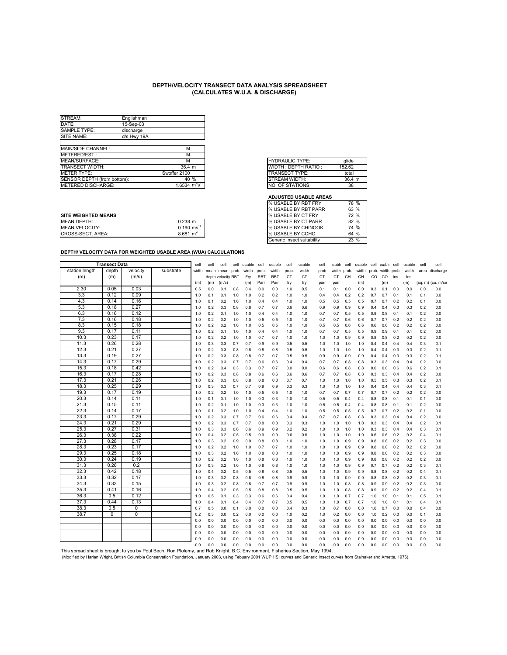| STREAM:                     | Englishman  |                                   |
|-----------------------------|-------------|-----------------------------------|
| DATE:                       | 15-Sep-03   |                                   |
| SAMPLE TYPE:                | discharge   |                                   |
| SITE NAME:                  | d/s Hwy 19A |                                   |
|                             |             |                                   |
| MAIN/SIDE CHANNEL:          |             | М                                 |
| IMETERED/EST.:              |             | М                                 |
| MEAN/SURFACE:               |             | м                                 |
| <b>TRANSECT WIDTH:</b>      |             | $36.4 \; m$                       |
| <b>IMETER TYPE:</b>         |             | Swoffer 2100                      |
| SENSOR DEPTH (from bottom): |             | 40%                               |
| <b>IMETERED DISCHARGE:</b>  |             | $1.6534 \text{ m}^3\text{s}^{-1}$ |

|    | <b>HYDRAULIC TYPE:</b> | alide       |
|----|------------------------|-------------|
|    | WIDTH: DEPTH RATIO:    | 152.62      |
|    | TRANSECT TYPE:         | total       |
|    | STREAM WIDTH:          | $36.4 \; m$ |
| ना | NO. OF STATIONS:       | 38          |

#### **ADJUSTED USABLE AREAS**

|                            |                          | I% USABLE BY RBT PARR                                                                                                                                                                                                          | <b>b</b> 3 % |
|----------------------------|--------------------------|--------------------------------------------------------------------------------------------------------------------------------------------------------------------------------------------------------------------------------|--------------|
| <b>SITE WEIGHTED MEANS</b> |                          | <b>I</b> % USABLE BY CT FRY                                                                                                                                                                                                    | 72 %         |
| <b>MEAN DEPTH:</b>         | 0.238 m                  | <b>% USABLE BY CT PARR</b>                                                                                                                                                                                                     | 82 %         |
| <b>MEAN VELOCITY:</b>      | $0.190$ ms <sup>-1</sup> | <b>% USABLE BY CHINOOK</b>                                                                                                                                                                                                     | 74 %         |
| CROSS-SECT. AREA:          | $8.681 \text{ m}^2$      | <b>% USABLE BY COHO</b>                                                                                                                                                                                                        | 64 %         |
|                            |                          | Louis and a characteristic traditional and the contracted of the contracted state of the contracted of the contracted of the contracted of the contracted of the contracted of the contracted of the contracted of the contrac | 0000         |

| % USABLE BY RBT FRY        | 78 %   |
|----------------------------|--------|
| % USABLE BY RBT PARR       | 63 %   |
| % USABLE BY CT FRY         | 72 %   |
| % USABLE BY CT PARR        | 82%    |
| % USABLE BY CHINOOK        | 74 %   |
| % USABLE BY COHO           | 64 %   |
| Generic Insect suitability | $23\%$ |
|                            |        |

|                                                                                                                                                                                    | <b>Transect Data</b> |              |           | cell       | cell       | cell               | cell       | usable     | cell       | usable     | cell       | usable     | cell       | <b>Isable</b> | cell       | usable     | cell       | usable cell       |            | usable     | cell       | cell              |
|------------------------------------------------------------------------------------------------------------------------------------------------------------------------------------|----------------------|--------------|-----------|------------|------------|--------------------|------------|------------|------------|------------|------------|------------|------------|---------------|------------|------------|------------|-------------------|------------|------------|------------|-------------------|
| station length                                                                                                                                                                     | depth                | velocity     | substrate | width      | mean       | mean               | prob.      | width      | prob.      | width      | prob.      | width      | prob       | width         | prob.      | width      |            | prob. width prob. |            | width      |            | area discharge    |
| (m)                                                                                                                                                                                | (m)                  | (m/s)        |           |            |            | depth velocity RBT |            | Fry        | <b>RBT</b> | <b>RBT</b> | CT         | СT         | <b>CT</b>  | CT            | CH         | CH         | CO.        | CO.               | Ins.       | Ins.       |            |                   |
|                                                                                                                                                                                    |                      |              |           | (m)        | (m)        | (m/s)              |            | (m)        | Parr       | Parr       | fry        | fry        | parr       | parr          |            | (m)        |            | (m)               |            | (m)        |            | (sq. m) (cu. m/se |
| 2.30                                                                                                                                                                               | 0.05                 | 0.03         |           | 0.5        | 0.0        | 0.1                | 0.8        | 0.4        | 0.0        | 0.0        | 1.0        | 0.5        | 0.1        | 0.1           | 0.0        | 0.0        | 0.3        | 0.1               | 0.0        | 0.0        | 0.0        | 0.0               |
| 3.3                                                                                                                                                                                | 0.12                 | 0.09         |           | 1.0        | 0.1        | 0.1                | 1.0        | 1.0        | 0.2        | 0.2        | 1.0        | 1.0        | 0.4        | 0.4           | 0.2        | 0.2        | 0.7        | 0.7               | 0.1        | 0.1        | 0.1        | 0.0               |
| 4.3                                                                                                                                                                                | 0.14                 | 0.16         |           | 1.0        | 0.1        | 0.2                | 1.0        | 1.0        | 0.4        | 0.4        | 1.0        | 1.0        | 0.5        | 0.5           | 0.5        | 0.5        | 0.7        | 0.7               | 0.2        | 0.2        | 0.1        | 0.0               |
| 5.3                                                                                                                                                                                | 0.18                 | 0.27         |           | 1.0        | 0.2        | 0.3                | 0.8        | 0.8        | 0.7        | 0.7        | 0.6        | 0.6        | 0.9        | 0.9           | 0.9        | 0.9        | 0.4        | 0.4               | 0.3        | 0.3        | 0.2        | 0.0               |
| 6.3                                                                                                                                                                                | 0.16                 | 0.12         |           | 1.0        | 0.2        | 0.1                | 1.0        | 1.0        | 0.4        | 0.4        | 1.0        | 1.0        | 0.7        | 0.7           | 0.5        | 0.5        | 0.8        | 0.8               | 0.1        | 0.1        | 0.2        | 0.0               |
| 7.3                                                                                                                                                                                | 0.16                 | 0.18         |           | 1.0        | 0.2        | 0.2                | 1.0        | 1.0        | 0.5        | 0.5        | 1.0        | 1.0        | 0.7        | 0.7           | 0.6        | 0.6        | 0.7        | 0.7               | 0.2        | 0.2        | 0.2        | 0.0               |
| 8.3                                                                                                                                                                                | 0.15                 | 0.18         |           | 1.0        | 0.2        | 0.2                | 1.0        | 1.0        | 0.5        | 0.5        | 1.0        | 1.0        | 0.5        | 0.5           | 0.6        | 0.6        | 0.6        | 0.6               | 0.2        | 0.2        | 0.2        | 0.0               |
| 9.3                                                                                                                                                                                | 0.17                 | 0.11         |           | 1.0        | 0.2        | 0.1                | 1.0        | 1.0        | 0.4        | 0.4        | 1.0        | 1.0        | 0.7        | 0.7           | 0.5        | 0.5        | 0.9        | 0.9               | 0.1        | 0.1        | 0.2        | 0.0               |
| 10.3                                                                                                                                                                               | 0.23                 | 0.17         |           | 1.0        | 0.2        | 0.2                | 1.0        | 1.0        | 0.7        | 0.7        | 1.0        | 1.0        | 1.0        | 1.0           | 0.9        | 0.9        | 0.8        | 0.8               | 0.2        | 0.2        | 0.2        | 0.0               |
| 11.3                                                                                                                                                                               | 0.26                 | 0.28         |           | 1.0        | 0.3        | 0.3                | 0.7        | 0.7        | 0.9        | 0.9        | 0.5        | 0.5        | 1.0        | 1.0           | 1.0        | 1.0        | 0.4        | 0.4               | 0.4        | 0.4        | 0.3        | 0.1               |
| 12.3                                                                                                                                                                               | 0.21                 | 0.27         |           | 1.0        | 0.2        | 0.3                | 0.8        | 0.8        | 0.8        | 0.8        | 0.5        | 0.5        | 1.0        | 1.0           | 1.0        | 1.0        | 0.4        | 0.4               | 0.3        | 0.3        | 0.2        | 0.1               |
| 13.3                                                                                                                                                                               | 0.19                 | 0.27         |           | 1.0        | 0.2        | 0.3                | 0.8        | 0.8        | 0.7        | 0.7        | 0.5        | 0.5        | 0.9        | 0.9           | 0.9        | 0.9        | 0.4        | 0.4               | 0.3        | 0.3        | 0.2        | 0.1               |
| 14.3                                                                                                                                                                               | 0.17                 | 0.29         |           | 1.0        | 0.2        | 0.3                | 0.7        | 0.7        | 0.6        | 0.6        | 0.4        | 0.4        | 0.7        | 0.7           | 0.8        | 0.8        | 0.3        | 0.3               | 0.4        | 0.4        | 0.2        | 0.0               |
| 15.3                                                                                                                                                                               | 0.18                 | 0.42         |           | 1.0        | 0.2        | 0.4                | 0.3        | 0.3        | 0.7        | 0.7        | 0.0        | 0.0        | 0.6        | 0.6           | 0.8        | 0.8        | 0.0        | 0.0               | 0.6        | 0.6        | 0.2        | 0.1               |
| 16.3                                                                                                                                                                               | 0.17                 | 0.28         |           | 1.0        | 0.2        | 0.3                | 0.8        | 0.8        | 0.6        | 0.6        | 0.6        | 0.6        | 0.7        | 0.7           | 0.8        | 0.8        | 0.3        | 0.3               | 0.4        | 0.4        | 0.2        | 0.0               |
| 17.3                                                                                                                                                                               | 0.21                 | 0.26         |           | 1.0        | 0.2        | 0.3                | 0.8        | 0.8        | 0.8        | 0.8        | 0.7        | 0.7        | 1.0        | 1.0           | 1.0        | 1.0        | 0.5        | 0.5               | 0.3        | 0.3        | 0.2        | 0.1               |
| 18.3                                                                                                                                                                               | 0.25                 | 0.29         |           | 1.0        | 0.3        | 0.3                | 0.7        | 0.7        | 0.9        | 0.9        | 0.3        | 0.3        | 1.0        | 1.0           | 1.0        | 1.0        | 0.4        | 0.4               | 0.4        | 0.4        | 0.3        | 0.1               |
| 19.3                                                                                                                                                                               | 0.17                 | 0.19         |           | 1.0        | 0.2        | 0.2                | 1.0        | 1.0        | 0.5        | 0.5        | 1.0        | 1.0        | 0.7        | 0.7           | 0.7        | 0.7        | 0.7        | 0.7               | 0.2        | 0.2        | 0.2        | 0.0               |
| 20.3                                                                                                                                                                               | 0.14                 | 0.11         |           | 1.0        | 0.1        | 0.1                | 1.0        | 1.0        | 0.3        | 0.3        | 1.0        | 1.0        | 0.5        | 0.5           | 0.4        | 0.4        | 0.8        | 0.8               | 0.1        | 0.1        | 0.1        | 0.0               |
| 21.3                                                                                                                                                                               | 0.15                 | 0.11         |           | 1.0        | 0.2        | 0.1                | 1.0        | 1.0        | 0.3        | 0.3        | 1.0        | 1.0        | 0.5        | 0.5           | 0.4        | 0.4        | 0.8        | 0.8               | 0.1        | 0.1        | 0.2        | 0.0               |
| 22.3                                                                                                                                                                               | 0.14                 | 0.17         |           | 1.0        | 0.1        | 0.2                | 1.0        | 1.0        | 0.4        | 0.4        | 1.0        | 1.0        | 0.5        | 0.5           | 0.5        | 0.5        | 0.7        | 0.7               | 0.2        | 0.2        | 0.1        | 0.0               |
| 23.3                                                                                                                                                                               | 0.17<br>0.21         | 0.29         |           | 1.0        | 0.2        | 0.3                | 0.7        | 0.7        | 0.6        | 0.6        | 0.4        | 0.4        | 0.7        | 0.7           | 0.8        | 0.8        | 0.3        | 0.3               | 0.4        | 0.4        | 0.2        | 0.0               |
| 24.3<br>25.3                                                                                                                                                                       | 0.27                 | 0.29<br>0.31 |           | 1.0        | 0.2        | 0.3                | 0.7        | 0.7        | 0.8        | 0.8        | 0.3        | 0.3        | 1.0        | 1.0           | 1.0        | 1.0        | 0.3        | 0.3               | 0.4        | 0.4        | 0.2        | 0.1               |
| 26.3                                                                                                                                                                               | 0.38                 | 0.22         |           | 1.0<br>1.0 | 0.3<br>0.4 | 0.3<br>0.2         | 0.6<br>0.5 | 0.6<br>0.5 | 0.9<br>0.9 | 0.9<br>0.9 | 0.2<br>0.6 | 0.2<br>0.6 | 1.0<br>1.0 | 1.0<br>1.0    | 1.0<br>1.0 | 1.0<br>1.0 | 0.3<br>0.6 | 0.3<br>0.6        | 0.4<br>0.2 | 0.4<br>0.2 | 0.3<br>0.4 | 0.1<br>0.1        |
| 27.3                                                                                                                                                                               | 0.28                 | 0.17         |           | 1.0        | 0.3        | 0.2                | 0.9        | 0.9        | 0.8        | 0.8        | 1.0        | 1.0        | 1.0        | 1.0           | 0.9        | 0.9        | 0.8        | 0.8               | 0.2        | 0.2        | 0.3        | 0.0               |
| 28.3                                                                                                                                                                               | 0.23                 | 0.17         |           | 1.0        | 0.2        | 0.2                | 1.0        | 1.0        | 0.7        | 0.7        | 1.0        | 1.0        | 1.0        | 1.0           | 0.9        | 0.9        | 0.8        | 0.8               | 0.2        | 0.2        | 0.2        | 0.0               |
| 29.3                                                                                                                                                                               | 0.25                 | 0.18         |           | 1.0        | 0.3        | 0.2                | 1.0        | 1.0        | 0.8        | 0.8        | 1.0        | 1.0        | 1.0        | 1.0           | 0.9        | 0.9        | 0.8        | 0.8               | 0.2        | 0.2        | 0.3        | 0.0               |
| 30.3                                                                                                                                                                               | 0.24                 | 0.19         |           | 1.0        | 0.2        | 0.2                | 1.0        | 1.0        | 0.8        | 0.8        | 1.0        | 1.0        | 1.0        | 1.0           | 0.9        | 0.9        | 0.8        | 0.8               | 0.2        | 0.2        | 0.2        | 0.0               |
| 31.3                                                                                                                                                                               | 0.26                 | 0.2          |           | 1.0        | 0.3        | 0.2                | 1.0        | 1.0        | 0.8        | 0.8        | 1.0        | 1.0        | 1.0        | 1.0           | 0.9        | 0.9        | 0.7        | 0.7               | 0.2        | 0.2        | 0.3        | 0.1               |
| 32.3                                                                                                                                                                               | 0.42                 | 0.18         |           | 1.0        | 0.4        | 0.2                | 0.5        | 0.5        | 0.8        | 0.8        | 0.5        | 0.5        | 1.0        | 1.0           | 0.9        | 0.9        | 0.8        | 0.8               | 0.2        | 0.2        | 0.4        | 0.1               |
| 33.3                                                                                                                                                                               | 0.32                 | 0.17         |           | 1.0        | 0.3        | 0.2                | 0.8        | 0.8        | 0.8        | 0.8        | 0.9        | 0.9        | 1.0        | 1.0           | 0.9        | 0.9        | 0.8        | 0.8               | 0.2        | 0.2        | 0.3        | 0.1               |
| 34.3                                                                                                                                                                               | 0.33                 | 0.15         |           | 1.0        | 0.3        | 0.2                | 0.8        | 0.8        | 0.7        | 0.7        | 0.9        | 0.9        | 1.0        | 1.0           | 0.8        | 0.8        | 0.9        | 0.9               | 0.2        | 0.2        | 0.3        | 0.0               |
| 35.3                                                                                                                                                                               | 0.41                 | 0.16         |           | 1.0        | 0.4        | 0.2                | 0.5        | 0.5        | 0.8        | 0.8        | 0.5        | 0.5        | 1.0        | 1.0           | 0.8        | 0.8        | 0.9        | 0.9               | 0.2        | 0.2        | 0.4        | 0.1               |
| 36.3                                                                                                                                                                               | 0.5                  | 0.12         |           | 1.0        | 0.5        | 0.1                | 0.3        | 0.3        | 0.6        | 0.6        | 0.4        | 0.4        | 1.0        | 1.0           | 0.7        | 0.7        | 1.0        | 1.0               | 0.1        | 0.1        | 0.5        | 0.1               |
| 37.3                                                                                                                                                                               | 0.44                 | 0.13         |           | 1.0        | 0.4        | 0.1                | 0.4        | 0.4        | 0.7        | 0.7        | 0.5        | 0.5        | 1.0        | 1.0           | 0.7        | 0.7        | 1.0        | 1.0               | 0.1        | 0.1        | 0.4        | 0.1               |
| 38.3                                                                                                                                                                               | 0.5                  | 0            |           | 0.7        | 0.5        | 0.0                | 0.1        | 0.0        | 0.0        | 0.0        | 0.4        | 0.3        | 1.0        | 0.7           | 0.0        | 0.0        | 1.0        | 0.7               | 0.0        | 0.0        | 0.4        | 0.0               |
| 38.7                                                                                                                                                                               | 0                    | 0            |           | 0.2        | 0.3        | 0.0                | 0.2        | 0.0        | 0.0        | 0.0        | 1.0        | 0.2        | 1.0        | 0.2           | 0.0        | 0.0        | 1.0        | 0.2               | 0.0        | 0.0        | 0.1        | 0.0               |
|                                                                                                                                                                                    |                      |              |           | 0.0        | 0.0        | 0.0                | 0.0        | 0.0        | 0.0        | 0.0        | 0.0        | 0.0        | 0.0        | 0.0           | 0.0        | 0.0        | 0.0        | 0.0               | 0.0        | 0.0        | 0.0        | 0.0               |
|                                                                                                                                                                                    |                      |              |           | 0.0        | 0.0        | 0.0                | 0.0        | 0.0        | 0.0        | 0.0        | 0.0        | 0.0        | 0.0        | 0.0           | 0.0        | 0.0        | 0.0        | 0.0               | 0.0        | 0.0        | 0.0        | 0.0               |
|                                                                                                                                                                                    |                      |              |           | 0.0        | 0.0        | 0.0                | 0.0        | 0.0        | 0.0        | 0.0        | 0.0        | 0.0        | 0.0        | 0.0           | 0.0        | 0.0        | 0.0        | 0.0               | 0.0        | 0.0        | 0.0        | 0.0               |
|                                                                                                                                                                                    |                      |              |           | 0.0        | 0.0        | 0.0                | 0.0        | 0.0        | 0.0        | 0.0        | 0.0        | 0.0        | 0.0        | 0.0           | 0.0        | 0.0        | 0.0        | 0.0               | 0.0        | 0.0        | 0.0        | 0.0               |
|                                                                                                                                                                                    |                      |              |           | 0.0        | 0.0        | 0.0                | 0.0        | 0.0        | 0.0        | 0.0        | 0.0        | 0.0        | 0.0        | 0.0           | 0.0        | 0.0        | 0.0        | 0.0               | 0.0        | 0.0        | 0.0        | 0.0               |
| This spread sheet is brought to you by Poul Bech, Ron Ptolemy, and Rob Knight, B.C. Environment, Fisheries Section, May 1994                                                       |                      |              |           |            |            |                    |            |            |            |            |            |            |            |               |            |            |            |                   |            |            |            |                   |
| (Modified by Harlan Wright, British Columbia Conservation Foundation, January 2003, using Febuary 2001 WUP HSI curves and Generic Insect curves from Stalnaker and Arnette, 1976). |                      |              |           |            |            |                    |            |            |            |            |            |            |            |               |            |            |            |                   |            |            |            |                   |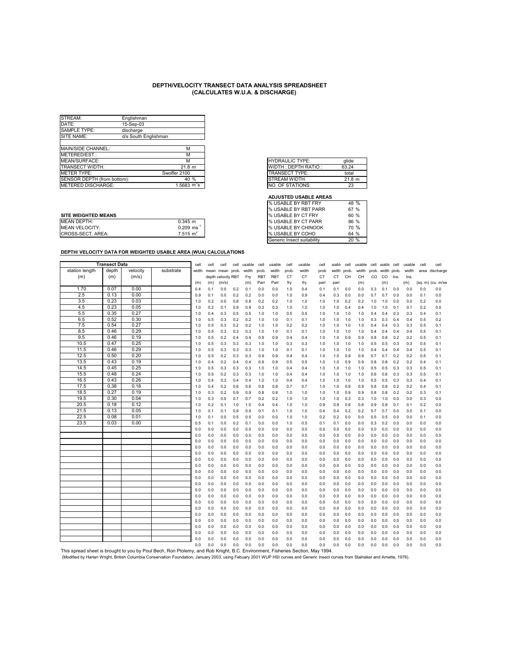| STREAM:                     | Englishman           |                    |
|-----------------------------|----------------------|--------------------|
| DATE:                       | 15-Sep-03            |                    |
| <b>SAMPLE TYPE:</b>         | discharge            |                    |
| SITE NAME:                  | d/s South Englishman |                    |
|                             |                      |                    |
| MAIN/SIDE CHANNEL:          |                      | М                  |
| IMETERED/EST.:              |                      | М                  |
| MEAN/SURFACE:               |                      | м                  |
| <b>TRANSECT WIDTH:</b>      |                      | 21.8 m             |
| <b>IMETER TYPE:</b>         |                      | Swoffer 2100       |
| SENSOR DEPTH (from bottom): |                      | 40%                |
| <b>IMETERED DISCHARGE:</b>  |                      | 1.5683 $m^3s^{-1}$ |

|   | <b>HYDRAULIC TYPE:</b> | alide  |
|---|------------------------|--------|
|   | WIDTH: DEPTH RATIO:    | 63.24  |
|   | <b>TRANSECT TYPE:</b>  | total  |
|   | STREAM WIDTH:          | 21.8 m |
| ন | NO. OF STATIONS:       |        |

#### **ADJUSTED USABLE AREAS**

|                            |                          |                              | .    |
|----------------------------|--------------------------|------------------------------|------|
| <b>SITE WEIGHTED MEANS</b> |                          | <b>I</b> % USABLE BY CT FRY  | 60 % |
| <b>MEAN DEPTH:</b>         | $0.345$ m                | <b>% USABLE BY CT PARR</b>   | 86 % |
| <b>MEAN VELOCITY:</b>      | $0.209$ ms <sup>-7</sup> | <b>I</b> % USABLE BY CHINOOK | 70 % |
| CROSS-SECT. AREA:          | $7.515 \text{ m}^2$      | <b>I</b> % USABLE BY COHO    | 64 % |
|                            |                          |                              |      |

| % USABLE BY RBT FRY        | 48 %   |
|----------------------------|--------|
| % USABLE BY RBT PARR       | 67 %   |
| % USABLE BY CT FRY         | 60%    |
| % USABLE BY CT PARR        | 86 %   |
| % USABLE BY CHINOOK        | 70 %   |
| % USABLE BY COHO           | 64 %   |
| Generic Insect suitabilitv | $20\%$ |
|                            |        |

|                                                                                                                                                                                   | <b>Transect Data</b> |              |           | cell       | cell       | cell               | cell       | usable     | cell       | usable     | cell       | usable     | cell       | <b>isable</b> | cell       | usable     | cell       | <b>usable</b> | cell       | usable     | cell       | cell              |
|-----------------------------------------------------------------------------------------------------------------------------------------------------------------------------------|----------------------|--------------|-----------|------------|------------|--------------------|------------|------------|------------|------------|------------|------------|------------|---------------|------------|------------|------------|---------------|------------|------------|------------|-------------------|
| station length                                                                                                                                                                    | depth                | velocity     | substrate | width      | mean       | mean               | prob.      | width      | prob.      | width      | prob.      | width      | prob       | width         | prob.      | width      | prob.      | width prob.   |            | width      |            | area discharge    |
| (m)                                                                                                                                                                               | (m)                  | (m/s)        |           |            |            | depth velocity RBT |            | Fry        | <b>RBT</b> | <b>RBT</b> | <b>CT</b>  | <b>CT</b>  | CT         | CT            | CH         | CH         | CO         | CO            | Ins.       | Ins.       |            |                   |
|                                                                                                                                                                                   |                      |              |           | (m)        | (m)        | (m/s)              |            | (m)        | Parr       | Parr       | fry        | fry        | parr       | parr          |            | (m)        |            | (m)           |            | (m)        |            | (sq. m) (cu. m/se |
| 1.70                                                                                                                                                                              | 0.07                 | 0.00         |           | 0.4        | 0.1        | 0.0                | 0.2        | 0.1        | 0.0        | 0.0        | 1.0        | 0.4        | 0.1        | 0.1           | 0.0        | 0.0        | 0.3        | 0.1           | 0.0        | 0.0        | 0.0        | 0.0               |
| 2.5                                                                                                                                                                               | 0.13                 | 0.00         |           | 0.9        | 0.1        | 0.0                | 0.2        | 0.2        | 0.0        | 0.0        | 1.0        | 0.9        | 0.4        | 0.3           | 0.0        | 0.0        | 0.7        | 0.7           | 0.0        | 0.0        | 0.1        | 0.0               |
| 3.5                                                                                                                                                                               | 0.23                 | 0.03         |           | 1.0        | 0.2        | 0.0                | 0.8        | 0.8        | 0.2        | 0.2        | 1.0        | 1.0        | 1.0        | 1.0           | 0.2        | 0.2        | 1.0        | 1.0           | 0.0        | 0.0        | 0.2        | 0.0               |
| 4.5                                                                                                                                                                               | 0.23                 | 0.05         |           | 1.0        | 0.2        | 0.1                | 0.9        | 0.9        | 0.3        | 0.3        | 1.0        | 1.0        | 1.0        | 1.0           | 0.4        | 0.4        | 1.0        | 1.0           | 0.1        | 0.1        | 0.2        | 0.0               |
| 5.5                                                                                                                                                                               | 0.35                 | 0.27         |           | 1.0        | 0.4        | 0.3                | 0.5        | 0.5        | 1.0        | 1.0        | 0.5        | 0.5        | 1.0        | 1.0           | 1.0        | 1.0        | 0.4        | 0.4           | 0.3        | 0.3        | 0.4        | 0.1               |
| 6.5                                                                                                                                                                               | 0.52                 | 0.30         |           | 1.0        | 0.5        | 0.3                | 0.2        | 0.2        | 1.0        | 1.0        | 0.1        | 0.1        | 1.0        | 1.0           | 1.0        | 1.0        | 0.3        | 0.3           | 0.4        | 0.4        | 0.5        | 0.2               |
| 7.5                                                                                                                                                                               | 0.54                 | 0.27         |           | 1.0        | 0.5        | 0.3                | 0.2        | 0.2        | 1.0        | 1.0        | 0.2        | 0.2        | 1.0        | 1.0           | 1.0        | 1.0        | 0.4        | 0.4           | 0.3        | 0.3        | 0.5        | 0.1               |
| 8.5                                                                                                                                                                               | 0.46                 | 0.29         |           | 1.0        | 0.5        | 0.3                | 0.3        | 0.3        | 1.0        | 1.0        | 0.1        | 0.1        | 1.0        | 1.0           | 1.0        | 1.0        | 0.4        | 0.4           | 0.4        | 0.4        | 0.5        | 0.1               |
| 9.5                                                                                                                                                                               | 0.46                 | 0.19         |           | 1.0        | 0.5        | 0.2                | 0.4        | 0.4        | 0.9        | 0.9        | 0.4        | 0.4        | 1.0        | 1.0           | 0.9        | 0.9        | 0.8        | 0.8           | 0.2        | 0.2        | 0.5        | 0.1               |
| 10.5                                                                                                                                                                              | 0.47                 | 0.25         |           | 1.0        | 0.5        | 0.3                | 0.3        | 0.3        | 1.0        | 1.0        | 0.3        | 0.3        | 1.0        | 1.0           | 1.0        | 1.0        | 0.5        | 0.5           | 0.3        | 0.3        | 0.5        | 0.1               |
| 11.5                                                                                                                                                                              | 0.46                 | 0.29         |           | 1.0        | 0.5        | 0.3                | 0.3        | 0.3        | 1.0        | 1.0        | 0.1        | 0.1        | 1.0        | 1.0           | 1.0        | 1.0        | 0.4        | 0.4           | 0.4        | 0.4        | 0.5        | 0.1               |
| 12.5                                                                                                                                                                              | 0.50                 | 0.20         |           | 1.0        | 0.5        | 0.2                | 0.3        | 0.3        | 0.9        | 0.9        | 0.4        | 0.4        | 1.0        | 1.0           | 0.9        | 0.9        | 0.7        | 0.7           | 0.2        | 0.2        | 0.5        | 0.1               |
| 13.5                                                                                                                                                                              | 0.43                 | 0.19         |           | 1.0        | 0.4        | 0.2                | 0.4        | 0.4        | 0.9        | 0.9        | 0.5        | 0.5        | 1.0        | 1.0           | 0.9        | 0.9        | 0.8        | 0.8           | 0.2        | 0.2        | 0.4        | 0.1               |
| 14.5                                                                                                                                                                              | 0.45                 | 0.25         |           | 1.0        | 0.5        | 0.3                | 0.3        | 0.3        | 1.0        | 1.0        | 0.4        | 0.4        | 1.0        | 1.0           | 1.0        | 1.0        | 0.5        | 0.5           | 0.3        | 0.3        | 0.5        | 0.1               |
| 15.5<br>16.5                                                                                                                                                                      | 0.48<br>0.43         | 0.24<br>0.26 |           | 1.0<br>1.0 | 0.5<br>0.4 | 0.2<br>0.3         | 0.3<br>0.4 | 0.3<br>0.4 | 1.0<br>1.0 | 1.0<br>1.0 | 0.4<br>0.4 | 0.4<br>0.4 | 1.0<br>1.0 | 1.0<br>1.0    | 1.0<br>1.0 | 1.0        | 0.6<br>0.5 | 0.6<br>0.5    | 0.3<br>0.3 | 0.3<br>0.3 | 0.5<br>0.4 | 0.1<br>0.1        |
| 17.5                                                                                                                                                                              | 0.38                 | 0.18         |           | 1.0        | 0.4        |                    | 0.6        | 0.6        |            | 0.8        |            | 0.7        | 1.0        | 1.0           | 0.9        | 1.0        | 0.8        |               | 0.2        |            |            | 0.1               |
| 18.5                                                                                                                                                                              | 0.27                 | 0.19         |           | 1.0        | 0.3        | 0.2<br>0.2         | 0.9        | 0.9        | 0.8<br>0.8 | 0.8        | 0.7<br>1.0 | 1.0        |            | 1.0           | 0.9        | 0.9        | 0.8        | 0.8<br>0.8    | 0.2        | 0.2<br>0.2 | 0.4<br>0.3 | 0.1               |
| 19.5                                                                                                                                                                              | 0.30                 | 0.04         |           | 1.0        | 0.3        | 0.0                | 0.7        | 0.7        | 0.2        | 0.2        | 1.0        | 1.0        | 1.0<br>1.0 | 1.0           | 0.3        | 0.9<br>0.3 | 1.0        | 1.0           | 0.0        | 0.0        | 0.3        | 0.0               |
| 20.5                                                                                                                                                                              | 0.18                 | 0.12         |           | 1.0        | 0.2        | 0.1                | 1.0        | 1.0        | 0.4        | 0.4        | 1.0        | 1.0        | 0.9        | 0.9           | 0.6        | 0.6        | 0.9        | 0.9           | 0.1        | 0.1        | 0.2        | 0.0               |
| 21.5                                                                                                                                                                              | 0.13                 | 0.05         |           | 1.0        | 0.1        | 0.1                | 0.9        | 0.9        | 0.1        | 0.1        | 1.0        | 1.0        | 0.4        | 0.4           | 0.2        | 0.2        | 0.7        | 0.7           | 0.0        | 0.0        | 0.1        | 0.0               |
| 22.5                                                                                                                                                                              | 0.08                 | 0.01         |           | 1.0        | 0.1        | 0.0                | 0.5        | 0.5        | 0.0        | 0.0        | 1.0        | 1.0        | 0.2        | 0.2           | 0.0        | 0.0        | 0.5        | 0.5           | 0.0        | 0.0        | 0.1        | 0.0               |
| 23.5                                                                                                                                                                              | 0.03                 | 0.00         |           | 0.5        | 0.1        | 0.0                | 0.2        | 0.1        | 0.0        | 0.0        | 1.0        | 0.5        | 0.1        | 0.1           | 0.0        | 0.0        | 0.3        | 0.2           | 0.0        | 0.0        | 0.0        | 0.0               |
|                                                                                                                                                                                   |                      |              |           | 0.0        | 0.0        | 0.0                | 0.0        | 0.0        | 0.0        | 0.0        | 0.0        | 0.0        | 0.0        | 0.0           | 0.0        | 0.0        | 0.0        | 0.0           | 0.0        | 0.0        | 0.0        | 0.0               |
|                                                                                                                                                                                   |                      |              |           | 0.0        | 0.0        | 0.0                | 0.0        | 0.0        | 0.0        | 0.0        | 0.0        | 0.0        | 0.0        | 0.0           | 0.0        | 0.0        | 0.0        | 0.0           | 0.0        | 0.0        | 0.0        | 0.0               |
|                                                                                                                                                                                   |                      |              |           | 0.0        | 0.0        | 0.0                | 0.0        | 0.0        | 0.0        | 0.0        | 0.0        | 0.0        | 0.0        | 0.0           | 0.0        | 0.0        | 0.0        | 0.0           | 0.0        | 0.0        | 0.0        | 0.0               |
|                                                                                                                                                                                   |                      |              |           | 0.0        | 0.0        | 0.0                | 0.0        | 0.0        | 0.0        | 0.0        | 0.0        | 0.0        | 0.0        | 0.0           | 0.0        | 0.0        | 0.0        | 0.0           | 0.0        | 0.0        | 0.0        | 0.0               |
|                                                                                                                                                                                   |                      |              |           | 0.0        | 0.0        | 0.0                | 0.0        | 0.0        | 0.0        | 0.0        | 0.0        | 0.0        | 0.0        | 0.0           | 0.0        | 0.0        | 0.0        | 0.0           | 0.0        | 0.0        | 0.0        | 0.0               |
|                                                                                                                                                                                   |                      |              |           | 0.0        | 0.0        | 0.0                | 0.0        | 0.0        | 0.0        | 0.0        | 0.0        | 0.0        | 0.0        | 0.0           | 0.0        | 0.0        | 0.0        | 0.0           | 0.0        | 0.0        | 0.0        | 0.0               |
|                                                                                                                                                                                   |                      |              |           | 0.0        | 0.0        | 0.0                | 0.0        | 0.0        | 0.0        | 0.0        | 0.0        | 0.0        | 0.0        | 0.0           | 0.0        | 0.0        | 0.0        | 0.0           | 0.0        | 0.0        | 0.0        | 0.0               |
|                                                                                                                                                                                   |                      |              |           | 0.0        | 0.0        | 0.0                | 0.0        | 0.0        | 0.0        | 0.0        | 0.0        | 0.0        | 0.0        | 0.0           | 0.0        | 0.0        | 0.0        | 0.0           | 0.0        | 0.0        | 0.0        | 0.0               |
|                                                                                                                                                                                   |                      |              |           | 0.0        | 0.0        | 0.0                | 0.0        | 0.0        | 0.0        | 0.0        | 0.0        | 0.0        | 0.0        | 0.0           | 0.0        | 0.0        | 0.0        | 0.0           | 0.0        | 0.0        | 0.0        | 0.0               |
|                                                                                                                                                                                   |                      |              |           | 0.0        | 0.0        | 0.0                | 0.0        | 0.0        | 0.0        | 0.0        | 0.0        | 0.0        | 0.0        | 0.0           | 0.0        | 0.0        | 0.0        | 0.0           | 0.0        | 0.0        | 0.0        | 0.0               |
|                                                                                                                                                                                   |                      |              |           | 0.0        | 0.0        | 0.0                | 0.0        | 0.0        | 0.0        | 0.0        | 0.0        | 0.0        | 0.0        | 0.0           | 0.0        | 0.0        | 0.0        | 0.0           | 0.0        | 0.0        | 0.0        | 0.0               |
|                                                                                                                                                                                   |                      |              |           | 0.0        | 0.0        | 0.0                | 0.0        | 0.0        | 0.0        | 0.0        | 0.0        | 0.0        | 0.0        | 0.0           | 0.0        | 0.0        | 0.0        | 0.0           | 0.0        | 0.0        | 0.0        | 0.0               |
|                                                                                                                                                                                   |                      |              |           | 0.0        | 0.0        | 0.0                | 0.0        | 0.0        | 0.0        | 0.0        | 0.0        | 0.0        | 0.0        | 0.0           | 0.0        | 0.0        | 0.0        | 0.0           | 0.0        | 0.0        | 0.0        | 0.0               |
|                                                                                                                                                                                   |                      |              |           | 0.0        | 0.0        | 0.0                | 0.0        | 0.0        | 0.0        | 0.0        | 0.0        | 0.0        | 0.0        | 0.0           | 0.0        | 0.0        | 0.0        | 0.0           | 0.0        | 0.0        | 0.0        | 0.0               |
|                                                                                                                                                                                   |                      |              |           | 0.0        | 0.0        | 0.0                | 0.0        | 0.0        | 0.0        | 0.0        | 0.0        | 0.0        | 0.0        | 0.0           | 0.0        | 0.0        | 0.0        | 0.0           | 0.0        | 0.0        | 0.0        | 0.0               |
|                                                                                                                                                                                   |                      |              |           | 0.0        | 0.0        | 0.0                | 0.0        | 0.0        | 0.0        | 0.0        | 0.0        | 0.0        | 0.0        | 0.0           | 0.0        | 0.0        | 0.0        | 0.0           | 0.0        | 0.0        | 0.0        | 0.0               |
|                                                                                                                                                                                   |                      |              |           | 0.0        | 0.0        | 0.0                | 0.0        | 0.0        | 0.0        | 0.0        | 0.0        | 0.0        | 0.0        | 0.0           | 0.0        | 0.0        | 0.0        | 0.0           | 0.0        | 0.0        | 0.0        | 0.0               |
|                                                                                                                                                                                   |                      |              |           | 0.0        | 0.0        | 0.0                | 0.0        | 0.0        | 0.0        | 0.0        | 0.0        | 0.0        | 0.0        | 0.0           | 0.0        | 0.0        | 0.0        | 0.0           | 0.0        | 0.0        | 0.0        | 0.0               |
|                                                                                                                                                                                   |                      |              |           | 0.0        | 0.0        | 0.0                | 0.0        | 0.0        | 0.0        | 0.0        | 0.0        | 0.0        | 0.0        | 0.0           | 0.0        | 0.0        | 0.0        | 0.0           | 0.0        | 0.0        | 0.0        | 0.0               |
|                                                                                                                                                                                   |                      |              |           | 0.0        | 0.0        | 0.0                | 0.0        | 0.0        | 0.0        | 0.0        | 0.0        | 0.0        | 0.0        | 0.0           | 0.0        | 0.0        | 0.0        | 0.0           | 0.0        | 0.0        | 0.0        | 0.0               |
| This spread sheet is brought to you by Poul Bech, Ron Ptolemy, and Rob Knight, B.C. Environment, Fisheries Section, May 1994                                                      |                      |              |           |            |            |                    |            |            |            |            |            |            |            |               |            |            |            |               |            |            |            |                   |
| (Modified by Harlan Wright, British Columbia Conservation Foundation, January 2003, using Febuary 2001 WUP HSI curves and Generic Insect curves from Stalnaker and Amette, 1976). |                      |              |           |            |            |                    |            |            |            |            |            |            |            |               |            |            |            |               |            |            |            |                   |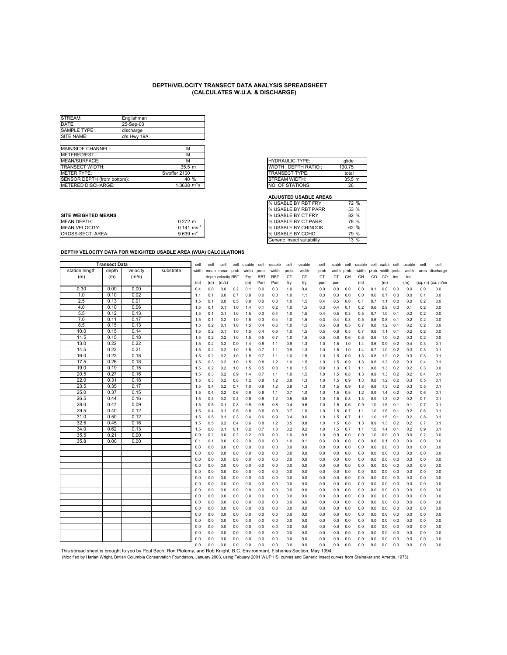| STREAM:                     | Englishman  |                                      |
|-----------------------------|-------------|--------------------------------------|
| DATE:                       | 25-Sep-03   |                                      |
| SAMPLE TYPE:                | discharge   |                                      |
| SITE NAME:                  | d/s Hwy 19A |                                      |
|                             |             |                                      |
| MAIN/SIDE CHANNEL:          |             | М                                    |
| METERED/EST.:               |             | м                                    |
| MEAN/SURFACE:               |             | м                                    |
| <b>TRANSECT WIDTH:</b>      |             | 35.5 <sub>m</sub>                    |
| METER TYPE:                 |             | Swoffer 2100                         |
| SENSOR DEPTH (from bottom): |             | 40%                                  |
| <b>IMETERED DISCHARGE:</b>  |             | 1.3638 $\mathrm{m}^3\mathrm{s}^{-1}$ |

|    | <b>HYDRAULIC TYPE:</b> | alide  |
|----|------------------------|--------|
|    | WIDTH: DEPTH RATIO:    | 130.75 |
|    | <b>TRANSECT TYPE:</b>  | total  |
|    | STREAM WIDTH:          | 35.5 m |
| -1 | NO. OF STATIONS:       | 26     |

#### **ADJUSTED USABLE AREAS**

|                            |                         | I 70 USADLL DI NDI FANN      | <b>UU 70</b> |
|----------------------------|-------------------------|------------------------------|--------------|
| <b>SITE WEIGHTED MEANS</b> |                         | <b>I</b> % USABLE BY CT FRY  | 82 %         |
| <b>MEAN DEPTH:</b>         | $0.272$ m               | <b>I</b> % USABLE BY CT PARR | 78 %         |
| <b>MEAN VELOCITY:</b>      | $0.141 \text{ ms}^{-1}$ | <b>I</b> % USABLE BY CHINOOK | 62 %         |
| CROSS-SECT. AREA:          | 9.639 $m2$              | <b>I</b> % USABLE BY COHO    | 79 %         |
|                            |                         |                              |              |

| % USABLE BY RBT FRY        | 72 %   |
|----------------------------|--------|
| % USABLE BY RBT PARR       | 53 %   |
| % USABLE BY CT FRY         | 82%    |
| % USABLE BY CT PARR        | 78 %   |
| % USABLE BY CHINOOK        | 62%    |
| % USABLE BY COHO           | 79 %   |
| Generic Insect suitability | $13\%$ |
|                            |        |

|                                                                                                                                                                                    | <b>Transect Data</b> |              |           | cell       | cell       | cell               | cell       | usable     | cell       | usable     | cell       | usable     | cell       | <b>Isable</b> | cell       | usable     | cell       | usable cell |            | usable     | cell       | cell              |
|------------------------------------------------------------------------------------------------------------------------------------------------------------------------------------|----------------------|--------------|-----------|------------|------------|--------------------|------------|------------|------------|------------|------------|------------|------------|---------------|------------|------------|------------|-------------|------------|------------|------------|-------------------|
| station length                                                                                                                                                                     | depth                | velocity     | substrate | width      | mean       | mean               | prob.      | width      | prob.      | width      | prob       | width      | prob       | width         | prob.      | width      | prob.      | width prob. |            | width      |            | area discharge    |
| (m)                                                                                                                                                                                | (m)                  | (m/s)        |           |            |            | depth velocity RBT |            | Fry        | <b>RBT</b> | <b>RBT</b> | CT         | <b>CT</b>  | <b>CT</b>  | <b>CT</b>     | CH         | CH         | CO.        | CO          | Ins.       | Ins.       |            |                   |
|                                                                                                                                                                                    |                      |              |           | (m)        | (m)        | (m/s)              |            | (m)        | Parr       | Parr       | fry        | fry        | parr       | parr          |            | (m)        |            | (m)         |            | (m)        |            | (sq. m) (cu. m/se |
| 0.30                                                                                                                                                                               | 0.00                 | 0.00         |           | 0.4        | 0.0        | 0.0                | 0.2        | 0.1        | 0.0        | 0.0        | 1.0        | 0.4        | 0.0        | 0.0           | 0.0        | 0.0        | 0.1        | 0.0         | 0.0        | 0.0        | 0.0        | 0.0               |
| 1.0                                                                                                                                                                                | 0.10                 | 0.02         |           | 1.1        | 0.1        | 0.0                | 0.7        | 0.8        | 0.0        | 0.0        | 1.0        | 1.1        | 0.3        | 0.3           | 0.0        | 0.0        | 0.6        | 0.7         | 0.0        | 0.0        | 0.1        | 0.0               |
| 2.5                                                                                                                                                                                | 0.13                 | 0.01         |           | 1.5        | 0.1        | 0.0                | 0.5        | 0.8        | 0.0        | 0.0        | 1.0        | 1.5        | 0.4        | 0.5           | 0.0        | 0.1        | 0.7        | 1.1         | 0.0        | 0.0        | 0.2        | 0.0               |
| 4.0                                                                                                                                                                                | 0.10                 | 0.06         |           | 1.5        | 0.1        | 0.1                | 1.0        | 1.4        | 0.1        | 0.2        | 1.0        | 1.5        | 0.3        | 0.4           | 0.1        | 0.2        | 0.6        | 0.9         | 0.0        | 0.1        | 0.2        | 0.0               |
| 5.5                                                                                                                                                                                | 0.12                 | 0.13         |           | 1.5        | 0.1        | 0.1                | 1.0        | 1.5        | 0.3        | 0.4        | 1.0        | 1.5        | 0.4        | 0.5           | 0.3        | 0.5        | 0.7        | 1.0         | 0.1        | 0.2        | 0.2        | 0.0               |
| 7.0                                                                                                                                                                                | 0.11                 | 0.17         |           | 1.5        | 0.1        | 0.2                | 1.0        | 1.5        | 0.3        | 0.4        | 1.0        | 1.5        | 0.3        | 0.4           | 0.3        | 0.5        | 0.6        | 0.8         | 0.1        | 0.2        | 0.2        | 0.0               |
| 8.5<br>10.0                                                                                                                                                                        | 0.15                 | 0.13<br>0.14 |           | 1.5        | 0.2        | 0.1                | 1.0        | 1.5        | 0.4        | 0.6        | 1.0        | 1.5        | 0.5        | 0.8           | 0.5        | 0.7        | 0.8        | 1.2         | 0.1        | 0.2        | 0.2        | 0.0               |
|                                                                                                                                                                                    | 0.15<br>0.15         | 0.18         |           | 1.5        | 0.2        | 0.1                | 1.0        | 1.5        | 0.4        | 0.6        | 1.0        | 1.5        | 0.5        | 0.8           | 0.5        | 0.7        | 0.8        | 1.1         | 0.1        | 0.2        | 0.2        | 0.0               |
| 11.5<br>13.0                                                                                                                                                                       | 0.22                 | 0.22         |           | 1.5        | 0.2<br>0.2 | 0.2<br>0.2         | 1.0<br>0.9 | 1.5<br>1.4 | 0.5<br>0.8 | 0.7<br>1.1 | 1.0<br>0.9 | 1.5<br>1.3 | 0.5        | 0.8           | 0.6<br>1.0 | 0.8        | 0.6        | 1.0<br>0.9  | 0.2<br>0.2 | 0.3<br>0.4 | 0.2<br>0.3 | 0.0               |
| 14.5                                                                                                                                                                               | 0.22                 | 0.21         |           | 1.5        |            |                    |            |            |            |            |            |            | 1.0        | 1.5           |            | 1.4        | 0.6        |             |            |            |            | 0.1               |
| 16.0                                                                                                                                                                               | 0.23                 | 0.18         |           | 1.5        | 0.2        | 0.2                | 1.0        | 1.5        | 0.7        | 1.1        | 0.9        | 1.3        | 1.0        | 1.5<br>1.5    | 1.0        | 1.4        | 0.7        | 1.0         | 0.2        | 0.3        | 0.3        | 0.1               |
| 17.5                                                                                                                                                                               | 0.26                 | 0.18         |           | 1.5<br>1.5 | 0.2<br>0.3 | 0.2<br>0.2         | 1.0<br>1.0 | 1.5<br>1.5 | 0.7<br>0.8 | 1.1<br>1.2 | 1.0<br>1.0 | 1.5<br>1.5 | 1.0<br>1.0 | 1.5           | 0.9<br>0.9 | 1.3<br>1.3 | 0.8<br>0.8 | 1.2<br>1.2  | 0.2<br>0.2 | 0.3<br>0.3 | 0.3<br>0.4 | 0.1<br>0.1        |
| 19.0                                                                                                                                                                               | 0.19                 | 0.15         |           | 1.5        | 0.2        | 0.2                | 1.0        | 1.5        | 0.5        | 0.8        | 1.0        | 1.5        | 0.9        | 1.3           | 0.7        | 1.1        | 0.8        | 1.3         | 0.2        | 0.2        | 0.3        | 0.0               |
| 20.5                                                                                                                                                                               | 0.27                 | 0.16         |           | 1.5        | 0.3        | 0.2                | 0.9        | 1.4        | 0.7        | 1.1        | 1.0        | 1.5        | 1.0        | 1.5           | 0.8        | 1.3        | 0.9        | 1.3         | 0.2        | 0.2        | 0.4        | 0.1               |
| 22.0                                                                                                                                                                               | 0.31                 | 0.18         |           | 1.5        | 0.3        | 0.2                | 0.8        | 1.2        | 0.8        | 1.2        | 0.9        | 1.3        | 1.0        | 1.5           | 0.9        | 1.3        | 0.8        | 1.2         | 0.2        | 0.3        | 0.5        | 0.1               |
| 23.5                                                                                                                                                                               | 0.35                 | 0.17         |           | 1.5        | 0.4        | 0.2                | 0.7        | 1.0        | 0.8        | 1.2        | 0.9        | 1.3        | 1.0        | 1.5           | 0.9        | 1.3        | 0.8        | 1.3         | 0.2        | 0.3        | 0.5        | 0.1               |
| 25.0                                                                                                                                                                               | 0.37                 | 0.15         |           | 1.5        | 0.4        | 0.2                | 0.6        | 0.9        | 0.8        | 1.1        | 0.7        | 1.0        | 1.0        | 1.5           | 0.8        | 1.2        | 0.9        | 1.4         | 0.2        | 0.2        | 0.6        | 0.1               |
| 26.5                                                                                                                                                                               | 0.44                 | 0.16         |           | 1.5        | 0.4        | 0.2                | 0.4        | 0.6        | 0.8        | 1.2        | 0.5        | 0.8        | 1.0        | 1.5           | 0.8        | 1.3        | 0.9        | 1.3         | 0.2        | 0.2        | 0.7        | 0.1               |
| 28.0                                                                                                                                                                               | 0.47                 | 0.09         |           | 1.5        | 0.5        | 0.1                | 0.3        | 0.5        | 0.5        | 0.8        | 0.4        | 0.6        | 1.0        | 1.5           | 0.6        | 0.9        | 1.0        | 1.5         | 0.1        | 0.1        | 0.7        | 0.1               |
| 29.5                                                                                                                                                                               | 0.40                 | 0.12         |           | 1.5        | 0.4        | 0.1                | 0.5        | 0.8        | 0.6        | 0.9        | 0.7        | 1.0        | 1.0        | 1.5           | 0.7        | 1.1        | 1.0        | 1.5         | 0.1        | 0.2        | 0.6        | 0.1               |
| 31.0                                                                                                                                                                               | 0.50                 | 0.12         |           | 1.5        | 0.5        | 0.1                | 0.3        | 0.4        | 0.6        | 0.9        | 0.4        | 0.6        | 1.0        | 1.5           | 0.7        | 1.1        | 1.0        | 1.5         | 0.1        | 0.2        | 0.8        | 0.1               |
| 32.5                                                                                                                                                                               | 0.45                 | 0.16         |           | 1.5        | 0.5        | 0.2                | 0.4        | 0.6        | 0.8        | 1.2        | 0.5        | 0.8        | 1.0        | 1.5           | 0.8        | 1.3        | 0.9        | 1.3         | 0.2        | 0.2        | 0.7        | 0.1               |
| 34.0                                                                                                                                                                               | 0.62                 | 0.13         |           | 1.5        | 0.6        | 0.1                | 0.1        | 0.2        | 0.7        | 1.0        | 0.2        | 0.2        | 1.0        | 1.5           | 0.7        | 1.1        | 1.0        | 1.4         | 0.1        | 0.2        | 0.9        | 0.1               |
| 35.5                                                                                                                                                                               | 0.21                 | 0.00         |           | 0.9        | 0.2        | 0.0                | 0.2        | 0.2        | 0.0        | 0.0        | 1.0        | 0.9        | 1.0        | 0.9           | 0.0        | 0.0        | 1.0        | 0.9         | 0.0        | 0.0        | 0.2        | 0.0               |
| 35.8                                                                                                                                                                               | 0.00                 | 0.00         |           | 0.1        | 0.1        | 0.0                | 0.2        | 0.0        | 0.0        | 0.0        | 1.0        | 0.1        | 0.3        | 0.0           | 0.0        | 0.0        | 0.6        | 0.1         | 0.0        | 0.0        | 0.0        | 0.0               |
|                                                                                                                                                                                    |                      |              |           | 0.0        | 0.0        | 0.0                | 0.0        | 0.0        | 0.0        | 0.0        | 0.0        | 0.0        | 0.0        | 0.0           | 0.0        | 0.0        | 0.0        | 0.0         | 0.0        | 0.0        | 0.0        | 0.0               |
|                                                                                                                                                                                    |                      |              |           | 0.0        | 0.0        | 0.0                | 0.0        | 0.0        | 0.0        | 0.0        | 0.0        | 0.0        | 0.0        | 0.0           | 0.0        | 0.0        | 0.0        | 0.0         | 0.0        | 0.0        | 0.0        | 0.0               |
|                                                                                                                                                                                    |                      |              |           | 0.0        | 0.0        | 0.0                | 0.0        | 0.0        | 0.0        | 0.0        | 0.0        | 0.0        | 0.0        | 0.0           | 0.0        | 0.0        | 0.0        | 0.0         | 0.0        | 0.0        | 0.0        | 0.0               |
|                                                                                                                                                                                    |                      |              |           | 0.0        | 0.0        | 0.0                | 0.0        | 0.0        | 0.0        | 0.0        | 0.0        | 0.0        | 0.0        | 0.0           | 0.0        | 0.0        | 0.0        | 0.0         | 0.0        | 0.0        | 0.0        | 0.0               |
|                                                                                                                                                                                    |                      |              |           | 0.0        | 0.0        | 0.0                | 0.0        | 0.0        | 0.0        | 0.0        | 0.0        | 0.0        | 0.0        | 0.0           | 0.0        | 0.0        | 0.0        | 0.0         | 0.0        | 0.0        | 0.0        | 0.0               |
|                                                                                                                                                                                    |                      |              |           | 0.0        | 0.0        | 0.0                | 0.0        | 0.0        | 0.0        | 0.0        | 0.0        | 0.0        | 0.0        | 0.0           | 0.0        | 0.0        | 0.0        | 0.0         | 0.0        | 0.0        | 0.0        | 0.0               |
|                                                                                                                                                                                    |                      |              |           | 0.0        | 0.0        | 0.0                | 0.0        | 0.0        | 0.0        | 0.0        | 0.0        | 0.0        | 0.0        | 0.0           | 0.0        | 0.0        | 0.0        | 0.0         | 0.0        | 0.0        | 0.0        | 0.0               |
|                                                                                                                                                                                    |                      |              |           | 0.0        | 0.0        | 0.0                | 0.0        | 0.0        | 0.0        | 0.0        | 0.0        | 0.0        | 0.0        | 0.0           | 0.0        | 0.0        | 0.0        | 0.0         | 0.0        | 0.0        | 0.0        | 0.0               |
|                                                                                                                                                                                    |                      |              |           | 0.0        | 0.0        | 0.0                | 0.0        | 0.0        | 0.0        | 0.0        | 0.0        | 0.0        | 0.0        | 0.0           | 0.0        | 0.0        | 0.0        | 0.0         | 0.0        | 0.0        | 0.0        | 0.0               |
|                                                                                                                                                                                    |                      |              |           | 0.0        | 0.0        | 0.0                | 0.0        | 0.0        | 0.0        | 0.0        | 0.0        | 0.0        | 0.0        | 0.0           | 0.0        | 0.0        | 0.0        | 0.0         | 0.0        | 0.0        | 0.0        | 0.0               |
|                                                                                                                                                                                    |                      |              |           | 0.0        | 0.0        | 0.0                | 0.0        | 0.0        | 0.0        | 0.0        | 0.0        | 0.0        | 0.0        | 0.0           | 0.0        | 0.0        | 0.0        | 0.0         | 0.0        | 0.0        | 0.0        | 0.0               |
|                                                                                                                                                                                    |                      |              |           | 0.0        | 0.0        | 0.0                | 0.0        | 0.0        | 0.0        | 0.0        | 0.0        | 0.0        | 0.0        | 0.0           | 0.0        | 0.0        | 0.0        | 0.0         | 0.0        | 0.0        | 0.0        | 0.0               |
|                                                                                                                                                                                    |                      |              |           | 0.0        | 0.0        | 0.0                | 0.0        | 0.0        | 0.0        | 0.0        | 0.0        | 0.0        | 0.0        | 0.0           | 0.0        | 0.0        | 0.0        | 0.0         | 0.0        | 0.0        | 0.0        | 0.0               |
|                                                                                                                                                                                    |                      |              |           | 0.0        | 0.0        | 0.0                | 0.0        | 0.0        | 0.0        | 0.0        | 0.0        | 0.0        | 0.0        | 0.0           | 0.0        | 0.0        | 0.0        | 0.0         | 0.0        | 0.0        | 0.0        | 0.0               |
|                                                                                                                                                                                    |                      |              |           | 0.0        | 0.0        | 0.0                | 0.0        | 0.0        | 0.0        | 0.0        | 0.0        | 0.0        | 0.0        | 0.0           | 0.0        | 0.0        | 0.0        | 0.0         | 0.0        | 0.0        | 0.0        | 0.0               |
|                                                                                                                                                                                    |                      |              |           | 0.0        | 0.0        | 0.0                | 0.0        | 0.0        | 0.0        | 0.0        | 0.0        | 0.0        | 0.0        | 0.0           | 0.0        | 0.0        | 0.0        | 0.0         | 0.0        | 0.0        | 0.0        | 0.0               |
|                                                                                                                                                                                    |                      |              |           | 0.0        | 0.0        | 0.0                | 0.0        | 0.0        | 0.0        | 0.0        | 0.0        | 0.0        | 0.0        | 0.0           | 0.0        | 0.0        | 0.0        | 0.0         | 0.0        | 0.0        | 0.0        | 0.0               |
| This spread sheet is brought to you by Poul Bech, Ron Ptolemy, and Rob Knight, B.C. Environment, Fisheries Section, May 1994.                                                      |                      |              |           |            |            |                    |            |            |            |            |            |            |            |               |            |            |            |             |            |            |            |                   |
| (Modified by Harlan Wright, British Columbia Conservation Foundation, January 2003, using Febuary 2001 WUP HSI curves and Generic Insect curves from Stalnaker and Arnette, 1976). |                      |              |           |            |            |                    |            |            |            |            |            |            |            |               |            |            |            |             |            |            |            |                   |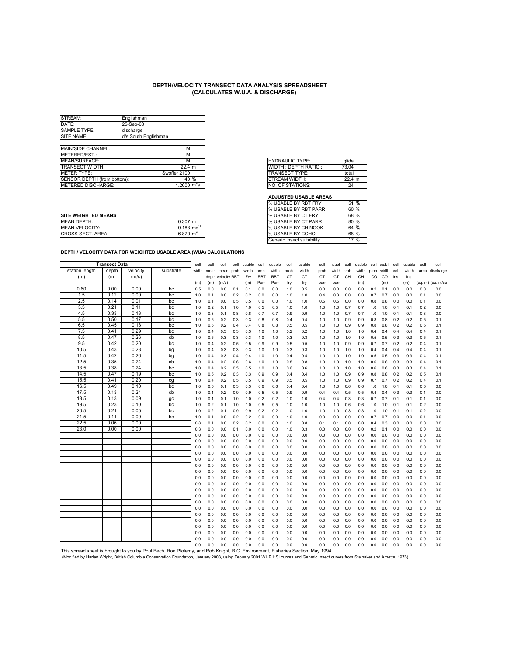| STREAM:                     | Englishman           |                                     |
|-----------------------------|----------------------|-------------------------------------|
| DATE:                       | 25-Sep-03            |                                     |
| <b>SAMPLE TYPE:</b>         | discharge            |                                     |
| SITE NAME:                  | d/s South Englishman |                                     |
|                             |                      |                                     |
| MAIN/SIDE CHANNEL:          |                      | М                                   |
| IMETERED/EST.:              |                      | М                                   |
| MEAN/SURFACE:               |                      | м                                   |
| <b>TRANSECT WIDTH:</b>      |                      | 22.4 m                              |
| <b>IMETER TYPE:</b>         |                      | Swoffer 2100                        |
| SENSOR DEPTH (from bottom): |                      | 40%                                 |
| <b>IMETERED DISCHARGE:</b>  |                      | $1.2600 \, \text{m}^3\text{s}^{-1}$ |

|   | <b>HYDRAULIC TYPE:</b> | alide  |
|---|------------------------|--------|
|   | WIDTH: DEPTH RATIO:    | 73.04  |
|   | TRANSECT TYPE:         | total  |
|   | <b>STREAM WIDTH:</b>   | 22.4 m |
| ন | NO. OF STATIONS:       | 24     |
|   |                        |        |

#### **ADJUSTED USABLE AREAS**

|                            |                         | I% USABLE BY RBT PARR        | $60\%$        |
|----------------------------|-------------------------|------------------------------|---------------|
| <b>SITE WEIGHTED MEANS</b> |                         | <b>I</b> % USABLE BY CT FRY  | 68 %          |
| <b>MEAN DEPTH:</b>         | $0.307$ m               | <b>% USABLE BY CT PARR</b>   | 80 %          |
| <b>MEAN VELOCITY:</b>      | $0.183 \text{ ms}^{-1}$ | <b>I</b> % USABLE BY CHINOOK | 64 %          |
| CROSS-SECT. AREA:          | $6.870 \; \text{m}^2$   | <b>I</b> % USABLE BY COHO    | 68 %          |
|                            |                         | .                            | $\sim$ $\sim$ |

| % USABLE BY RBT FRY        | 51 %    |
|----------------------------|---------|
| % USABLE BY RBT PARR       | 60%     |
| % USABLE BY CT FRY         | 68 %    |
| % USABLE BY CT PARR        | 80%     |
| % USABLE BY CHINOOK        | $64 \%$ |
| % USABLE BY COHO           | 68 %    |
| Generic Insect suitability | $17\%$  |
|                            |         |

|                                                                                                                                                                                    | <b>Transect Data</b> |              |           | cell       | cell       | cell               | cell       | usable     | cell       | usable     | cell       | usable     | cell       | <b>isable</b> | cell       | usable     | cell       | <b>usable</b> | cell       | usable     | cell       | cell              |
|------------------------------------------------------------------------------------------------------------------------------------------------------------------------------------|----------------------|--------------|-----------|------------|------------|--------------------|------------|------------|------------|------------|------------|------------|------------|---------------|------------|------------|------------|---------------|------------|------------|------------|-------------------|
| station length                                                                                                                                                                     | depth                | velocity     | substrate | width      | mean       | mean               | prob.      | width      | prob.      | width      | prob.      | width      | prob       | width         | prob.      | width      | prob.      | width prob.   |            | width      |            | area discharge    |
| (m)                                                                                                                                                                                | (m)                  | (m/s)        |           |            |            | depth velocity RBT |            | Fry        | <b>RBT</b> | <b>RBT</b> | <b>CT</b>  | <b>CT</b>  | <b>CT</b>  | <b>CT</b>     | CH         | CH         | CO.        | <sub>CO</sub> | Ins.       | Ins.       |            |                   |
|                                                                                                                                                                                    |                      |              |           | (m)        | (m)        | (m/s)              |            | (m)        | Parr       | Parr       | fry        | fry        | parr       | parr          |            | (m)        |            | (m)           |            | (m)        |            | (sq. m) (cu. m/se |
| 0.60                                                                                                                                                                               | 0.00                 | 0.00         | bc        | 0.5        | 0.0        | 0.0                | 0.1        | 0.1        | 0.0        | 0.0        | 1.0        | 0.5        | 0.0        | 0.0           | 0.0        | 0.0        | 0.2        | 0.1           | 0.0        | 0.0        | 0.0        | 0.0               |
| 1.5                                                                                                                                                                                | 0.12                 | 0.00         | bc        | 1.0        | 0.1        | 0.0                | 0.2        | 0.2        | 0.0        | 0.0        | 1.0        | 1.0        | 0.4        | 0.3           | 0.0        | 0.0        | 0.7        | 0.7           | 0.0        | 0.0        | 0.1        | 0.0               |
| 2.5                                                                                                                                                                                | 0.14                 | 0.01         | bc        | 1.0        | 0.1        | 0.0                | 0.5        | 0.5        | 0.0        | 0.0        | 1.0        | 1.0        | 0.5        | 0.5           | 0.0        | 0.0        | 0.8        | 0.8           | 0.0        | 0.0        | 0.1        | 0.0               |
| 3.5                                                                                                                                                                                | 0.21                 | 0.11         | bc        | 1.0        | 0.2        | 0.1                | 1.0        | 1.0        | 0.5        | 0.5        | 1.0        | 1.0        | 1.0        | 1.0           | 0.7        | 0.7        | 1.0        | 1.0           | 0.1        | 0.1        | 0.2        | 0.0               |
| 4.5                                                                                                                                                                                | 0.33                 | 0.13         | bc        | 1.0        | 0.3        | 0.1                | 0.8        | 0.8        | 0.7        | 0.7        | 0.9        | 0.9        | 1.0        | 1.0           | 0.7        | 0.7        | 1.0        | 1.0           | 0.1        | 0.1        | 0.3        | 0.0               |
| 5.5                                                                                                                                                                                | 0.50                 | 0.17         | bc        | 1.0        | 0.5        | 0.2                | 0.3        | 0.3        | 0.8        | 0.8        | 0.4        | 0.4        | 1.0        | 1.0           | 0.9        | 0.9        | 0.8        | 0.8           | 0.2        | 0.2        | 0.5        | 0.1               |
| 6.5                                                                                                                                                                                | 0.45                 | 0.18         | bc        | 1.0        | 0.5        | 0.2                | 0.4        | 0.4        | 0.8        | 0.8        | 0.5        | 0.5        | 1.0        | 1.0           | 0.9        | 0.9        | 0.8        | 0.8           | 0.2        | 0.2        | 0.5        | 0.1               |
| 7.5                                                                                                                                                                                | 0.41                 | 0.29         | bc        | 1.0        | 0.4        | 0.3                | 0.3        | 0.3        | 1.0        | 1.0        | 0.2        | 0.2        | 1.0        | 1.0           | 1.0        | 1.0        | 0.4        | 0.4           | 0.4        | 0.4        | 0.4        | 0.1               |
| 8.5                                                                                                                                                                                | 0.47                 | 0.26         | cb        | 1.0        | 0.5        | 0.3                | 0.3        | 0.3        | 1.0        | 1.0        | 0.3        | 0.3        | 1.0        | 1.0           | 1.0        | 1.0        | 0.5        | 0.5           | 0.3        | 0.3        | 0.5        | 0.1               |
| 9.5                                                                                                                                                                                | 0.42                 | 0.20         | bc        | 1.0        | 0.4        | 0.2                | 0.5        | 0.5        | 0.9        | 0.9        | 0.5        | 0.5        | 1.0        | 1.0           | 0.9        | 0.9        | 0.7        | 0.7           | 0.2        | 0.2        | 0.4        | 0.1               |
| 10.5                                                                                                                                                                               | 0.43                 | 0.28         | bg        | 1.0        | 0.4        | 0.3                | 0.3        | 0.3        | 1.0        | 1.0        | 0.3        | 0.3        | 1.0        | 1.0           | 1.0        | 1.0        | 0.4        | 0.4           | 0.4        | 0.4        | 0.4        | 0.1               |
| 11.5                                                                                                                                                                               | 0.42                 | 0.26         | bg        | 1.0        | 0.4        | 0.3                | 0.4        | 0.4        | 1.0        | 1.0        | 0.4        | 0.4        | 1.0        | 1.0           | 1.0        | 1.0        | 0.5        | 0.5           | 0.3        | 0.3        | 0.4        | 0.1               |
| 12.5<br>13.5                                                                                                                                                                       | 0.35<br>0.38         | 0.24<br>0.24 | cb        | 1.0        | 0.4        | 0.2                | 0.6        | 0.6        | 1.0        | 1.0        | 0.8        | 0.8        | 1.0        | 1.0           | 1.0        | 1.0        | 0.6        | 0.6           | 0.3        | 0.3        | 0.4        | 0.1               |
| 14.5                                                                                                                                                                               | 0.47                 | 0.19         | bc<br>bc  | 1.0        | 0.4        | 0.2                | 0.5        | 0.5        | 1.0        | 1.0        | 0.6        | 0.6        | 1.0        | 1.0           | 1.0        | 1.0        | 0.6        | 0.6           | 0.3        | 0.3        | 0.4        | 0.1               |
| 15.5                                                                                                                                                                               | 0.41                 | 0.20         |           | 1.0<br>1.0 | 0.5<br>0.4 | 0.2<br>0.2         | 0.3<br>0.5 | 0.3<br>0.5 | 0.9<br>0.9 | 0.9<br>0.9 | 0.4<br>0.5 | 0.4<br>0.5 | 1.0<br>1.0 | 1.0<br>1.0    | 0.9<br>0.9 | 0.9<br>0.9 | 0.8<br>0.7 | 0.8<br>0.7    | 0.2<br>0.2 | 0.2<br>0.2 | 0.5<br>0.4 | 0.1<br>0.1        |
| 16.5                                                                                                                                                                               | 0.49                 | 0.10         | cg<br>bc  | 1.0        | 0.5        | 0.1                | 0.3        | 0.3        | 0.6        | 0.6        | 0.4        | 0.4        | 1.0        | 1.0           | 0.6        | 0.6        | 1.0        | 1.0           | 0.1        | 0.1        | 0.5        | 0.0               |
| 17.5                                                                                                                                                                               | 0.13                 | 0.24         | cb        | 1.0        | 0.1        | 0.2                | 0.9        | 0.9        | 0.5        | 0.5        | 0.9        | 0.9        | 0.4        | 0.4           | 0.5        | 0.5        | 0.4        | 0.4           | 0.3        | 0.3        | 0.1        | 0.0               |
| 18.5                                                                                                                                                                               | 0.13                 | 0.09         | gc        | 1.0        | 0.1        | 0.1                | 1.0        | 1.0        | 0.2        | 0.2        | 1.0        | 1.0        | 0.4        | 0.4           | 0.3        | 0.3        | 0.7        | 0.7           | 0.1        | 0.1        | 0.1        | 0.0               |
| 19.5                                                                                                                                                                               | 0.23                 | 0.10         | bc        | 1.0        | 0.2        | 0.1                | 1.0        | 1.0        | 0.5        | 0.5        | 1.0        | 1.0        | 1.0        | 1.0           | 0.6        | 0.6        | 1.0        | 1.0           | 0.1        | 0.1        | 0.2        | 0.0               |
| 20.5                                                                                                                                                                               | 0.21                 | 0.05         | bc        | 1.0        | 0.2        | 0.1                | 0.9        | 0.9        | 0.2        | 0.2        | 1.0        | 1.0        | 1.0        | 1.0           | 0.3        | 0.3        | 1.0        | 1.0           | 0.1        | 0.1        | 0.2        | 0.0               |
| 21.5                                                                                                                                                                               | 0.11                 | 0.00         | bc        | 1.0        | 0.1        | 0.0                | 0.2        | 0.2        | 0.0        | 0.0        | 1.0        | 1.0        | 0.3        | 0.3           | 0.0        | 0.0        | 0.7        | 0.7           | 0.0        | 0.0        | 0.1        | 0.0               |
| 22.5                                                                                                                                                                               | 0.06                 | 0.00         |           | 0.8        | 0.1        | 0.0                | 0.2        | 0.2        | 0.0        | 0.0        | 1.0        | 0.8        | 0.1        | 0.1           | 0.0        | 0.0        | 0.4        | 0.3           | 0.0        | 0.0        | 0.0        | 0.0               |
| 23.0                                                                                                                                                                               | 0.00                 | 0.00         |           | 0.3        | 0.0        | 0.0                | 0.1        | 0.0        | 0.0        | 0.0        | 1.0        | 0.3        | 0.0        | 0.0           | 0.0        | 0.0        | 0.2        | 0.1           | 0.0        | 0.0        | 0.0        | 0.0               |
|                                                                                                                                                                                    |                      |              |           | 0.0        | 0.0        | 0.0                | 0.0        | 0.0        | 0.0        | 0.0        | 0.0        | 0.0        | 0.0        | 0.0           | 0.0        | 0.0        | 0.0        | 0.0           | 0.0        | 0.0        | 0.0        | 0.0               |
|                                                                                                                                                                                    |                      |              |           | 0.0        | 0.0        | 0.0                | 0.0        | 0.0        | 0.0        | 0.0        | 0.0        | 0.0        | 0.0        | 0.0           | 0.0        | 0.0        | 0.0        | 0.0           | 0.0        | 0.0        | 0.0        | 0.0               |
|                                                                                                                                                                                    |                      |              |           | 0.0        | 0.0        | 0.0                | 0.0        | 0.0        | 0.0        | 0.0        | 0.0        | 0.0        | 0.0        | 0.0           | 0.0        | 0.0        | 0.0        | 0.0           | 0.0        | 0.0        | 0.0        | 0.0               |
|                                                                                                                                                                                    |                      |              |           | 0.0        | 0.0        | 0.0                | 0.0        | 0.0        | 0.0        | 0.0        | 0.0        | 0.0        | 0.0        | 0.0           | 0.0        | 0.0        | 0.0        | 0.0           | 0.0        | 0.0        | 0.0        | 0.0               |
|                                                                                                                                                                                    |                      |              |           | 0.0        | 0.0        | 0.0                | 0.0        | 0.0        | 0.0        | 0.0        | 0.0        | 0.0        | 0.0        | 0.0           | 0.0        | 0.0        | 0.0        | 0.0           | 0.0        | 0.0        | 0.0        | 0.0               |
|                                                                                                                                                                                    |                      |              |           | 0.0        | 0.0        | 0.0                | 0.0        | 0.0        | 0.0        | 0.0        | 0.0        | 0.0        | 0.0        | 0.0           | 0.0        | 0.0        | 0.0        | 0.0           | 0.0        | 0.0        | 0.0        | 0.0               |
|                                                                                                                                                                                    |                      |              |           | 0.0        | 0.0        | 0.0                | 0.0        | 0.0        | 0.0        | 0.0        | 0.0        | 0.0        | 0.0        | 0.0           | 0.0        | 0.0        | 0.0        | 0.0           | 0.0        | 0.0        | 0.0        | 0.0               |
|                                                                                                                                                                                    |                      |              |           | 0.0        | 0.0        | 0.0                | 0.0        | 0.0        | 0.0        | 0.0        | 0.0        | 0.0        | 0.0        | 0.0           | 0.0        | 0.0        | 0.0        | 0.0           | 0.0        | 0.0        | 0.0        | 0.0               |
|                                                                                                                                                                                    |                      |              |           | 0.0        | 0.0        | 0.0                | 0.0        | 0.0        | 0.0        | 0.0        | 0.0        | 0.0        | 0.0        | 0.0           | 0.0        | 0.0        | 0.0        | 0.0           | 0.0        | 0.0        | 0.0        | 0.0               |
|                                                                                                                                                                                    |                      |              |           | 0.0        | 0.0        | 0.0                | 0.0        | 0.0        | 0.0        | 0.0        | 0.0        | 0.0        | 0.0        | 0.0           | 0.0        | 0.0        | 0.0        | 0.0           | 0.0        | 0.0        | 0.0        | 0.0               |
|                                                                                                                                                                                    |                      |              |           | 0.0        | 0.0        | 0.0                | 0.0        | 0.0        | 0.0        | 0.0        | 0.0        | 0.0        | 0.0        | 0.0           | 0.0        | 0.0        | 0.0        | 0.0           | 0.0        | 0.0        | 0.0        | 0.0               |
|                                                                                                                                                                                    |                      |              |           | 0.0        | 0.0        | 0.0                | 0.0        | 0.0        | 0.0        | 0.0        | 0.0        | 0.0        | 0.0        | 0.0           | 0.0        | 0.0        | 0.0        | 0.0           | 0.0        | 0.0        | 0.0        | 0.0               |
|                                                                                                                                                                                    |                      |              |           | 0.0        | 0.0        | 0.0                | 0.0        | 0.0        | 0.0        | 0.0        | 0.0        | 0.0        | 0.0        | 0.0           | 0.0        | 0.0        | 0.0        | 0.0           | 0.0        | 0.0        | 0.0        | 0.0               |
|                                                                                                                                                                                    |                      |              |           | 0.0        | 0.0        | 0.0                | 0.0        | 0.0        | 0.0        | 0.0        | 0.0        | 0.0        | 0.0        | 0.0           | 0.0        | 0.0        | 0.0        | 0.0           | 0.0        | 0.0        | 0.0        | 0.0               |
|                                                                                                                                                                                    |                      |              |           | 0.0        | 0.0        | 0.0                | 0.0        | 0.0        | 0.0        | 0.0        | 0.0        | 0.0        | 0.0        | 0.0           | 0.0        | 0.0        | 0.0        | 0.0           | 0.0        | 0.0        | 0.0        | 0.0               |
|                                                                                                                                                                                    |                      |              |           | 0.0        | 0.0        | 0.0                | 0.0        | 0.0        | 0.0        | 0.0        | 0.0        | 0.0        | 0.0        | 0.0           | 0.0        | 0.0        | 0.0        | 0.0           | 0.0        | 0.0        | 0.0        | 0.0               |
|                                                                                                                                                                                    |                      |              |           | 0.0        | 0.0        | 0.0                | 0.0        | 0.0        | 0.0        | 0.0        | 0.0        | 0.0        | 0.0        | 0.0           | 0.0        | 0.0        | 0.0        | 0.0           | 0.0        | 0.0        | 0.0        | 0.0               |
|                                                                                                                                                                                    |                      |              |           | 0.0        | 0.0        | 0.0                | 0.0        | 0.0        | 0.0        | 0.0        | 0.0        | 0.0        | 0.0        | 0.0           | 0.0        | 0.0        | 0.0        | 0.0           | 0.0        | 0.0        | 0.0        | 0.0               |
|                                                                                                                                                                                    |                      |              |           | 0.0        | 0.0        | 0.0                | 0.0        | 0.0        | 0.0        | 0.0        | 0.0        | 0.0        | 0.0        | 0.0           | 0.0        | 0.0        | 0.0        | 0.0           | 0.0        | 0.0        | 0.0        | 0.0               |
| This spread sheet is brought to you by Poul Bech, Ron Ptolemy, and Rob Knight, B.C. Environment, Fisheries Section, May 1994                                                       |                      |              |           |            |            |                    |            |            |            |            |            |            |            |               |            |            |            |               |            |            |            |                   |
| (Modified by Harlan Wright, British Columbia Conservation Foundation, January 2003, using Febuary 2001 WUP HSI curves and Generic Insect curves from Stalnaker and Arnette, 1976). |                      |              |           |            |            |                    |            |            |            |            |            |            |            |               |            |            |            |               |            |            |            |                   |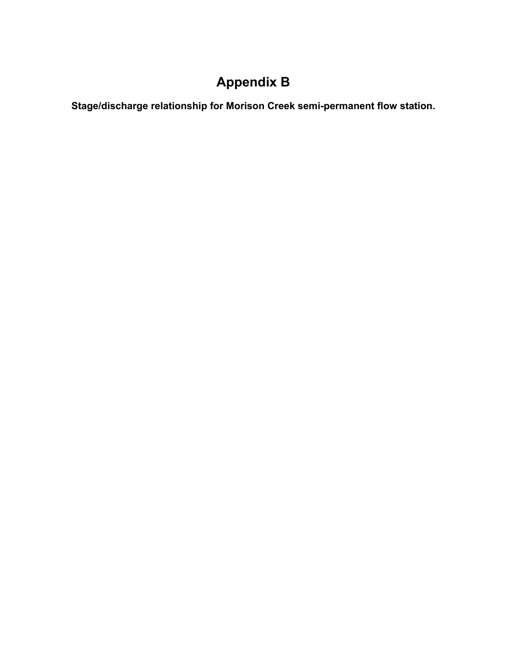# **Appendix B**

**Stage/discharge relationship for Morison Creek semi-permanent flow station.**